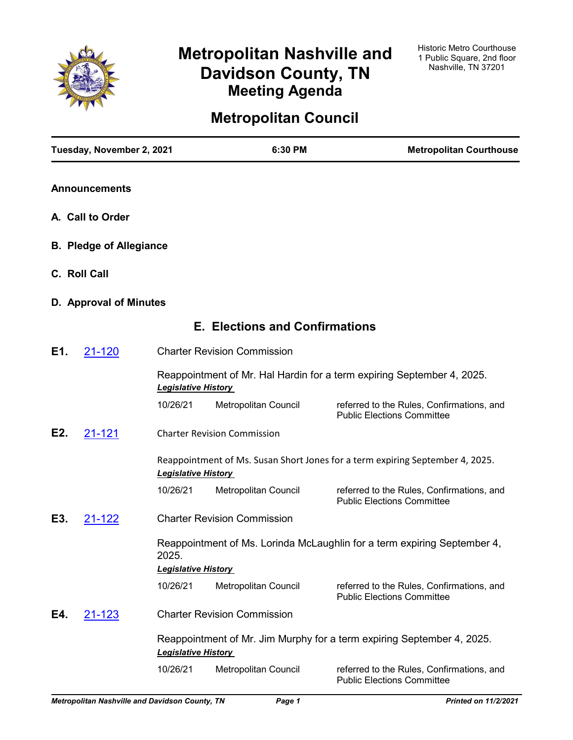

# **Metropolitan Nashville and Davidson County, TN Meeting Agenda**

## **Metropolitan Council**

|     | Tuesday, November 2, 2021      |                            | 6:30 PM                               | <b>Metropolitan Courthouse</b>                                                 |
|-----|--------------------------------|----------------------------|---------------------------------------|--------------------------------------------------------------------------------|
|     | <b>Announcements</b>           |                            |                                       |                                                                                |
|     | A. Call to Order               |                            |                                       |                                                                                |
|     | <b>B. Pledge of Allegiance</b> |                            |                                       |                                                                                |
|     | C. Roll Call                   |                            |                                       |                                                                                |
|     | D. Approval of Minutes         |                            |                                       |                                                                                |
|     |                                |                            | <b>E. Elections and Confirmations</b> |                                                                                |
| E1. | 21-120                         |                            | <b>Charter Revision Commission</b>    |                                                                                |
|     |                                | <b>Legislative History</b> |                                       | Reappointment of Mr. Hal Hardin for a term expiring September 4, 2025.         |
|     |                                | 10/26/21                   | Metropolitan Council                  | referred to the Rules, Confirmations, and<br><b>Public Elections Committee</b> |
| E2. | 21-121                         |                            | <b>Charter Revision Commission</b>    |                                                                                |
|     |                                | <b>Legislative History</b> |                                       | Reappointment of Ms. Susan Short Jones for a term expiring September 4, 2025.  |
|     |                                | 10/26/21                   | Metropolitan Council                  | referred to the Rules, Confirmations, and<br><b>Public Elections Committee</b> |
| E3. | 21-122                         |                            | <b>Charter Revision Commission</b>    |                                                                                |
|     |                                | 2025.                      |                                       | Reappointment of Ms. Lorinda McLaughlin for a term expiring September 4,       |
|     |                                | <b>Legislative History</b> |                                       |                                                                                |
|     |                                | 10/26/21                   | Metropolitan Council                  | referred to the Rules, Confirmations, and<br><b>Public Elections Committee</b> |
| E4. | 21-123                         |                            | <b>Charter Revision Commission</b>    |                                                                                |
|     |                                | <b>Legislative History</b> |                                       | Reappointment of Mr. Jim Murphy for a term expiring September 4, 2025.         |
|     |                                | 10/26/21                   | Metropolitan Council                  | referred to the Rules, Confirmations, and<br><b>Public Elections Committee</b> |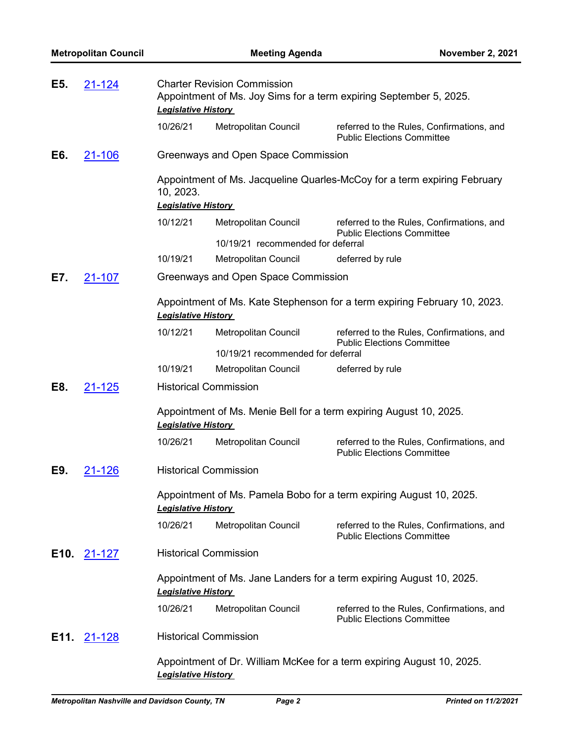| E5.  | 21-124        | <b>Charter Revision Commission</b><br>Appointment of Ms. Joy Sims for a term expiring September 5, 2025.<br><b>Legislative History</b> |                                                                          |                                                                                |
|------|---------------|----------------------------------------------------------------------------------------------------------------------------------------|--------------------------------------------------------------------------|--------------------------------------------------------------------------------|
|      |               | 10/26/21                                                                                                                               | Metropolitan Council                                                     | referred to the Rules, Confirmations, and<br><b>Public Elections Committee</b> |
| E6.  | 21-106        |                                                                                                                                        | Greenways and Open Space Commission                                      |                                                                                |
|      |               | 10, 2023.<br><b>Legislative History</b>                                                                                                | Appointment of Ms. Jacqueline Quarles-McCoy for a term expiring February |                                                                                |
|      |               | 10/12/21                                                                                                                               | Metropolitan Council                                                     | referred to the Rules, Confirmations, and                                      |
|      |               |                                                                                                                                        | 10/19/21 recommended for deferral                                        | <b>Public Elections Committee</b>                                              |
|      |               | 10/19/21                                                                                                                               | Metropolitan Council                                                     | deferred by rule                                                               |
| E7.  | <u>21-107</u> |                                                                                                                                        | Greenways and Open Space Commission                                      |                                                                                |
|      |               | <b>Legislative History</b>                                                                                                             |                                                                          | Appointment of Ms. Kate Stephenson for a term expiring February 10, 2023.      |
|      |               | 10/12/21                                                                                                                               | Metropolitan Council                                                     | referred to the Rules, Confirmations, and<br><b>Public Elections Committee</b> |
|      |               |                                                                                                                                        | 10/19/21 recommended for deferral                                        |                                                                                |
|      |               | 10/19/21                                                                                                                               | Metropolitan Council                                                     | deferred by rule                                                               |
| E8.  | 21-125        |                                                                                                                                        | <b>Historical Commission</b>                                             |                                                                                |
|      |               | <b>Legislative History</b>                                                                                                             |                                                                          | Appointment of Ms. Menie Bell for a term expiring August 10, 2025.             |
|      |               | 10/26/21                                                                                                                               | Metropolitan Council                                                     | referred to the Rules, Confirmations, and<br><b>Public Elections Committee</b> |
| E9.  | <u>21-126</u> |                                                                                                                                        | <b>Historical Commission</b>                                             |                                                                                |
|      |               | <b>Legislative History</b>                                                                                                             |                                                                          | Appointment of Ms. Pamela Bobo for a term expiring August 10, 2025.            |
|      |               | 10/26/21                                                                                                                               | Metropolitan Council                                                     | referred to the Rules, Confirmations, and<br><b>Public Elections Committee</b> |
| E10. | 21-127        |                                                                                                                                        | <b>Historical Commission</b>                                             |                                                                                |
|      |               | <b>Legislative History</b>                                                                                                             |                                                                          | Appointment of Ms. Jane Landers for a term expiring August 10, 2025.           |
|      |               | 10/26/21                                                                                                                               | Metropolitan Council                                                     | referred to the Rules, Confirmations, and<br><b>Public Elections Committee</b> |
| E11. | <u>21-128</u> |                                                                                                                                        | <b>Historical Commission</b>                                             |                                                                                |
|      |               | <b>Legislative History</b>                                                                                                             |                                                                          | Appointment of Dr. William McKee for a term expiring August 10, 2025.          |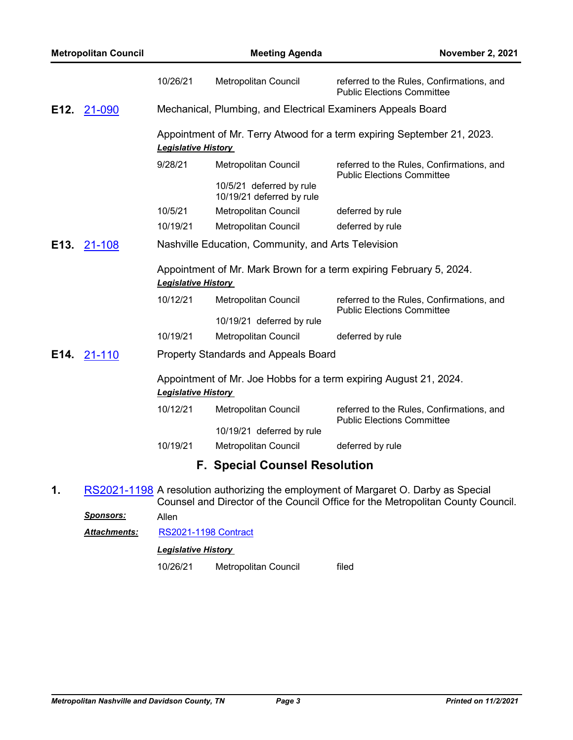|      | <b>Metropolitan Council</b> |                            | <b>Meeting Agenda</b>                                        | <b>November 2, 2021</b>                                                                                                                                                |
|------|-----------------------------|----------------------------|--------------------------------------------------------------|------------------------------------------------------------------------------------------------------------------------------------------------------------------------|
|      |                             | 10/26/21                   | <b>Metropolitan Council</b>                                  | referred to the Rules, Confirmations, and<br><b>Public Elections Committee</b>                                                                                         |
| E12. | 21-090                      |                            | Mechanical, Plumbing, and Electrical Examiners Appeals Board |                                                                                                                                                                        |
|      |                             | <b>Legislative History</b> |                                                              | Appointment of Mr. Terry Atwood for a term expiring September 21, 2023.                                                                                                |
|      |                             | 9/28/21                    | <b>Metropolitan Council</b>                                  | referred to the Rules, Confirmations, and                                                                                                                              |
|      |                             |                            | 10/5/21 deferred by rule<br>10/19/21 deferred by rule        | <b>Public Elections Committee</b>                                                                                                                                      |
|      |                             | 10/5/21                    | <b>Metropolitan Council</b>                                  | deferred by rule                                                                                                                                                       |
|      |                             | 10/19/21                   | <b>Metropolitan Council</b>                                  | deferred by rule                                                                                                                                                       |
| E13. | 21-108                      |                            | Nashville Education, Community, and Arts Television          |                                                                                                                                                                        |
|      |                             | <b>Legislative History</b> |                                                              | Appointment of Mr. Mark Brown for a term expiring February 5, 2024.                                                                                                    |
|      |                             | 10/12/21                   | Metropolitan Council                                         | referred to the Rules, Confirmations, and<br><b>Public Elections Committee</b>                                                                                         |
|      |                             |                            | 10/19/21 deferred by rule                                    |                                                                                                                                                                        |
|      |                             | 10/19/21                   | Metropolitan Council                                         | deferred by rule                                                                                                                                                       |
| E14. | 21-110                      |                            | <b>Property Standards and Appeals Board</b>                  |                                                                                                                                                                        |
|      |                             | <b>Legislative History</b> |                                                              | Appointment of Mr. Joe Hobbs for a term expiring August 21, 2024.                                                                                                      |
|      |                             | 10/12/21                   | Metropolitan Council                                         | referred to the Rules, Confirmations, and                                                                                                                              |
|      |                             |                            | 10/19/21 deferred by rule                                    | <b>Public Elections Committee</b>                                                                                                                                      |
|      |                             | 10/19/21                   | Metropolitan Council                                         | deferred by rule                                                                                                                                                       |
|      |                             |                            | <b>F. Special Counsel Resolution</b>                         |                                                                                                                                                                        |
| 1.   |                             |                            |                                                              | RS2021-1198 A resolution authorizing the employment of Margaret O. Darby as Special<br>Counsel and Director of the Council Office for the Metropolitan County Council. |
|      | <u>Sponsors:</u>            | Allen                      |                                                              |                                                                                                                                                                        |
|      | <b>Attachments:</b>         |                            | <b>RS2021-1198 Contract</b>                                  |                                                                                                                                                                        |

*Legislative History* 

10/26/21 Metropolitan Council filed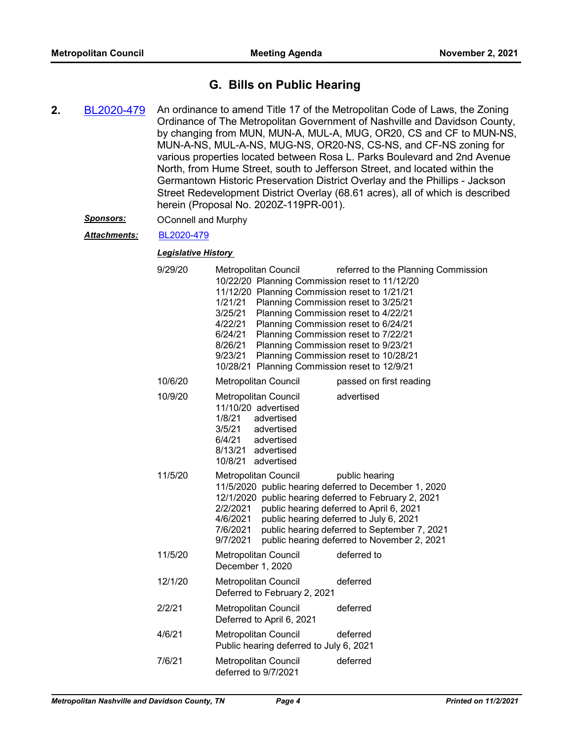## **G. Bills on Public Hearing**

**2.** [BL2020-479](http://nashville.legistar.com/gateway.aspx?m=l&id=/matter.aspx?key=1372) An ordinance to amend Title 17 of the Metropolitan Code of Laws, the Zoning Ordinance of The Metropolitan Government of Nashville and Davidson County, by changing from MUN, MUN-A, MUL-A, MUG, OR20, CS and CF to MUN-NS, MUN-A-NS, MUL-A-NS, MUG-NS, OR20-NS, CS-NS, and CF-NS zoning for various properties located between Rosa L. Parks Boulevard and 2nd Avenue North, from Hume Street, south to Jefferson Street, and located within the Germantown Historic Preservation District Overlay and the Phillips - Jackson Street Redevelopment District Overlay (68.61 acres), all of which is described herein (Proposal No. 2020Z-119PR-001).

#### *Sponsors:* OConnell and Murphy

#### *Attachments:* [BL2020-479](http://nashville.legistar.com/gateway.aspx?M=F&ID=b63127af-23a1-490f-b955-317e9f38b6eb.pdf)

| 9/29/20 | Metropolitan Council<br>referred to the Planning Commission<br>10/22/20 Planning Commission reset to 11/12/20<br>11/12/20 Planning Commission reset to 1/21/21<br>1/21/21<br>Planning Commission reset to 3/25/21<br>Planning Commission reset to 4/22/21<br>3/25/21<br>4/22/21<br>Planning Commission reset to 6/24/21<br>6/24/21<br>Planning Commission reset to 7/22/21<br>Planning Commission reset to 9/23/21<br>8/26/21<br>Planning Commission reset to 10/28/21<br>9/23/21<br>10/28/21 Planning Commission reset to 12/9/21 |  |
|---------|------------------------------------------------------------------------------------------------------------------------------------------------------------------------------------------------------------------------------------------------------------------------------------------------------------------------------------------------------------------------------------------------------------------------------------------------------------------------------------------------------------------------------------|--|
| 10/6/20 | <b>Metropolitan Council</b><br>passed on first reading                                                                                                                                                                                                                                                                                                                                                                                                                                                                             |  |
| 10/9/20 | advertised<br>Metropolitan Council<br>11/10/20 advertised<br>1/8/21<br>advertised<br>3/5/21<br>advertised<br>6/4/21<br>advertised<br>8/13/21 advertised<br>10/8/21 advertised                                                                                                                                                                                                                                                                                                                                                      |  |
| 11/5/20 | Metropolitan Council<br>public hearing<br>11/5/2020 public hearing deferred to December 1, 2020<br>12/1/2020 public hearing deferred to February 2, 2021<br>public hearing deferred to April 6, 2021<br>2/2/2021<br>public hearing deferred to July 6, 2021<br>4/6/2021<br>7/6/2021<br>public hearing deferred to September 7, 2021<br>public hearing deferred to November 2, 2021<br>9/7/2021                                                                                                                                     |  |
| 11/5/20 | deferred to<br>Metropolitan Council<br>December 1, 2020                                                                                                                                                                                                                                                                                                                                                                                                                                                                            |  |
| 12/1/20 | deferred<br>Metropolitan Council<br>Deferred to February 2, 2021                                                                                                                                                                                                                                                                                                                                                                                                                                                                   |  |
| 2/2/21  | Metropolitan Council<br>deferred<br>Deferred to April 6, 2021                                                                                                                                                                                                                                                                                                                                                                                                                                                                      |  |
| 4/6/21  | Metropolitan Council<br>deferred<br>Public hearing deferred to July 6, 2021                                                                                                                                                                                                                                                                                                                                                                                                                                                        |  |
| 7/6/21  | deferred<br>Metropolitan Council<br>deferred to 9/7/2021                                                                                                                                                                                                                                                                                                                                                                                                                                                                           |  |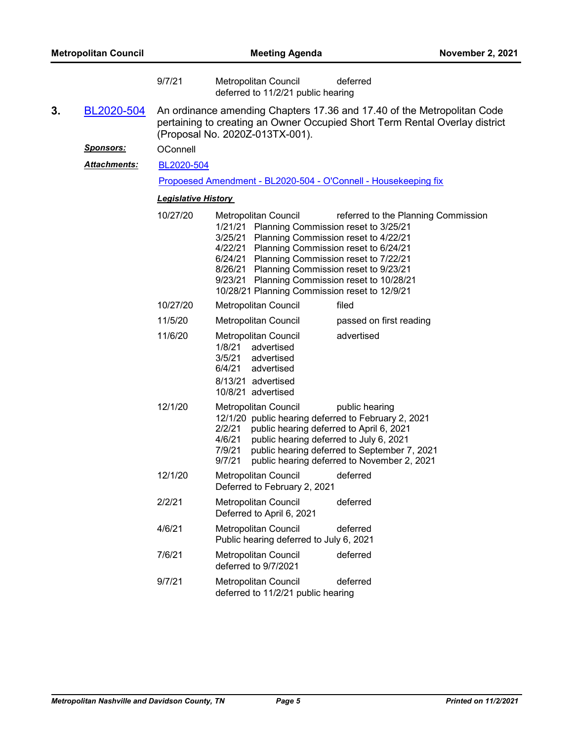|    |                     | 9/7/21                     | Metropolitan Council<br>deferred<br>deferred to 11/2/21 public hearing                                                                                                                                                                                                                                                                                                                                               |
|----|---------------------|----------------------------|----------------------------------------------------------------------------------------------------------------------------------------------------------------------------------------------------------------------------------------------------------------------------------------------------------------------------------------------------------------------------------------------------------------------|
| 3. | BL2020-504          |                            | An ordinance amending Chapters 17.36 and 17.40 of the Metropolitan Code<br>pertaining to creating an Owner Occupied Short Term Rental Overlay district<br>(Proposal No. 2020Z-013TX-001).                                                                                                                                                                                                                            |
|    | <u>Sponsors:</u>    | OConnell                   |                                                                                                                                                                                                                                                                                                                                                                                                                      |
|    | <b>Attachments:</b> | BL2020-504                 |                                                                                                                                                                                                                                                                                                                                                                                                                      |
|    |                     |                            | Propoesed Amendment - BL2020-504 - O'Connell - Housekeeping fix                                                                                                                                                                                                                                                                                                                                                      |
|    |                     | <b>Legislative History</b> |                                                                                                                                                                                                                                                                                                                                                                                                                      |
|    |                     | 10/27/20                   | <b>Metropolitan Council</b><br>referred to the Planning Commission<br>1/21/21 Planning Commission reset to 3/25/21<br>3/25/21 Planning Commission reset to 4/22/21<br>4/22/21 Planning Commission reset to 6/24/21<br>6/24/21 Planning Commission reset to 7/22/21<br>8/26/21 Planning Commission reset to 9/23/21<br>9/23/21 Planning Commission reset to 10/28/21<br>10/28/21 Planning Commission reset to 12/9/21 |
|    |                     | 10/27/20                   | Metropolitan Council<br>filed                                                                                                                                                                                                                                                                                                                                                                                        |
|    |                     | 11/5/20                    | Metropolitan Council<br>passed on first reading                                                                                                                                                                                                                                                                                                                                                                      |
|    |                     | 11/6/20                    | advertised<br>Metropolitan Council<br>1/8/21<br>advertised<br>3/5/21<br>advertised<br>6/4/21<br>advertised<br>8/13/21 advertised<br>10/8/21 advertised                                                                                                                                                                                                                                                               |
|    |                     | 12/1/20                    | Metropolitan Council<br>public hearing<br>12/1/20 public hearing deferred to February 2, 2021<br>2/2/21<br>public hearing deferred to April 6, 2021<br>4/6/21<br>public hearing deferred to July 6, 2021<br>7/9/21<br>public hearing deferred to September 7, 2021<br>9/7/21<br>public hearing deferred to November 2, 2021                                                                                          |
|    |                     | 12/1/20                    | deferred<br>Metropolitan Council<br>Deferred to February 2, 2021                                                                                                                                                                                                                                                                                                                                                     |
|    |                     | 2/2/21                     | deferred<br>Metropolitan Council<br>Deferred to April 6, 2021                                                                                                                                                                                                                                                                                                                                                        |
|    |                     | 4/6/21                     | deferred<br><b>Metropolitan Council</b><br>Public hearing deferred to July 6, 2021                                                                                                                                                                                                                                                                                                                                   |
|    |                     | 7/6/21                     | deferred<br><b>Metropolitan Council</b><br>deferred to 9/7/2021                                                                                                                                                                                                                                                                                                                                                      |
|    |                     | 9/7/21                     | Metropolitan Council<br>deferred<br>deferred to 11/2/21 public hearing                                                                                                                                                                                                                                                                                                                                               |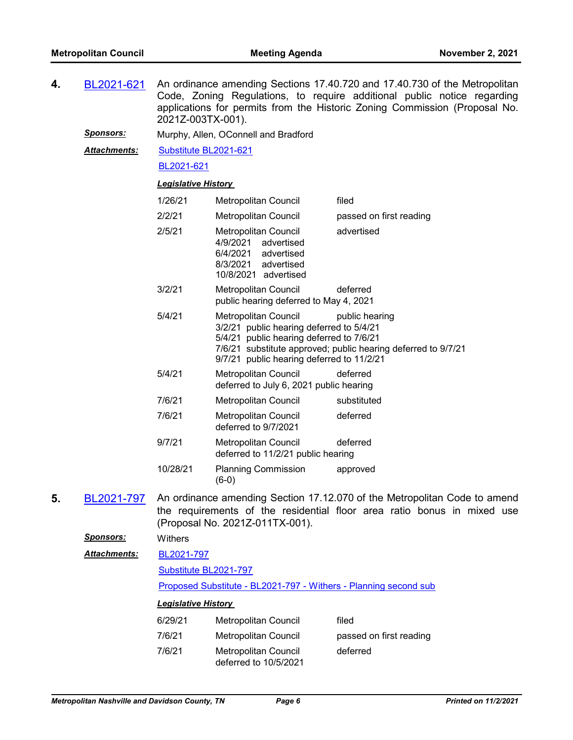**4.** [BL2021-621](http://nashville.legistar.com/gateway.aspx?m=l&id=/matter.aspx?key=1884) An ordinance amending Sections 17.40.720 and 17.40.730 of the Metropolitan Code, Zoning Regulations, to require additional public notice regarding applications for permits from the Historic Zoning Commission (Proposal No. 2021Z-003TX-001).

*Sponsors:* Murphy, Allen, OConnell and Bradford

[Substitute BL2021-621](http://nashville.legistar.com/gateway.aspx?M=F&ID=f42f4325-063e-4de1-88ba-0dc1d25885dc.pdf) *Attachments:*

[BL2021-621](http://nashville.legistar.com/gateway.aspx?M=F&ID=cabdbfec-c279-4032-aba7-2f91afe36156.pdf)

#### *Legislative History*

| 1/26/21  | Metropolitan Council                                                                                                                                                            | filed                                                                                                                                                                                                                                                                                                                                                                                |
|----------|---------------------------------------------------------------------------------------------------------------------------------------------------------------------------------|--------------------------------------------------------------------------------------------------------------------------------------------------------------------------------------------------------------------------------------------------------------------------------------------------------------------------------------------------------------------------------------|
| 2/2/21   | Metropolitan Council                                                                                                                                                            | passed on first reading                                                                                                                                                                                                                                                                                                                                                              |
| 2/5/21   | Metropolitan Council<br>4/9/2021 advertised<br>6/4/2021 advertised<br>8/3/2021 advertised<br>10/8/2021 advertised                                                               | advertised                                                                                                                                                                                                                                                                                                                                                                           |
| 3/2/21   | Metropolitan Council<br>public hearing deferred to May 4, 2021                                                                                                                  | deferred                                                                                                                                                                                                                                                                                                                                                                             |
| 5/4/21   | Metropolitan Council <i>public</i> hearing<br>3/2/21 public hearing deferred to 5/4/21<br>5/4/21 public hearing deferred to 7/6/21<br>9/7/21 public hearing deferred to 11/2/21 | 7/6/21 substitute approved; public hearing deferred to 9/7/21                                                                                                                                                                                                                                                                                                                        |
| 5/4/21   | Metropolitan Council<br>deferred to July 6, 2021 public hearing                                                                                                                 | deferred                                                                                                                                                                                                                                                                                                                                                                             |
| 7/6/21   | <b>Metropolitan Council</b>                                                                                                                                                     | substituted                                                                                                                                                                                                                                                                                                                                                                          |
| 7/6/21   | Metropolitan Council<br>deferred to 9/7/2021                                                                                                                                    | deferred                                                                                                                                                                                                                                                                                                                                                                             |
| 9/7/21   | Metropolitan Council<br>deferred to 11/2/21 public hearing                                                                                                                      | deferred                                                                                                                                                                                                                                                                                                                                                                             |
| 10/28/21 | <b>Planning Commission</b><br>$(6-0)$                                                                                                                                           | approved                                                                                                                                                                                                                                                                                                                                                                             |
|          | $\sim$ $\sim$                                                                                                                                                                   | $\overline{1}$ $\overline{1}$ $\overline{2}$ $\overline{3}$ $\overline{2}$ $\overline{3}$ $\overline{1}$ $\overline{2}$ $\overline{1}$ $\overline{1}$ $\overline{1}$ $\overline{1}$ $\overline{1}$ $\overline{1}$ $\overline{1}$ $\overline{1}$ $\overline{1}$ $\overline{1}$ $\overline{1}$ $\overline{1}$ $\overline{1}$ $\overline{1}$ $\overline{1}$ $\overline{1}$ $\overline{$ |

**5.** [BL2021-797](http://nashville.legistar.com/gateway.aspx?m=l&id=/matter.aspx?key=13340) An ordinance amending Section 17.12.070 of the Metropolitan Code to amend the requirements of the residential floor area ratio bonus in mixed use (Proposal No. 2021Z-011TX-001).

*Sponsors:* Withers

| <b>Attachments:</b> | BL2021-797            |
|---------------------|-----------------------|
|                     | Substitute BL2021-797 |

[Proposed Substitute - BL2021-797 - Withers - Planning second sub](http://nashville.legistar.com/gateway.aspx?M=F&ID=2c7b27df-b917-4bb9-8939-9eb006ae9bf9.docx)

| 6/29/21 | Metropolitan Council                          | filed                   |
|---------|-----------------------------------------------|-------------------------|
| 7/6/21  | Metropolitan Council                          | passed on first reading |
| 7/6/21  | Metropolitan Council<br>deferred to 10/5/2021 | deferred                |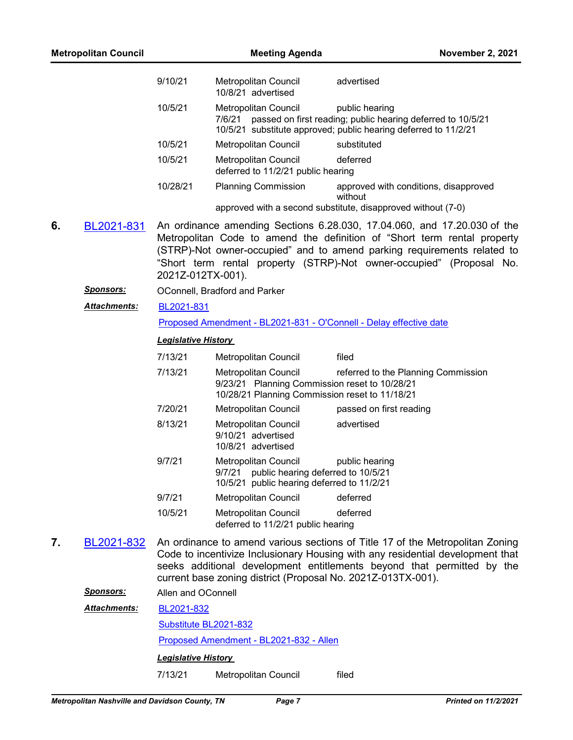| <b>Metropolitan Council</b> |                  | <b>Meeting Agenda</b>      |                                                                                                                         | <b>November 2, 2021</b>                                                                                                                                                                                                                                                                                 |
|-----------------------------|------------------|----------------------------|-------------------------------------------------------------------------------------------------------------------------|---------------------------------------------------------------------------------------------------------------------------------------------------------------------------------------------------------------------------------------------------------------------------------------------------------|
|                             |                  | 9/10/21                    | <b>Metropolitan Council</b><br>10/8/21 advertised                                                                       | advertised                                                                                                                                                                                                                                                                                              |
|                             |                  | 10/5/21                    | Metropolitan Council<br>7/6/21                                                                                          | public hearing<br>passed on first reading; public hearing deferred to 10/5/21<br>10/5/21 substitute approved; public hearing deferred to 11/2/21                                                                                                                                                        |
|                             |                  | 10/5/21                    | Metropolitan Council                                                                                                    | substituted                                                                                                                                                                                                                                                                                             |
|                             |                  | 10/5/21                    | <b>Metropolitan Council</b><br>deferred to 11/2/21 public hearing                                                       | deferred                                                                                                                                                                                                                                                                                                |
|                             |                  | 10/28/21                   | <b>Planning Commission</b>                                                                                              | approved with conditions, disapproved<br>without                                                                                                                                                                                                                                                        |
|                             |                  |                            |                                                                                                                         | approved with a second substitute, disapproved without (7-0)                                                                                                                                                                                                                                            |
| 6.                          | BL2021-831       | 2021Z-012TX-001).          |                                                                                                                         | An ordinance amending Sections 6.28.030, 17.04.060, and 17.20.030 of the<br>Metropolitan Code to amend the definition of "Short term rental property<br>(STRP)-Not owner-occupied" and to amend parking requirements related to<br>"Short term rental property (STRP)-Not owner-occupied" (Proposal No. |
|                             | <b>Sponsors:</b> |                            | OConnell, Bradford and Parker                                                                                           |                                                                                                                                                                                                                                                                                                         |
|                             | Attachments:     | BL2021-831                 |                                                                                                                         |                                                                                                                                                                                                                                                                                                         |
|                             |                  |                            | Proposed Amendment - BL2021-831 - O'Connell - Delay effective date                                                      |                                                                                                                                                                                                                                                                                                         |
|                             |                  | <b>Legislative History</b> |                                                                                                                         |                                                                                                                                                                                                                                                                                                         |
|                             |                  | 7/13/21                    | Metropolitan Council                                                                                                    | filed                                                                                                                                                                                                                                                                                                   |
|                             |                  | 7/13/21                    | Metropolitan Council<br>9/23/21 Planning Commission reset to 10/28/21<br>10/28/21 Planning Commission reset to 11/18/21 | referred to the Planning Commission                                                                                                                                                                                                                                                                     |
|                             |                  | 7/20/21                    | Metropolitan Council                                                                                                    | passed on first reading                                                                                                                                                                                                                                                                                 |
|                             |                  | 8/13/21                    | Metropolitan Council<br>9/10/21 advertised<br>10/8/21 advertised                                                        | advertised                                                                                                                                                                                                                                                                                              |
|                             |                  | 9/7/21                     | Metropolitan Council<br>9/7/21<br>public hearing deferred to 10/5/21<br>10/5/21 public hearing deferred to 11/2/21      | public hearing                                                                                                                                                                                                                                                                                          |
|                             |                  | 9/7/21                     | Metropolitan Council                                                                                                    | deferred                                                                                                                                                                                                                                                                                                |
|                             |                  | 10/5/21                    | Metropolitan Council<br>deferred to 11/2/21 public hearing                                                              | deferred                                                                                                                                                                                                                                                                                                |
| 7.                          | BL2021-832       |                            | current base zoning district (Proposal No. 2021Z-013TX-001).                                                            | An ordinance to amend various sections of Title 17 of the Metropolitan Zoning<br>Code to incentivize Inclusionary Housing with any residential development that<br>seeks additional development entitlements beyond that permitted by the                                                               |
|                             | <u>Sponsors:</u> | Allen and OConnell         |                                                                                                                         |                                                                                                                                                                                                                                                                                                         |
|                             | Attachments:     | BL2021-832                 |                                                                                                                         |                                                                                                                                                                                                                                                                                                         |
|                             |                  | Substitute BL2021-832      |                                                                                                                         |                                                                                                                                                                                                                                                                                                         |
|                             |                  |                            | Proposed Amendment - BL2021-832 - Allen                                                                                 |                                                                                                                                                                                                                                                                                                         |
|                             |                  | <b>Legislative History</b> |                                                                                                                         |                                                                                                                                                                                                                                                                                                         |
|                             |                  | 7/13/21                    | Metropolitan Council                                                                                                    | filed                                                                                                                                                                                                                                                                                                   |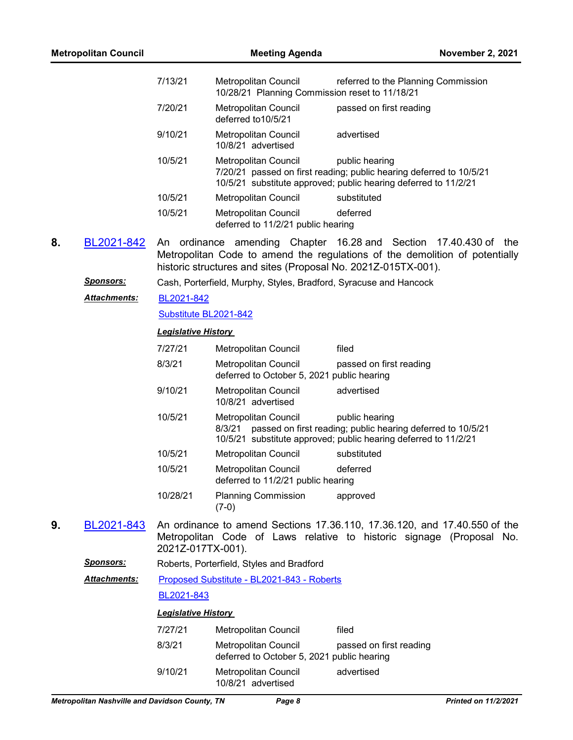| <b>Metropolitan Council</b> |                     | <b>Meeting Agenda</b>      |                                                                        | November 2, 2021                                                                                                                                         |
|-----------------------------|---------------------|----------------------------|------------------------------------------------------------------------|----------------------------------------------------------------------------------------------------------------------------------------------------------|
|                             |                     | 7/13/21                    | Metropolitan Council<br>10/28/21 Planning Commission reset to 11/18/21 | referred to the Planning Commission                                                                                                                      |
|                             |                     | 7/20/21                    | <b>Metropolitan Council</b><br>deferred to 10/5/21                     | passed on first reading                                                                                                                                  |
|                             |                     | 9/10/21                    | Metropolitan Council<br>10/8/21 advertised                             | advertised                                                                                                                                               |
|                             |                     | 10/5/21                    | Metropolitan Council                                                   | public hearing<br>7/20/21 passed on first reading; public hearing deferred to 10/5/21<br>10/5/21 substitute approved; public hearing deferred to 11/2/21 |
|                             |                     | 10/5/21                    | Metropolitan Council                                                   | substituted                                                                                                                                              |
|                             |                     | 10/5/21                    | Metropolitan Council<br>deferred to 11/2/21 public hearing             | deferred                                                                                                                                                 |
| 8.                          | BL2021-842          |                            | historic structures and sites (Proposal No. 2021Z-015TX-001).          | An ordinance amending Chapter 16.28 and Section 17.40.430 of the<br>Metropolitan Code to amend the regulations of the demolition of potentially          |
|                             | <u>Sponsors:</u>    |                            | Cash, Porterfield, Murphy, Styles, Bradford, Syracuse and Hancock      |                                                                                                                                                          |
|                             | <b>Attachments:</b> | BL2021-842                 |                                                                        |                                                                                                                                                          |
|                             |                     | Substitute BL2021-842      |                                                                        |                                                                                                                                                          |
|                             |                     | <b>Legislative History</b> |                                                                        |                                                                                                                                                          |
|                             |                     | 7/27/21                    | Metropolitan Council                                                   | filed                                                                                                                                                    |
|                             |                     | 8/3/21                     | Metropolitan Council<br>deferred to October 5, 2021 public hearing     | passed on first reading                                                                                                                                  |
|                             |                     | 9/10/21                    | Metropolitan Council<br>10/8/21 advertised                             | advertised                                                                                                                                               |
|                             |                     | 10/5/21                    | Metropolitan Council<br>8/3/21                                         | public hearing<br>passed on first reading; public hearing deferred to 10/5/21<br>10/5/21 substitute approved; public hearing deferred to 11/2/21         |
|                             |                     | 10/5/21                    | Metropolitan Council                                                   | substituted                                                                                                                                              |
|                             |                     | 10/5/21                    | <b>Metropolitan Council</b><br>deferred to 11/2/21 public hearing      | deferred                                                                                                                                                 |
|                             |                     | 10/28/21                   | <b>Planning Commission</b><br>$(7-0)$                                  | approved                                                                                                                                                 |
| 9.                          | BL2021-843          | 2021Z-017TX-001).          |                                                                        | An ordinance to amend Sections 17.36.110, 17.36.120, and 17.40.550 of the<br>Metropolitan Code of Laws relative to historic signage (Proposal No.        |
|                             | <b>Sponsors:</b>    |                            | Roberts, Porterfield, Styles and Bradford                              |                                                                                                                                                          |
|                             | Attachments:        |                            | Proposed Substitute - BL2021-843 - Roberts                             |                                                                                                                                                          |
|                             |                     | BL2021-843                 |                                                                        |                                                                                                                                                          |
|                             |                     | <b>Legislative History</b> |                                                                        |                                                                                                                                                          |
|                             |                     | 7/27/21                    | Metropolitan Council                                                   | filed                                                                                                                                                    |
|                             |                     | 8/3/21                     | Metropolitan Council<br>deferred to October 5, 2021 public hearing     | passed on first reading                                                                                                                                  |
|                             |                     | 9/10/21                    | Metropolitan Council<br>10/8/21 advertised                             | advertised                                                                                                                                               |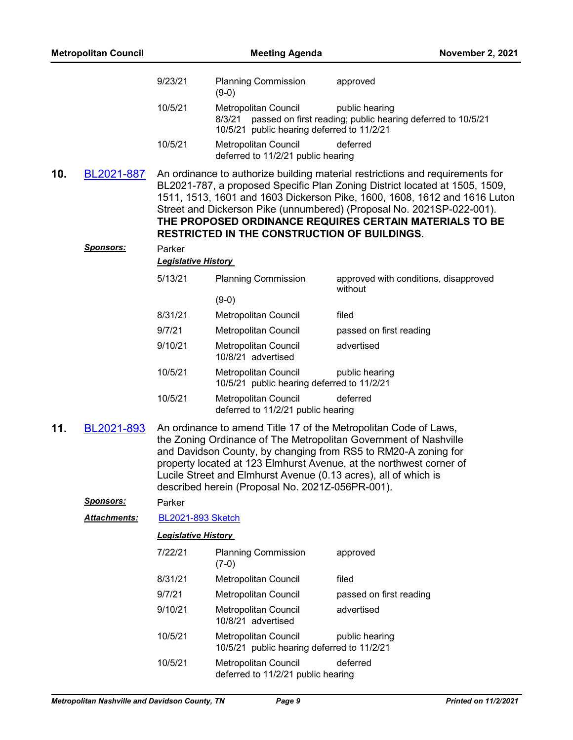| <b>Metropolitan Council</b> |                   | <b>Meeting Agenda</b>                |                                                                                                                     | <b>November 2, 2021</b>                                                                                                                                                                                                                                                                                                                                                       |
|-----------------------------|-------------------|--------------------------------------|---------------------------------------------------------------------------------------------------------------------|-------------------------------------------------------------------------------------------------------------------------------------------------------------------------------------------------------------------------------------------------------------------------------------------------------------------------------------------------------------------------------|
|                             |                   | 9/23/21                              | <b>Planning Commission</b><br>$(9-0)$                                                                               | approved                                                                                                                                                                                                                                                                                                                                                                      |
|                             |                   | 10/5/21                              | Metropolitan Council<br>8/3/21<br>10/5/21 public hearing deferred to 11/2/21                                        | public hearing<br>passed on first reading; public hearing deferred to 10/5/21                                                                                                                                                                                                                                                                                                 |
|                             |                   | 10/5/21                              | <b>Metropolitan Council</b><br>deferred to 11/2/21 public hearing                                                   | deferred                                                                                                                                                                                                                                                                                                                                                                      |
| 10.                         | <u>BL2021-887</u> |                                      | <b>RESTRICTED IN THE CONSTRUCTION OF BUILDINGS.</b>                                                                 | An ordinance to authorize building material restrictions and requirements for<br>BL2021-787, a proposed Specific Plan Zoning District located at 1505, 1509,<br>1511, 1513, 1601 and 1603 Dickerson Pike, 1600, 1608, 1612 and 1616 Luton<br>Street and Dickerson Pike (unnumbered) (Proposal No. 2021SP-022-001).<br>THE PROPOSED ORDINANCE REQUIRES CERTAIN MATERIALS TO BE |
|                             | <u>Sponsors:</u>  | Parker<br><b>Legislative History</b> |                                                                                                                     |                                                                                                                                                                                                                                                                                                                                                                               |
|                             |                   | 5/13/21                              | <b>Planning Commission</b>                                                                                          | approved with conditions, disapproved<br>without                                                                                                                                                                                                                                                                                                                              |
|                             |                   |                                      | $(9-0)$                                                                                                             |                                                                                                                                                                                                                                                                                                                                                                               |
|                             |                   | 8/31/21                              | Metropolitan Council                                                                                                | filed                                                                                                                                                                                                                                                                                                                                                                         |
|                             |                   | 9/7/21                               | Metropolitan Council                                                                                                | passed on first reading                                                                                                                                                                                                                                                                                                                                                       |
|                             |                   | 9/10/21                              | Metropolitan Council<br>10/8/21 advertised                                                                          | advertised                                                                                                                                                                                                                                                                                                                                                                    |
|                             |                   | 10/5/21                              | <b>Metropolitan Council</b><br>10/5/21 public hearing deferred to 11/2/21                                           | public hearing                                                                                                                                                                                                                                                                                                                                                                |
|                             |                   | 10/5/21                              | Metropolitan Council<br>deferred to 11/2/21 public hearing                                                          | deferred                                                                                                                                                                                                                                                                                                                                                                      |
| 11.                         | BL2021-893        |                                      | Lucile Street and Elmhurst Avenue (0.13 acres), all of which is<br>described herein (Proposal No. 2021Z-056PR-001). | An ordinance to amend Title 17 of the Metropolitan Code of Laws,<br>the Zoning Ordinance of The Metropolitan Government of Nashville<br>and Davidson County, by changing from RS5 to RM20-A zoning for<br>property located at 123 Elmhurst Avenue, at the northwest corner of                                                                                                 |
|                             | <b>Sponsors:</b>  | Parker                               |                                                                                                                     |                                                                                                                                                                                                                                                                                                                                                                               |
|                             | Attachments:      | <b>BL2021-893 Sketch</b>             |                                                                                                                     |                                                                                                                                                                                                                                                                                                                                                                               |
|                             |                   | <b>Legislative History</b>           |                                                                                                                     |                                                                                                                                                                                                                                                                                                                                                                               |
|                             |                   | 7/22/21                              | <b>Planning Commission</b><br>$(7-0)$                                                                               | approved                                                                                                                                                                                                                                                                                                                                                                      |
|                             |                   | 8/31/21                              | Metropolitan Council                                                                                                | filed                                                                                                                                                                                                                                                                                                                                                                         |
|                             |                   | 9/7/21                               | Metropolitan Council                                                                                                | passed on first reading                                                                                                                                                                                                                                                                                                                                                       |
|                             |                   | 9/10/21                              | Metropolitan Council<br>10/8/21 advertised                                                                          | advertised                                                                                                                                                                                                                                                                                                                                                                    |
|                             |                   | 10/5/21                              | Metropolitan Council<br>10/5/21 public hearing deferred to 11/2/21                                                  | public hearing                                                                                                                                                                                                                                                                                                                                                                |
|                             |                   | 10/5/21                              | Metropolitan Council<br>deferred to 11/2/21 public hearing                                                          | deferred                                                                                                                                                                                                                                                                                                                                                                      |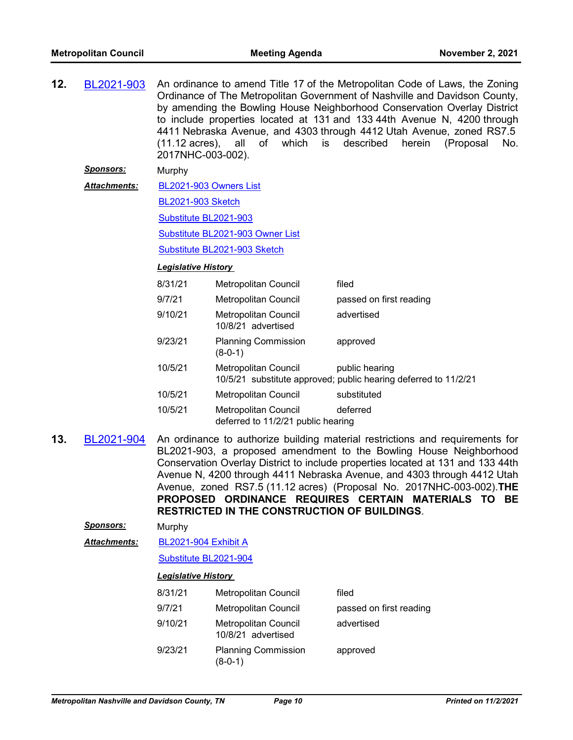**12.** [BL2021-903](http://nashville.legistar.com/gateway.aspx?m=l&id=/matter.aspx?key=13498) An ordinance to amend Title 17 of the Metropolitan Code of Laws, the Zoning Ordinance of The Metropolitan Government of Nashville and Davidson County, by amending the Bowling House Neighborhood Conservation Overlay District to include properties located at 131 and 133 44th Avenue N, 4200 through 4411 Nebraska Avenue, and 4303 through 4412 Utah Avenue, zoned RS7.5 (11.12 acres), all of which is described herein (Proposal No. 2017NHC-003-002).

*Sponsors:* Murphy

[BL2021-903 Owners List](http://nashville.legistar.com/gateway.aspx?M=F&ID=f8861436-ef21-40aa-a60d-91f2120f63e5.xlsx) *Attachments:*

[BL2021-903 Sketch](http://nashville.legistar.com/gateway.aspx?M=F&ID=091ba104-8ff8-4bd0-a56d-0a81b0288709.docx)

[Substitute BL2021-903](http://nashville.legistar.com/gateway.aspx?M=F&ID=5d20162d-1a5d-43de-8fb5-81a25e758d7f.docx)

[Substitute BL2021-903 Owner List](http://nashville.legistar.com/gateway.aspx?M=F&ID=d9503ccd-30a7-4e6d-b5c3-a2df9b7cfebf.xlsx)

[Substitute BL2021-903 Sketch](http://nashville.legistar.com/gateway.aspx?M=F&ID=3cb19f23-f376-4160-ae1c-25cc1490c9a5.docx)

#### *Legislative History*

| 8/31/21 | <b>Metropolitan Council</b>                                | filed                                                                             |
|---------|------------------------------------------------------------|-----------------------------------------------------------------------------------|
| 9/7/21  | Metropolitan Council                                       | passed on first reading                                                           |
| 9/10/21 | <b>Metropolitan Council</b><br>10/8/21 advertised          | advertised                                                                        |
| 9/23/21 | <b>Planning Commission</b><br>(8-0-1)                      | approved                                                                          |
| 10/5/21 | Metropolitan Council                                       | public hearing<br>10/5/21 substitute approved; public hearing deferred to 11/2/21 |
| 10/5/21 | <b>Metropolitan Council</b>                                | substituted                                                                       |
| 10/5/21 | Metropolitan Council<br>deferred to 11/2/21 public hearing | deferred                                                                          |

- **13.** [BL2021-904](http://nashville.legistar.com/gateway.aspx?m=l&id=/matter.aspx?key=13538) An ordinance to authorize building material restrictions and requirements for BL2021-903, a proposed amendment to the Bowling House Neighborhood Conservation Overlay District to include properties located at 131 and 133 44th Avenue N, 4200 through 4411 Nebraska Avenue, and 4303 through 4412 Utah Avenue, zoned RS7.5 (11.12 acres) (Proposal No. 2017NHC-003-002).**THE PROPOSED ORDINANCE REQUIRES CERTAIN MATERIALS TO BE RESTRICTED IN THE CONSTRUCTION OF BUILDINGS**.
	- *Sponsors:* Murphy
	- [BL2021-904 Exhibit A](http://nashville.legistar.com/gateway.aspx?M=F&ID=c5dc25c4-490e-4ad1-96e8-8d584d83d82a.pdf) *Attachments:*

[Substitute BL2021-904](http://nashville.legistar.com/gateway.aspx?M=F&ID=b139e8ca-b94f-4b3a-8b29-b40c99db1431.docx)

| 8/31/21 | <b>Metropolitan Council</b>                | filed                   |
|---------|--------------------------------------------|-------------------------|
| 9/7/21  | Metropolitan Council                       | passed on first reading |
| 9/10/21 | Metropolitan Council<br>10/8/21 advertised | advertised              |
| 9/23/21 | <b>Planning Commission</b><br>(8-0-1)      | approved                |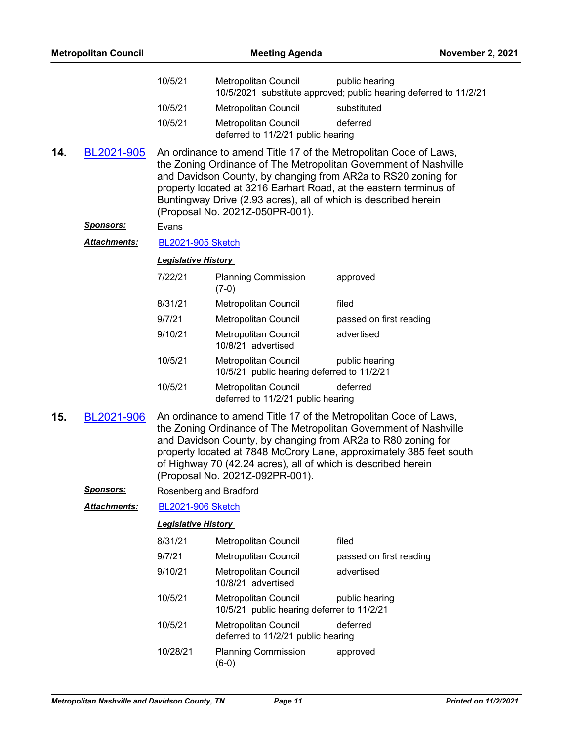| <b>Metropolitan Council</b> |                     | <b>Meeting Agenda</b>      |                                                                                                  | <b>November 2, 2021</b>                                                                                                                                                                                                                                                                                                                       |
|-----------------------------|---------------------|----------------------------|--------------------------------------------------------------------------------------------------|-----------------------------------------------------------------------------------------------------------------------------------------------------------------------------------------------------------------------------------------------------------------------------------------------------------------------------------------------|
|                             |                     | 10/5/21                    | Metropolitan Council                                                                             | public hearing<br>10/5/2021 substitute approved; public hearing deferred to 11/2/21                                                                                                                                                                                                                                                           |
|                             |                     | 10/5/21                    | Metropolitan Council                                                                             | substituted                                                                                                                                                                                                                                                                                                                                   |
|                             |                     | 10/5/21                    | Metropolitan Council<br>deferred to 11/2/21 public hearing                                       | deferred                                                                                                                                                                                                                                                                                                                                      |
| 14.                         | BL2021-905          |                            | (Proposal No. 2021Z-050PR-001).                                                                  | An ordinance to amend Title 17 of the Metropolitan Code of Laws,<br>the Zoning Ordinance of The Metropolitan Government of Nashville<br>and Davidson County, by changing from AR2a to RS20 zoning for<br>property located at 3216 Earhart Road, at the eastern terminus of<br>Buntingway Drive (2.93 acres), all of which is described herein |
|                             | <u>Sponsors:</u>    | Evans                      |                                                                                                  |                                                                                                                                                                                                                                                                                                                                               |
|                             | <b>Attachments:</b> | <b>BL2021-905 Sketch</b>   |                                                                                                  |                                                                                                                                                                                                                                                                                                                                               |
|                             |                     | <b>Legislative History</b> |                                                                                                  |                                                                                                                                                                                                                                                                                                                                               |
|                             |                     | 7/22/21                    | <b>Planning Commission</b><br>$(7-0)$                                                            | approved                                                                                                                                                                                                                                                                                                                                      |
|                             |                     | 8/31/21                    | Metropolitan Council                                                                             | filed                                                                                                                                                                                                                                                                                                                                         |
|                             |                     | 9/7/21                     | Metropolitan Council                                                                             | passed on first reading                                                                                                                                                                                                                                                                                                                       |
|                             |                     | 9/10/21                    | <b>Metropolitan Council</b><br>10/8/21 advertised                                                | advertised                                                                                                                                                                                                                                                                                                                                    |
|                             |                     | 10/5/21                    | Metropolitan Council<br>10/5/21 public hearing deferred to 11/2/21                               | public hearing                                                                                                                                                                                                                                                                                                                                |
|                             |                     | 10/5/21                    | Metropolitan Council<br>deferred to 11/2/21 public hearing                                       | deferred                                                                                                                                                                                                                                                                                                                                      |
| 15.                         | BL2021-906          |                            | of Highway 70 (42.24 acres), all of which is described herein<br>(Proposal No. 2021Z-092PR-001). | An ordinance to amend Title 17 of the Metropolitan Code of Laws,<br>the Zoning Ordinance of The Metropolitan Government of Nashville<br>and Davidson County, by changing from AR2a to R80 zoning for<br>property located at 7848 McCrory Lane, approximately 385 feet south                                                                   |
|                             | <b>Sponsors:</b>    |                            | Rosenberg and Bradford                                                                           |                                                                                                                                                                                                                                                                                                                                               |
|                             | Attachments:        | <b>BL2021-906 Sketch</b>   |                                                                                                  |                                                                                                                                                                                                                                                                                                                                               |
|                             |                     | <b>Legislative History</b> |                                                                                                  |                                                                                                                                                                                                                                                                                                                                               |
|                             |                     | 8/31/21                    | Metropolitan Council                                                                             | filed                                                                                                                                                                                                                                                                                                                                         |
|                             |                     | 9/7/21                     | <b>Metropolitan Council</b>                                                                      | passed on first reading                                                                                                                                                                                                                                                                                                                       |
|                             |                     | 9/10/21                    | Metropolitan Council<br>10/8/21 advertised                                                       | advertised                                                                                                                                                                                                                                                                                                                                    |
|                             |                     | 10/5/21                    | Metropolitan Council<br>10/5/21 public hearing deferrer to 11/2/21                               | public hearing                                                                                                                                                                                                                                                                                                                                |
|                             |                     | 10/5/21                    | Metropolitan Council<br>deferred to 11/2/21 public hearing                                       | deferred                                                                                                                                                                                                                                                                                                                                      |
|                             |                     | 10/28/21                   | <b>Planning Commission</b><br>$(6-0)$                                                            | approved                                                                                                                                                                                                                                                                                                                                      |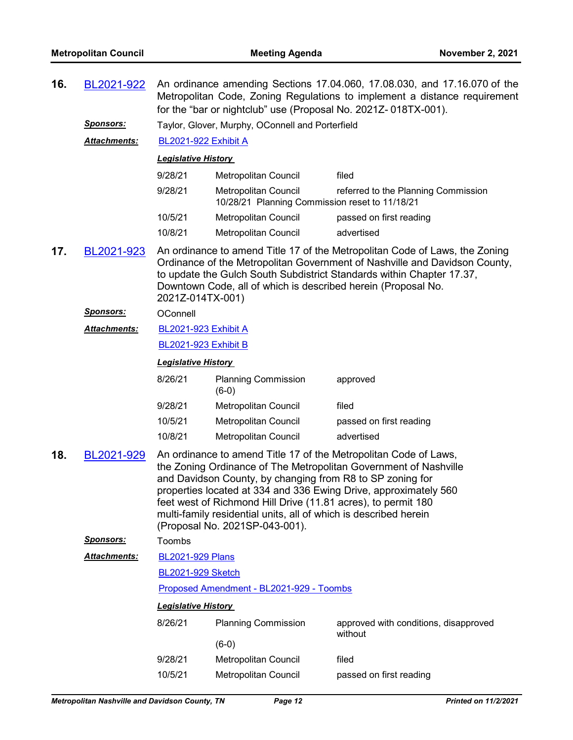| 16. | BL2021-922          | An ordinance amending Sections 17.04.060, 17.08.030, and 17.16.070 of the<br>Metropolitan Code, Zoning Regulations to implement a distance requirement<br>for the "bar or nightclub" use (Proposal No. 2021Z-018TX-001). |                                                                        |                                     |  |
|-----|---------------------|--------------------------------------------------------------------------------------------------------------------------------------------------------------------------------------------------------------------------|------------------------------------------------------------------------|-------------------------------------|--|
|     | <b>Sponsors:</b>    | Taylor, Glover, Murphy, OConnell and Porterfield                                                                                                                                                                         |                                                                        |                                     |  |
|     | <b>Attachments:</b> | <b>BL2021-922 Exhibit A</b>                                                                                                                                                                                              |                                                                        |                                     |  |
|     |                     | <b>Legislative History</b>                                                                                                                                                                                               |                                                                        |                                     |  |
|     |                     | 9/28/21                                                                                                                                                                                                                  | Metropolitan Council                                                   | filed                               |  |
|     |                     | 9/28/21                                                                                                                                                                                                                  | Metropolitan Council<br>10/28/21 Planning Commission reset to 11/18/21 | referred to the Planning Commission |  |
|     |                     | 10/5/21                                                                                                                                                                                                                  | Metropolitan Council                                                   | passed on first reading             |  |
|     |                     | 10/8/21                                                                                                                                                                                                                  | Metropolitan Council                                                   | advertised                          |  |

**17.** [BL2021-923](http://nashville.legistar.com/gateway.aspx?m=l&id=/matter.aspx?key=13658) An ordinance to amend Title 17 of the Metropolitan Code of Laws, the Zoning Ordinance of the Metropolitan Government of Nashville and Davidson County, to update the Gulch South Subdistrict Standards within Chapter 17.37, Downtown Code, all of which is described herein (Proposal No. 2021Z-014TX-001)

#### *Sponsors:* OConnell

[BL2021-923 Exhibit A](http://nashville.legistar.com/gateway.aspx?M=F&ID=916f05a0-21f3-4b06-b505-c135adad8c9d.pdf) *Attachments:*

#### [BL2021-923 Exhibit B](http://nashville.legistar.com/gateway.aspx?M=F&ID=25ace5a0-cdf8-435f-85e6-e8e7494e4a6a.pdf)

#### *Legislative History*

| 8/26/21 | <b>Planning Commission</b><br>$(6-0)$ | approved                |
|---------|---------------------------------------|-------------------------|
| 9/28/21 | Metropolitan Council                  | filed                   |
| 10/5/21 | Metropolitan Council                  | passed on first reading |
| 10/8/21 | Metropolitan Council                  | advertised              |

**18.** [BL2021-929](http://nashville.legistar.com/gateway.aspx?m=l&id=/matter.aspx?key=13649) An ordinance to amend Title 17 of the Metropolitan Code of Laws, the Zoning Ordinance of The Metropolitan Government of Nashville and Davidson County, by changing from R8 to SP zoning for properties located at 334 and 336 Ewing Drive, approximately 560 feet west of Richmond Hill Drive (11.81 acres), to permit 180 multi-family residential units, all of which is described herein (Proposal No. 2021SP-043-001).

*Sponsors:* Toombs

- [BL2021-929 Plans](http://nashville.legistar.com/gateway.aspx?M=F&ID=6d22d1ac-14c9-4ea8-a640-b7a4e2671931.pdf) *Attachments:*
	- [BL2021-929 Sketch](http://nashville.legistar.com/gateway.aspx?M=F&ID=8fec3476-3761-4cdd-a6aa-222c2bf57611.docx)

#### [Proposed Amendment - BL2021-929 - Toombs](http://nashville.legistar.com/gateway.aspx?M=F&ID=a78b3116-90b1-4687-a7c1-44ca27677426.docx)

| 8/26/21 | <b>Planning Commission</b>  | approved with conditions, disapproved<br>without |
|---------|-----------------------------|--------------------------------------------------|
|         | $(6-0)$                     |                                                  |
| 9/28/21 | <b>Metropolitan Council</b> | filed                                            |
| 10/5/21 | Metropolitan Council        | passed on first reading                          |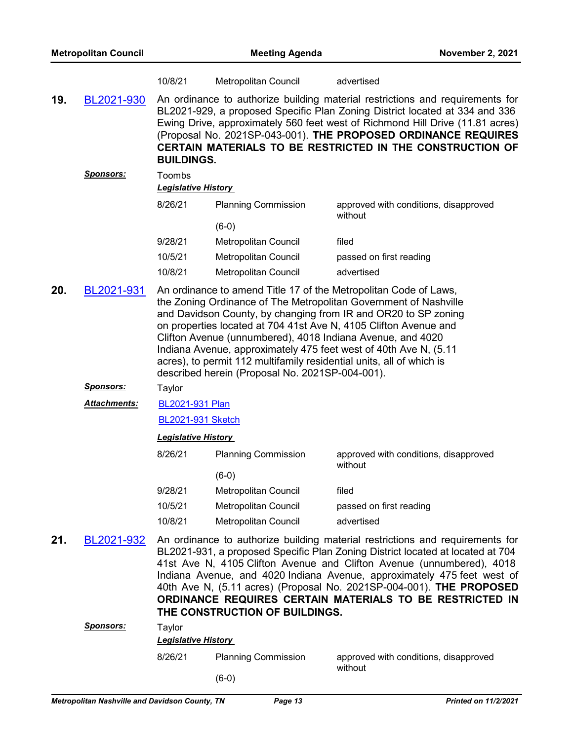|     |                  | 10/8/21                              | Metropolitan Council                                                                                                                                                                  | advertised                                                                                                                                                                                                                                                                                                                                                                                                                                              |
|-----|------------------|--------------------------------------|---------------------------------------------------------------------------------------------------------------------------------------------------------------------------------------|---------------------------------------------------------------------------------------------------------------------------------------------------------------------------------------------------------------------------------------------------------------------------------------------------------------------------------------------------------------------------------------------------------------------------------------------------------|
| 19. | BL2021-930       | <b>BUILDINGS.</b>                    |                                                                                                                                                                                       | An ordinance to authorize building material restrictions and requirements for<br>BL2021-929, a proposed Specific Plan Zoning District located at 334 and 336<br>Ewing Drive, approximately 560 feet west of Richmond Hill Drive (11.81 acres)<br>(Proposal No. 2021SP-043-001). THE PROPOSED ORDINANCE REQUIRES<br><b>CERTAIN MATERIALS TO BE RESTRICTED IN THE CONSTRUCTION OF</b>                                                                     |
|     | <u>Sponsors:</u> | Toombs<br><b>Legislative History</b> |                                                                                                                                                                                       |                                                                                                                                                                                                                                                                                                                                                                                                                                                         |
|     |                  | 8/26/21                              | <b>Planning Commission</b>                                                                                                                                                            | approved with conditions, disapproved<br>without                                                                                                                                                                                                                                                                                                                                                                                                        |
|     |                  |                                      | $(6-0)$                                                                                                                                                                               |                                                                                                                                                                                                                                                                                                                                                                                                                                                         |
|     |                  | 9/28/21                              | Metropolitan Council                                                                                                                                                                  | filed                                                                                                                                                                                                                                                                                                                                                                                                                                                   |
|     |                  | 10/5/21                              | Metropolitan Council                                                                                                                                                                  | passed on first reading                                                                                                                                                                                                                                                                                                                                                                                                                                 |
|     |                  | 10/8/21                              | Metropolitan Council                                                                                                                                                                  | advertised                                                                                                                                                                                                                                                                                                                                                                                                                                              |
| 20. | BL2021-931       |                                      | Clifton Avenue (unnumbered), 4018 Indiana Avenue, and 4020<br>acres), to permit 112 multifamily residential units, all of which is<br>described herein (Proposal No. 2021SP-004-001). | An ordinance to amend Title 17 of the Metropolitan Code of Laws,<br>the Zoning Ordinance of The Metropolitan Government of Nashville<br>and Davidson County, by changing from IR and OR20 to SP zoning<br>on properties located at 704 41st Ave N, 4105 Clifton Avenue and<br>Indiana Avenue, approximately 475 feet west of 40th Ave N, (5.11)                                                                                                         |
|     | <u>Sponsors:</u> | Taylor                               |                                                                                                                                                                                       |                                                                                                                                                                                                                                                                                                                                                                                                                                                         |
|     | Attachments:     | BL2021-931 Plan                      |                                                                                                                                                                                       |                                                                                                                                                                                                                                                                                                                                                                                                                                                         |
|     |                  | <b>BL2021-931 Sketch</b>             |                                                                                                                                                                                       |                                                                                                                                                                                                                                                                                                                                                                                                                                                         |
|     |                  | <b>Legislative History</b>           |                                                                                                                                                                                       |                                                                                                                                                                                                                                                                                                                                                                                                                                                         |
|     |                  | 8/26/21                              | <b>Planning Commission</b>                                                                                                                                                            | approved with conditions, disapproved<br>without                                                                                                                                                                                                                                                                                                                                                                                                        |
|     |                  |                                      | $(6-0)$                                                                                                                                                                               |                                                                                                                                                                                                                                                                                                                                                                                                                                                         |
|     |                  | 9/28/21                              | Metropolitan Council                                                                                                                                                                  | filed                                                                                                                                                                                                                                                                                                                                                                                                                                                   |
|     |                  | 10/5/21                              | <b>Metropolitan Council</b>                                                                                                                                                           | passed on first reading                                                                                                                                                                                                                                                                                                                                                                                                                                 |
|     |                  | 10/8/21                              | Metropolitan Council                                                                                                                                                                  | advertised                                                                                                                                                                                                                                                                                                                                                                                                                                              |
| 21. | BL2021-932       |                                      | THE CONSTRUCTION OF BUILDINGS.                                                                                                                                                        | An ordinance to authorize building material restrictions and requirements for<br>BL2021-931, a proposed Specific Plan Zoning District located at located at 704<br>41st Ave N, 4105 Clifton Avenue and Clifton Avenue (unnumbered), 4018<br>Indiana Avenue, and 4020 Indiana Avenue, approximately 475 feet west of<br>40th Ave N, (5.11 acres) (Proposal No. 2021SP-004-001). THE PROPOSED<br>ORDINANCE REQUIRES CERTAIN MATERIALS TO BE RESTRICTED IN |
|     | <b>Sponsors:</b> | Taylor                               |                                                                                                                                                                                       |                                                                                                                                                                                                                                                                                                                                                                                                                                                         |
|     |                  | <b>Legislative History</b>           |                                                                                                                                                                                       |                                                                                                                                                                                                                                                                                                                                                                                                                                                         |
|     |                  | 8/26/21                              | <b>Planning Commission</b>                                                                                                                                                            | approved with conditions, disapproved                                                                                                                                                                                                                                                                                                                                                                                                                   |

(6-0)

without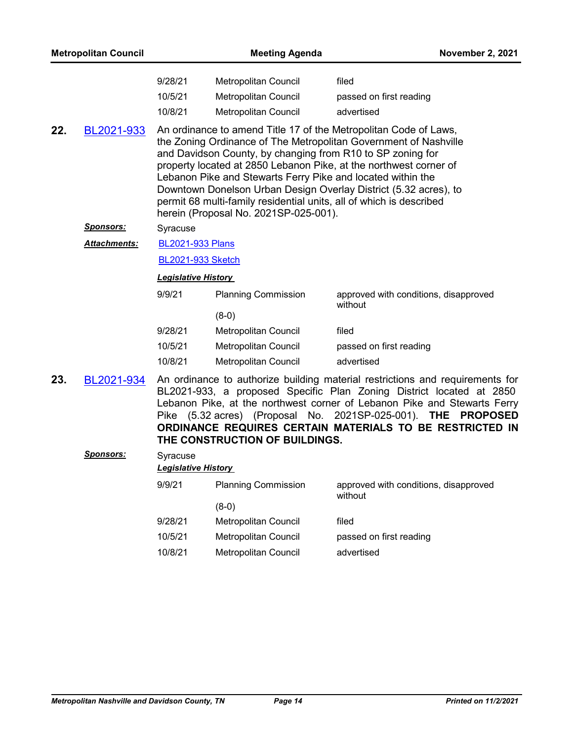| 9/28/21 | Metropolitan Council | filed                   |
|---------|----------------------|-------------------------|
| 10/5/21 | Metropolitan Council | passed on first reading |
| 10/8/21 | Metropolitan Council | advertised              |

**22.** [BL2021-933](http://nashville.legistar.com/gateway.aspx?m=l&id=/matter.aspx?key=13634) An ordinance to amend Title 17 of the Metropolitan Code of Laws, the Zoning Ordinance of The Metropolitan Government of Nashville and Davidson County, by changing from R10 to SP zoning for property located at 2850 Lebanon Pike, at the northwest corner of Lebanon Pike and Stewarts Ferry Pike and located within the Downtown Donelson Urban Design Overlay District (5.32 acres), to permit 68 multi-family residential units, all of which is described herein (Proposal No. 2021SP-025-001).

#### *Sponsors:* Syracuse

[BL2021-933 Plans](http://nashville.legistar.com/gateway.aspx?M=F&ID=8e570cca-b4a9-4f5e-acc4-8cec0a571583.pdf) *Attachments:*

[BL2021-933 Sketch](http://nashville.legistar.com/gateway.aspx?M=F&ID=755faffd-d226-4de2-ab5e-c106e2494f88.docx)

#### *Legislative History*

| 9/9/21  | <b>Planning Commission</b> | approved with conditions, disapproved<br>without |
|---------|----------------------------|--------------------------------------------------|
|         | $(8-0)$                    |                                                  |
| 9/28/21 | Metropolitan Council       | filed                                            |
| 10/5/21 | Metropolitan Council       | passed on first reading                          |
| 10/8/21 | Metropolitan Council       | advertised                                       |

23. [BL2021-934](http://nashville.legistar.com/gateway.aspx?m=l&id=/matter.aspx?key=13635) An ordinance to authorize building material restrictions and requirements for BL2021-933, a proposed Specific Plan Zoning District located at 2850 Lebanon Pike, at the northwest corner of Lebanon Pike and Stewarts Ferry Pike (5.32 acres) (Proposal No. 2021SP-025-001). **THE PROPOSED ORDINANCE REQUIRES CERTAIN MATERIALS TO BE RESTRICTED IN THE CONSTRUCTION OF BUILDINGS.**

## *Sponsors:* Syracuse *Legislative History*  9/9/21 Planning Commission approved with conditions, disapproved without (8-0) 9/28/21 Metropolitan Council filed 10/5/21 Metropolitan Council passed on first reading 10/8/21 Metropolitan Council advertised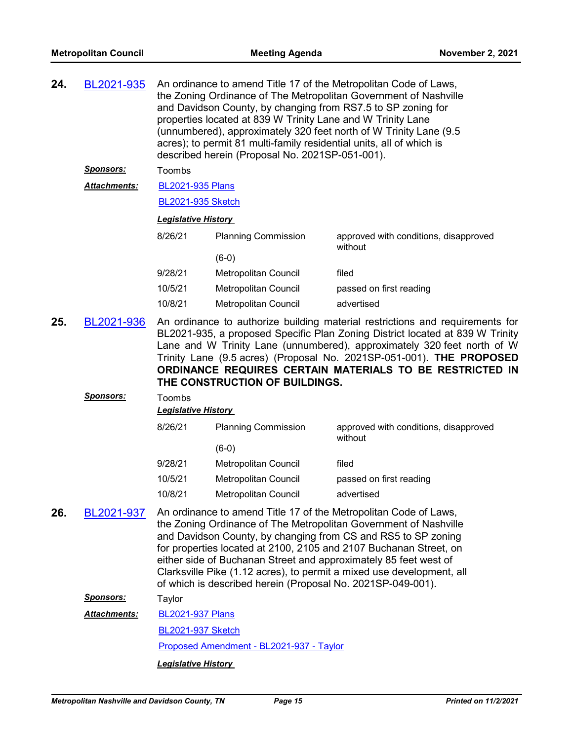| 24. | BL2021-935                      |                                                                                                                                                                                                                                                                                                                                                                                                                           | and Davidson County, by changing from RS7.5 to SP zoning for<br>properties located at 839 W Trinity Lane and W Trinity Lane<br>acres); to permit 81 multi-family residential units, all of which is<br>described herein (Proposal No. 2021SP-051-001). | An ordinance to amend Title 17 of the Metropolitan Code of Laws,<br>the Zoning Ordinance of The Metropolitan Government of Nashville<br>(unnumbered), approximately 320 feet north of W Trinity Lane (9.5                                                                                                                                                                                                               |
|-----|---------------------------------|---------------------------------------------------------------------------------------------------------------------------------------------------------------------------------------------------------------------------------------------------------------------------------------------------------------------------------------------------------------------------------------------------------------------------|--------------------------------------------------------------------------------------------------------------------------------------------------------------------------------------------------------------------------------------------------------|-------------------------------------------------------------------------------------------------------------------------------------------------------------------------------------------------------------------------------------------------------------------------------------------------------------------------------------------------------------------------------------------------------------------------|
|     | <b>Sponsors:</b>                | Toombs                                                                                                                                                                                                                                                                                                                                                                                                                    |                                                                                                                                                                                                                                                        |                                                                                                                                                                                                                                                                                                                                                                                                                         |
|     | Attachments:                    | <b>BL2021-935 Plans</b>                                                                                                                                                                                                                                                                                                                                                                                                   |                                                                                                                                                                                                                                                        |                                                                                                                                                                                                                                                                                                                                                                                                                         |
|     |                                 | <b>BL2021-935 Sketch</b>                                                                                                                                                                                                                                                                                                                                                                                                  |                                                                                                                                                                                                                                                        |                                                                                                                                                                                                                                                                                                                                                                                                                         |
|     |                                 | <b>Legislative History</b>                                                                                                                                                                                                                                                                                                                                                                                                |                                                                                                                                                                                                                                                        |                                                                                                                                                                                                                                                                                                                                                                                                                         |
|     |                                 | 8/26/21                                                                                                                                                                                                                                                                                                                                                                                                                   | <b>Planning Commission</b>                                                                                                                                                                                                                             | approved with conditions, disapproved<br>without                                                                                                                                                                                                                                                                                                                                                                        |
|     |                                 |                                                                                                                                                                                                                                                                                                                                                                                                                           | $(6-0)$                                                                                                                                                                                                                                                |                                                                                                                                                                                                                                                                                                                                                                                                                         |
|     |                                 | 9/28/21                                                                                                                                                                                                                                                                                                                                                                                                                   | <b>Metropolitan Council</b>                                                                                                                                                                                                                            | filed                                                                                                                                                                                                                                                                                                                                                                                                                   |
|     |                                 | 10/5/21                                                                                                                                                                                                                                                                                                                                                                                                                   | Metropolitan Council                                                                                                                                                                                                                                   | passed on first reading                                                                                                                                                                                                                                                                                                                                                                                                 |
|     |                                 | 10/8/21                                                                                                                                                                                                                                                                                                                                                                                                                   | Metropolitan Council                                                                                                                                                                                                                                   | advertised                                                                                                                                                                                                                                                                                                                                                                                                              |
| 25. | BL2021-936<br><u> Sponsors:</u> | An ordinance to authorize building material restrictions and requirements for<br>BL2021-935, a proposed Specific Plan Zoning District located at 839 W Trinity<br>Lane and W Trinity Lane (unnumbered), approximately 320 feet north of W<br>Trinity Lane (9.5 acres) (Proposal No. 2021SP-051-001). THE PROPOSED<br>ORDINANCE REQUIRES CERTAIN MATERIALS TO BE RESTRICTED IN<br>THE CONSTRUCTION OF BUILDINGS.<br>Toombs |                                                                                                                                                                                                                                                        |                                                                                                                                                                                                                                                                                                                                                                                                                         |
|     |                                 | <b>Legislative History</b>                                                                                                                                                                                                                                                                                                                                                                                                |                                                                                                                                                                                                                                                        |                                                                                                                                                                                                                                                                                                                                                                                                                         |
|     |                                 | 8/26/21                                                                                                                                                                                                                                                                                                                                                                                                                   | <b>Planning Commission</b>                                                                                                                                                                                                                             | approved with conditions, disapproved<br>without                                                                                                                                                                                                                                                                                                                                                                        |
|     |                                 | 9/28/21                                                                                                                                                                                                                                                                                                                                                                                                                   | $(6-0)$                                                                                                                                                                                                                                                | filed                                                                                                                                                                                                                                                                                                                                                                                                                   |
|     |                                 | 10/5/21                                                                                                                                                                                                                                                                                                                                                                                                                   | Metropolitan Council                                                                                                                                                                                                                                   |                                                                                                                                                                                                                                                                                                                                                                                                                         |
|     |                                 | 10/8/21                                                                                                                                                                                                                                                                                                                                                                                                                   | Metropolitan Council<br>Metropolitan Council                                                                                                                                                                                                           | passed on first reading<br>advertised                                                                                                                                                                                                                                                                                                                                                                                   |
| 26. | BL2021-937                      |                                                                                                                                                                                                                                                                                                                                                                                                                           | of which is described herein (Proposal No. 2021SP-049-001).                                                                                                                                                                                            | An ordinance to amend Title 17 of the Metropolitan Code of Laws,<br>the Zoning Ordinance of The Metropolitan Government of Nashville<br>and Davidson County, by changing from CS and RS5 to SP zoning<br>for properties located at 2100, 2105 and 2107 Buchanan Street, on<br>either side of Buchanan Street and approximately 85 feet west of<br>Clarksville Pike (1.12 acres), to permit a mixed use development, all |
|     | <u> Sponsors:</u>               | Taylor                                                                                                                                                                                                                                                                                                                                                                                                                    |                                                                                                                                                                                                                                                        |                                                                                                                                                                                                                                                                                                                                                                                                                         |
|     | <b>Attachments:</b>             | <b>BL2021-937 Plans</b>                                                                                                                                                                                                                                                                                                                                                                                                   |                                                                                                                                                                                                                                                        |                                                                                                                                                                                                                                                                                                                                                                                                                         |
|     |                                 | <b>BL2021-937 Sketch</b>                                                                                                                                                                                                                                                                                                                                                                                                  |                                                                                                                                                                                                                                                        |                                                                                                                                                                                                                                                                                                                                                                                                                         |
|     |                                 |                                                                                                                                                                                                                                                                                                                                                                                                                           |                                                                                                                                                                                                                                                        |                                                                                                                                                                                                                                                                                                                                                                                                                         |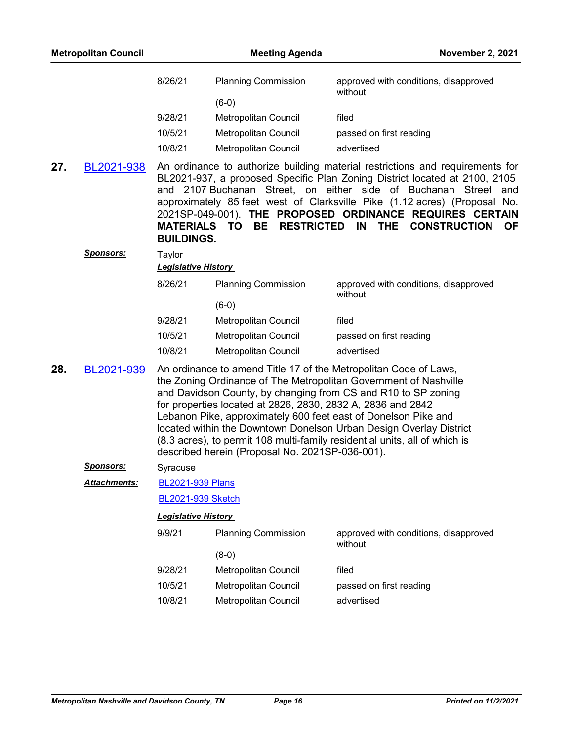| 8/26/21 | <b>Planning Commission</b> | approved with conditions, disapproved<br>without |
|---------|----------------------------|--------------------------------------------------|
|         | $(6-0)$                    |                                                  |
| 9/28/21 | Metropolitan Council       | filed                                            |
| 10/5/21 | Metropolitan Council       | passed on first reading                          |
| 10/8/21 | Metropolitan Council       | advertised                                       |

**27.** [BL2021-938](http://nashville.legistar.com/gateway.aspx?m=l&id=/matter.aspx?key=13654) An ordinance to authorize building material restrictions and requirements for BL2021-937, a proposed Specific Plan Zoning District located at 2100, 2105 and 2107 Buchanan Street, on either side of Buchanan Street and approximately 85 feet west of Clarksville Pike (1.12 acres) (Proposal No. 2021SP-049-001). **THE PROPOSED ORDINANCE REQUIRES CERTAIN MATERIALS TO BE RESTRICTED IN THE CONSTRUCTION OF BUILDINGS.**

| <b>Planning Commission</b> | approved with conditions, disapproved<br>without |
|----------------------------|--------------------------------------------------|
| (6-0)                      |                                                  |
| Metropolitan Council       | filed                                            |
| Metropolitan Council       | passed on first reading                          |
| Metropolitan Council       | advertised                                       |
|                            | <b>Legislative History</b>                       |

**28.** [BL2021-939](http://nashville.legistar.com/gateway.aspx?m=l&id=/matter.aspx?key=13636) An ordinance to amend Title 17 of the Metropolitan Code of Laws, the Zoning Ordinance of The Metropolitan Government of Nashville and Davidson County, by changing from CS and R10 to SP zoning for properties located at 2826, 2830, 2832 A, 2836 and 2842 Lebanon Pike, approximately 600 feet east of Donelson Pike and located within the Downtown Donelson Urban Design Overlay District (8.3 acres), to permit 108 multi-family residential units, all of which is described herein (Proposal No. 2021SP-036-001).

#### *Sponsors:* Syracuse

*Sponsors:* Taylor

#### [BL2021-939 Plans](http://nashville.legistar.com/gateway.aspx?M=F&ID=1d772a31-4e0d-45f3-bc7a-68f4c9541206.pdf) *Attachments:*

[BL2021-939 Sketch](http://nashville.legistar.com/gateway.aspx?M=F&ID=d5be0329-9778-4dbb-9d69-166cccdad786.docx)

| 9/9/21  | <b>Planning Commission</b> | approved with conditions, disapproved<br>without |
|---------|----------------------------|--------------------------------------------------|
|         | (8-0)                      |                                                  |
| 9/28/21 | Metropolitan Council       | filed                                            |
| 10/5/21 | Metropolitan Council       | passed on first reading                          |
| 10/8/21 | Metropolitan Council       | advertised                                       |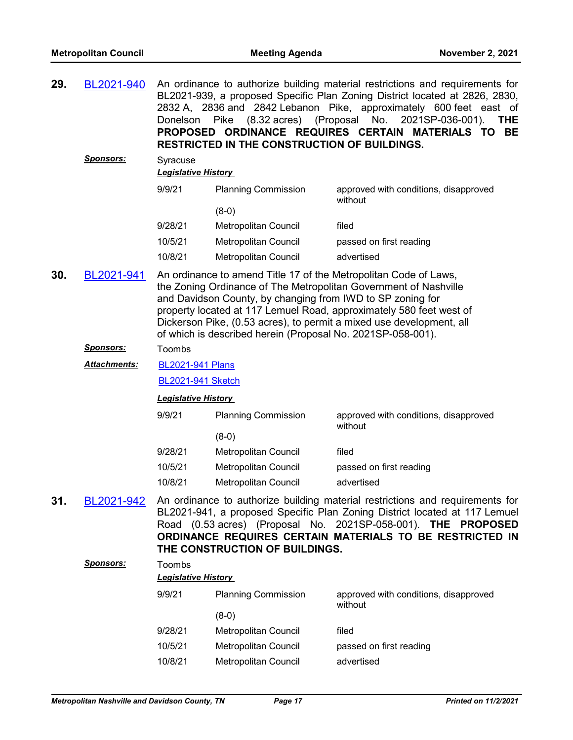|  | 29. BL2021-940 An ordinance to authorize building material restrictions and requirements for |
|--|----------------------------------------------------------------------------------------------|
|  | BL2021-939, a proposed Specific Plan Zoning District located at 2826, 2830,                  |
|  | 2832 A, 2836 and 2842 Lebanon Pike, approximately 600 feet east of                           |
|  | Donelson Pike (8.32 acres) (Proposal No. 2021SP-036-001). THE                                |
|  | PROPOSED ORDINANCE REQUIRES CERTAIN MATERIALS TO BE                                          |
|  | <b>RESTRICTED IN THE CONSTRUCTION OF BUILDINGS.</b>                                          |

*Sponsors:* Syracuse *Legislative History*  9/9/21 Planning Commission approved with conditions, disapproved without (8-0) 9/28/21 Metropolitan Council filed 10/5/21 Metropolitan Council passed on first reading 10/8/21 Metropolitan Council advertised

**30.** [BL2021-941](http://nashville.legistar.com/gateway.aspx?m=l&id=/matter.aspx?key=13639) An ordinance to amend Title 17 of the Metropolitan Code of Laws, the Zoning Ordinance of The Metropolitan Government of Nashville and Davidson County, by changing from IWD to SP zoning for property located at 117 Lemuel Road, approximately 580 feet west of Dickerson Pike, (0.53 acres), to permit a mixed use development, all of which is described herein (Proposal No. 2021SP-058-001).

#### *Sponsors:* Toombs

[BL2021-941 Plans](http://nashville.legistar.com/gateway.aspx?M=F&ID=e49c6b8b-ff05-4130-9f27-15264102abc4.pdf) *Attachments:*

[BL2021-941 Sketch](http://nashville.legistar.com/gateway.aspx?M=F&ID=7abde11c-150f-4c07-adb7-47f82608ff29.docx)

#### *Legislative History*

| <b>Planning Commission</b> | approved with conditions, disapproved<br>without |
|----------------------------|--------------------------------------------------|
| (8-0)                      |                                                  |
| Metropolitan Council       | filed                                            |
| Metropolitan Council       | passed on first reading                          |
| Metropolitan Council       | advertised                                       |
|                            |                                                  |

**31.** [BL2021-942](http://nashville.legistar.com/gateway.aspx?m=l&id=/matter.aspx?key=13640) An ordinance to authorize building material restrictions and requirements for BL2021-941, a proposed Specific Plan Zoning District located at 117 Lemuel Road (0.53 acres) (Proposal No. 2021SP-058-001). **THE PROPOSED ORDINANCE REQUIRES CERTAIN MATERIALS TO BE RESTRICTED IN THE CONSTRUCTION OF BUILDINGS.**

| <u>Sponsors:</u> | Toombs  | <b>Legislative History</b>  |                                                  |  |  |  |  |
|------------------|---------|-----------------------------|--------------------------------------------------|--|--|--|--|
|                  | 9/9/21  | <b>Planning Commission</b>  | approved with conditions, disapproved<br>without |  |  |  |  |
|                  |         | $(8-0)$                     |                                                  |  |  |  |  |
|                  | 9/28/21 | <b>Metropolitan Council</b> | filed                                            |  |  |  |  |
|                  | 10/5/21 | Metropolitan Council        | passed on first reading                          |  |  |  |  |
|                  | 10/8/21 | Metropolitan Council        | advertised                                       |  |  |  |  |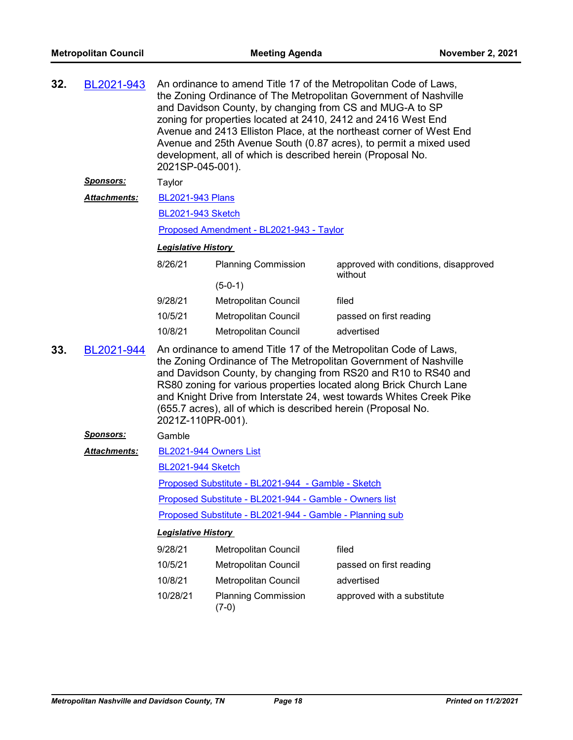| 32. | BL2021-943          | An ordinance to amend Title 17 of the Metropolitan Code of Laws,<br>the Zoning Ordinance of The Metropolitan Government of Nashville<br>and Davidson County, by changing from CS and MUG-A to SP<br>zoning for properties located at 2410, 2412 and 2416 West End<br>Avenue and 2413 Elliston Place, at the northeast corner of West End<br>Avenue and 25th Avenue South (0.87 acres), to permit a mixed used<br>development, all of which is described herein (Proposal No.<br>2021SP-045-001). |                                          |                                                  |  |  |
|-----|---------------------|--------------------------------------------------------------------------------------------------------------------------------------------------------------------------------------------------------------------------------------------------------------------------------------------------------------------------------------------------------------------------------------------------------------------------------------------------------------------------------------------------|------------------------------------------|--------------------------------------------------|--|--|
|     | <u>Sponsors:</u>    | Taylor                                                                                                                                                                                                                                                                                                                                                                                                                                                                                           |                                          |                                                  |  |  |
|     | <b>Attachments:</b> | <b>BL2021-943 Plans</b>                                                                                                                                                                                                                                                                                                                                                                                                                                                                          |                                          |                                                  |  |  |
|     |                     | <b>BL2021-943 Sketch</b>                                                                                                                                                                                                                                                                                                                                                                                                                                                                         |                                          |                                                  |  |  |
|     |                     |                                                                                                                                                                                                                                                                                                                                                                                                                                                                                                  | Proposed Amendment - BL2021-943 - Taylor |                                                  |  |  |
|     |                     | <b>Legislative History</b>                                                                                                                                                                                                                                                                                                                                                                                                                                                                       |                                          |                                                  |  |  |
|     |                     | 8/26/21                                                                                                                                                                                                                                                                                                                                                                                                                                                                                          | <b>Planning Commission</b>               | approved with conditions, disapproved<br>without |  |  |
|     |                     |                                                                                                                                                                                                                                                                                                                                                                                                                                                                                                  | $(5-0-1)$                                |                                                  |  |  |
|     |                     | 9/28/21                                                                                                                                                                                                                                                                                                                                                                                                                                                                                          | Metropolitan Council                     | filed                                            |  |  |
|     |                     | 10/5/21                                                                                                                                                                                                                                                                                                                                                                                                                                                                                          | <b>Metropolitan Council</b>              | passed on first reading                          |  |  |
|     |                     | 10/8/21                                                                                                                                                                                                                                                                                                                                                                                                                                                                                          | Metropolitan Council                     | advertised                                       |  |  |
| 33. | BL2021-944          | An ordinance to amend Title 17 of the Metropolitan Code of Laws,<br>the Zoning Ordinance of The Metropolitan Government of Nashville<br>and Davidson County, by changing from RS20 and R10 to RS40 and<br>RS80 zoning for various properties located along Brick Church Lane<br>and Knight Drive from Interstate 24, west towards Whites Creek Pike<br>(655.7 acres), all of which is described herein (Proposal No.<br>2021Z-110PR-001).                                                        |                                          |                                                  |  |  |
|     | <u> Sponsors:</u>   | Gamble                                                                                                                                                                                                                                                                                                                                                                                                                                                                                           |                                          |                                                  |  |  |
|     | <b>Attachments:</b> | BL2021-944 Owners List                                                                                                                                                                                                                                                                                                                                                                                                                                                                           |                                          |                                                  |  |  |
|     |                     | <b>BL2021-944 Sketch</b>                                                                                                                                                                                                                                                                                                                                                                                                                                                                         |                                          |                                                  |  |  |
|     |                     | Proposed Substitute - BL2021-944 - Gamble - Sketch                                                                                                                                                                                                                                                                                                                                                                                                                                               |                                          |                                                  |  |  |
|     |                     | Proposed Substitute - BL2021-944 - Gamble - Owners list                                                                                                                                                                                                                                                                                                                                                                                                                                          |                                          |                                                  |  |  |
|     |                     | Proposed Substitute - BL2021-944 - Gamble - Planning sub                                                                                                                                                                                                                                                                                                                                                                                                                                         |                                          |                                                  |  |  |
|     |                     | <b>Legislative History</b>                                                                                                                                                                                                                                                                                                                                                                                                                                                                       |                                          |                                                  |  |  |
|     |                     | 9/28/21                                                                                                                                                                                                                                                                                                                                                                                                                                                                                          | <b>Metropolitan Council</b>              | filed                                            |  |  |
|     |                     | 10/5/21                                                                                                                                                                                                                                                                                                                                                                                                                                                                                          | <b>Metropolitan Council</b>              | passed on first reading                          |  |  |
|     |                     | 10/8/21                                                                                                                                                                                                                                                                                                                                                                                                                                                                                          | Metropolitan Council                     | advertised                                       |  |  |
|     |                     | 10/28/21                                                                                                                                                                                                                                                                                                                                                                                                                                                                                         | <b>Planning Commission</b><br>$(7-0)$    | approved with a substitute                       |  |  |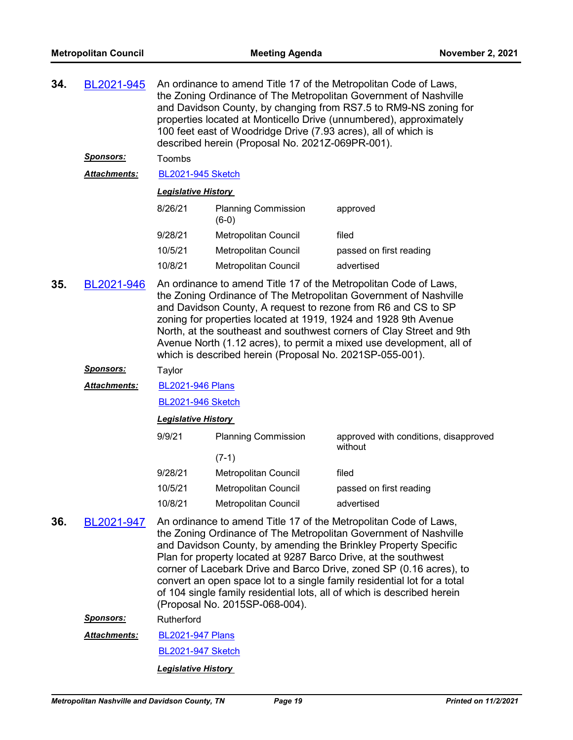| 34. | BL2021-945          | An ordinance to amend Title 17 of the Metropolitan Code of Laws,<br>the Zoning Ordinance of The Metropolitan Government of Nashville<br>and Davidson County, by changing from RS7.5 to RM9-NS zoning for<br>properties located at Monticello Drive (unnumbered), approximately<br>100 feet east of Woodridge Drive (7.93 acres), all of which is<br>described herein (Proposal No. 2021Z-069PR-001).                                                                                                                                       |                                       |                                                  |  |  |  |
|-----|---------------------|--------------------------------------------------------------------------------------------------------------------------------------------------------------------------------------------------------------------------------------------------------------------------------------------------------------------------------------------------------------------------------------------------------------------------------------------------------------------------------------------------------------------------------------------|---------------------------------------|--------------------------------------------------|--|--|--|
|     | <u>Sponsors:</u>    | Toombs                                                                                                                                                                                                                                                                                                                                                                                                                                                                                                                                     |                                       |                                                  |  |  |  |
|     | <b>Attachments:</b> | <b>BL2021-945 Sketch</b>                                                                                                                                                                                                                                                                                                                                                                                                                                                                                                                   |                                       |                                                  |  |  |  |
|     |                     | <b>Legislative History</b>                                                                                                                                                                                                                                                                                                                                                                                                                                                                                                                 |                                       |                                                  |  |  |  |
|     |                     | 8/26/21                                                                                                                                                                                                                                                                                                                                                                                                                                                                                                                                    | <b>Planning Commission</b><br>$(6-0)$ | approved                                         |  |  |  |
|     |                     | 9/28/21                                                                                                                                                                                                                                                                                                                                                                                                                                                                                                                                    | Metropolitan Council                  | filed                                            |  |  |  |
|     |                     | 10/5/21                                                                                                                                                                                                                                                                                                                                                                                                                                                                                                                                    | <b>Metropolitan Council</b>           | passed on first reading                          |  |  |  |
|     |                     | 10/8/21                                                                                                                                                                                                                                                                                                                                                                                                                                                                                                                                    | Metropolitan Council                  | advertised                                       |  |  |  |
| 35. | BL2021-946          | An ordinance to amend Title 17 of the Metropolitan Code of Laws,<br>the Zoning Ordinance of The Metropolitan Government of Nashville<br>and Davidson County, A request to rezone from R6 and CS to SP<br>zoning for properties located at 1919, 1924 and 1928 9th Avenue<br>North, at the southeast and southwest corners of Clay Street and 9th<br>Avenue North (1.12 acres), to permit a mixed use development, all of<br>which is described herein (Proposal No. 2021SP-055-001).                                                       |                                       |                                                  |  |  |  |
|     | <b>Sponsors:</b>    | Taylor                                                                                                                                                                                                                                                                                                                                                                                                                                                                                                                                     |                                       |                                                  |  |  |  |
|     | <b>Attachments:</b> | <b>BL2021-946 Plans</b>                                                                                                                                                                                                                                                                                                                                                                                                                                                                                                                    |                                       |                                                  |  |  |  |
|     |                     | <b>BL2021-946 Sketch</b>                                                                                                                                                                                                                                                                                                                                                                                                                                                                                                                   |                                       |                                                  |  |  |  |
|     |                     | <b>Legislative History</b>                                                                                                                                                                                                                                                                                                                                                                                                                                                                                                                 |                                       |                                                  |  |  |  |
|     |                     | 9/9/21                                                                                                                                                                                                                                                                                                                                                                                                                                                                                                                                     | <b>Planning Commission</b>            | approved with conditions, disapproved<br>without |  |  |  |
|     |                     |                                                                                                                                                                                                                                                                                                                                                                                                                                                                                                                                            | $(7-1)$                               |                                                  |  |  |  |
|     |                     | 9/28/21                                                                                                                                                                                                                                                                                                                                                                                                                                                                                                                                    | Metropolitan Council                  | filed                                            |  |  |  |
|     |                     | 10/5/21                                                                                                                                                                                                                                                                                                                                                                                                                                                                                                                                    | Metropolitan Council                  | passed on first reading                          |  |  |  |
|     |                     | 10/8/21                                                                                                                                                                                                                                                                                                                                                                                                                                                                                                                                    | <b>Metropolitan Council</b>           | advertised                                       |  |  |  |
| 36. | BL2021-947          | An ordinance to amend Title 17 of the Metropolitan Code of Laws,<br>the Zoning Ordinance of The Metropolitan Government of Nashville<br>and Davidson County, by amending the Brinkley Property Specific<br>Plan for property located at 9287 Barco Drive, at the southwest<br>corner of Lacebark Drive and Barco Drive, zoned SP (0.16 acres), to<br>convert an open space lot to a single family residential lot for a total<br>of 104 single family residential lots, all of which is described herein<br>(Proposal No. 2015SP-068-004). |                                       |                                                  |  |  |  |
|     | <u>Sponsors:</u>    | Rutherford                                                                                                                                                                                                                                                                                                                                                                                                                                                                                                                                 |                                       |                                                  |  |  |  |
|     | Attachments:        | <b>BL2021-947 Plans</b>                                                                                                                                                                                                                                                                                                                                                                                                                                                                                                                    |                                       |                                                  |  |  |  |
|     |                     | <b>BL2021-947 Sketch</b>                                                                                                                                                                                                                                                                                                                                                                                                                                                                                                                   |                                       |                                                  |  |  |  |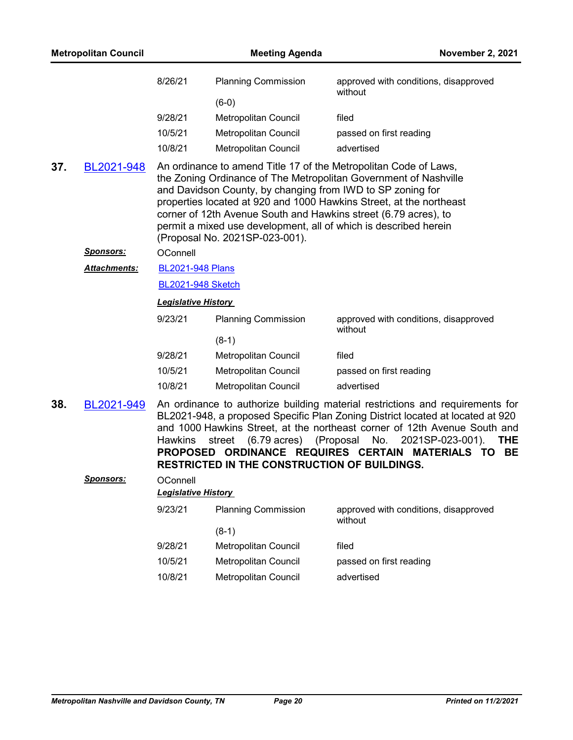|     | <b>Metropolitan Council</b> |                            | <b>Meeting Agenda</b>                                                                        | <b>November 2, 2021</b>                                                                                                                                                                                                                                                                                                                            |
|-----|-----------------------------|----------------------------|----------------------------------------------------------------------------------------------|----------------------------------------------------------------------------------------------------------------------------------------------------------------------------------------------------------------------------------------------------------------------------------------------------------------------------------------------------|
|     |                             | 8/26/21                    | <b>Planning Commission</b>                                                                   | approved with conditions, disapproved<br>without                                                                                                                                                                                                                                                                                                   |
|     |                             |                            | $(6-0)$                                                                                      |                                                                                                                                                                                                                                                                                                                                                    |
|     |                             | 9/28/21                    | Metropolitan Council                                                                         | filed                                                                                                                                                                                                                                                                                                                                              |
|     |                             | 10/5/21                    | Metropolitan Council                                                                         | passed on first reading                                                                                                                                                                                                                                                                                                                            |
|     |                             | 10/8/21                    | Metropolitan Council                                                                         | advertised                                                                                                                                                                                                                                                                                                                                         |
| 37. | BL2021-948                  |                            | and Davidson County, by changing from IWD to SP zoning for<br>(Proposal No. 2021SP-023-001). | An ordinance to amend Title 17 of the Metropolitan Code of Laws,<br>the Zoning Ordinance of The Metropolitan Government of Nashville<br>properties located at 920 and 1000 Hawkins Street, at the northeast<br>corner of 12th Avenue South and Hawkins street (6.79 acres), to<br>permit a mixed use development, all of which is described herein |
|     | <b>Sponsors:</b>            | OConnell                   |                                                                                              |                                                                                                                                                                                                                                                                                                                                                    |
|     | <b>Attachments:</b>         | <b>BL2021-948 Plans</b>    |                                                                                              |                                                                                                                                                                                                                                                                                                                                                    |
|     |                             | <b>BL2021-948 Sketch</b>   |                                                                                              |                                                                                                                                                                                                                                                                                                                                                    |
|     |                             | <b>Legislative History</b> |                                                                                              |                                                                                                                                                                                                                                                                                                                                                    |
|     |                             | 9/23/21                    | <b>Planning Commission</b>                                                                   | approved with conditions, disapproved<br>without                                                                                                                                                                                                                                                                                                   |
|     |                             |                            | $(8-1)$                                                                                      |                                                                                                                                                                                                                                                                                                                                                    |
|     |                             | 9/28/21                    | Metropolitan Council                                                                         | filed                                                                                                                                                                                                                                                                                                                                              |
|     |                             | 10/5/21                    | Metropolitan Council                                                                         | passed on first reading                                                                                                                                                                                                                                                                                                                            |
|     |                             | 10/8/21                    | Metropolitan Council                                                                         | advertised                                                                                                                                                                                                                                                                                                                                         |
| 38. | BL2021-949                  | Hawkins                    | (6.79 acres) (Proposal No.<br>street<br>RESTRICTED IN THE CONSTRUCTION OF BUILDINGS.         | An ordinance to authorize building material restrictions and requirements for<br>BL2021-948, a proposed Specific Plan Zoning District located at located at 920<br>and 1000 Hawkins Street, at the northeast corner of 12th Avenue South and<br>2021SP-023-001).<br><b>THE</b><br>PROPOSED ORDINANCE REQUIRES CERTAIN MATERIALS TO<br>BE           |
|     | <u> Sponsors:</u>           | OConnell                   |                                                                                              |                                                                                                                                                                                                                                                                                                                                                    |
|     |                             | <b>Legislative History</b> |                                                                                              |                                                                                                                                                                                                                                                                                                                                                    |
|     |                             | 9/23/21                    | <b>Planning Commission</b>                                                                   | approved with conditions, disapproved<br>without                                                                                                                                                                                                                                                                                                   |
|     |                             |                            | $(8-1)$                                                                                      |                                                                                                                                                                                                                                                                                                                                                    |
|     |                             | 9/28/21                    | Metropolitan Council                                                                         | filed                                                                                                                                                                                                                                                                                                                                              |
|     |                             | 10/5/21                    | Metropolitan Council                                                                         | passed on first reading                                                                                                                                                                                                                                                                                                                            |
|     |                             | 10/8/21                    | Metropolitan Council                                                                         | advertised                                                                                                                                                                                                                                                                                                                                         |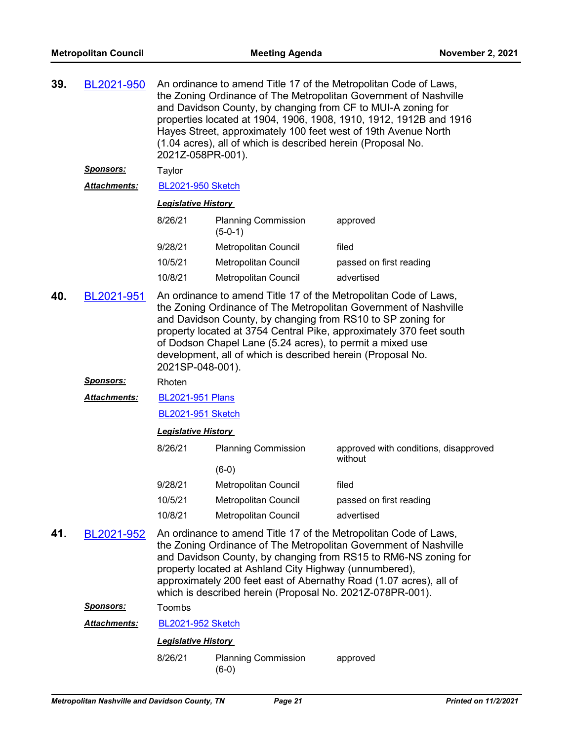| 39.                                                                                                                                                                                                                                                                                                                                                                                                                                             | BL2021-950          | An ordinance to amend Title 17 of the Metropolitan Code of Laws,<br>the Zoning Ordinance of The Metropolitan Government of Nashville<br>and Davidson County, by changing from CF to MUI-A zoning for<br>properties located at 1904, 1906, 1908, 1910, 1912, 1912B and 1916<br>Hayes Street, approximately 100 feet west of 19th Avenue North<br>(1.04 acres), all of which is described herein (Proposal No.<br>2021Z-058PR-001). |                                         |                                                  |  |
|-------------------------------------------------------------------------------------------------------------------------------------------------------------------------------------------------------------------------------------------------------------------------------------------------------------------------------------------------------------------------------------------------------------------------------------------------|---------------------|-----------------------------------------------------------------------------------------------------------------------------------------------------------------------------------------------------------------------------------------------------------------------------------------------------------------------------------------------------------------------------------------------------------------------------------|-----------------------------------------|--------------------------------------------------|--|
|                                                                                                                                                                                                                                                                                                                                                                                                                                                 | <b>Sponsors:</b>    | Taylor                                                                                                                                                                                                                                                                                                                                                                                                                            |                                         |                                                  |  |
|                                                                                                                                                                                                                                                                                                                                                                                                                                                 | <b>Attachments:</b> | <b>BL2021-950 Sketch</b>                                                                                                                                                                                                                                                                                                                                                                                                          |                                         |                                                  |  |
|                                                                                                                                                                                                                                                                                                                                                                                                                                                 |                     | <b>Legislative History</b>                                                                                                                                                                                                                                                                                                                                                                                                        |                                         |                                                  |  |
|                                                                                                                                                                                                                                                                                                                                                                                                                                                 |                     | 8/26/21                                                                                                                                                                                                                                                                                                                                                                                                                           | <b>Planning Commission</b><br>$(5-0-1)$ | approved                                         |  |
|                                                                                                                                                                                                                                                                                                                                                                                                                                                 |                     | 9/28/21                                                                                                                                                                                                                                                                                                                                                                                                                           | Metropolitan Council                    | filed                                            |  |
|                                                                                                                                                                                                                                                                                                                                                                                                                                                 |                     | 10/5/21                                                                                                                                                                                                                                                                                                                                                                                                                           | <b>Metropolitan Council</b>             | passed on first reading                          |  |
|                                                                                                                                                                                                                                                                                                                                                                                                                                                 |                     | 10/8/21                                                                                                                                                                                                                                                                                                                                                                                                                           | Metropolitan Council                    | advertised                                       |  |
| 40.<br>An ordinance to amend Title 17 of the Metropolitan Code of Laws,<br>BL2021-951<br>the Zoning Ordinance of The Metropolitan Government of Nashville<br>and Davidson County, by changing from RS10 to SP zoning for<br>property located at 3754 Central Pike, approximately 370 feet south<br>of Dodson Chapel Lane (5.24 acres), to permit a mixed use<br>development, all of which is described herein (Proposal No.<br>2021SP-048-001). |                     |                                                                                                                                                                                                                                                                                                                                                                                                                                   |                                         |                                                  |  |
|                                                                                                                                                                                                                                                                                                                                                                                                                                                 | <b>Sponsors:</b>    | Rhoten                                                                                                                                                                                                                                                                                                                                                                                                                            |                                         |                                                  |  |
|                                                                                                                                                                                                                                                                                                                                                                                                                                                 | <b>Attachments:</b> | <b>BL2021-951 Plans</b>                                                                                                                                                                                                                                                                                                                                                                                                           |                                         |                                                  |  |
|                                                                                                                                                                                                                                                                                                                                                                                                                                                 |                     | <b>BL2021-951 Sketch</b>                                                                                                                                                                                                                                                                                                                                                                                                          |                                         |                                                  |  |
|                                                                                                                                                                                                                                                                                                                                                                                                                                                 |                     | <b>Legislative History</b>                                                                                                                                                                                                                                                                                                                                                                                                        |                                         |                                                  |  |
|                                                                                                                                                                                                                                                                                                                                                                                                                                                 |                     | 8/26/21                                                                                                                                                                                                                                                                                                                                                                                                                           | <b>Planning Commission</b>              | approved with conditions, disapproved<br>without |  |
|                                                                                                                                                                                                                                                                                                                                                                                                                                                 |                     |                                                                                                                                                                                                                                                                                                                                                                                                                                   | $(6-0)$                                 |                                                  |  |
|                                                                                                                                                                                                                                                                                                                                                                                                                                                 |                     | 9/28/21                                                                                                                                                                                                                                                                                                                                                                                                                           | <b>Metropolitan Council</b>             | filed                                            |  |
|                                                                                                                                                                                                                                                                                                                                                                                                                                                 |                     | 10/5/21                                                                                                                                                                                                                                                                                                                                                                                                                           | <b>Metropolitan Council</b>             | passed on first reading                          |  |
|                                                                                                                                                                                                                                                                                                                                                                                                                                                 |                     | 10/8/21                                                                                                                                                                                                                                                                                                                                                                                                                           | Metropolitan Council                    | advertised                                       |  |
| 41.                                                                                                                                                                                                                                                                                                                                                                                                                                             | BL2021-952          | An ordinance to amend Title 17 of the Metropolitan Code of Laws,<br>the Zoning Ordinance of The Metropolitan Government of Nashville<br>and Davidson County, by changing from RS15 to RM6-NS zoning for<br>property located at Ashland City Highway (unnumbered),<br>approximately 200 feet east of Abernathy Road (1.07 acres), all of<br>which is described herein (Proposal No. 2021Z-078PR-001).                              |                                         |                                                  |  |
|                                                                                                                                                                                                                                                                                                                                                                                                                                                 | <b>Sponsors:</b>    | Toombs                                                                                                                                                                                                                                                                                                                                                                                                                            |                                         |                                                  |  |
|                                                                                                                                                                                                                                                                                                                                                                                                                                                 | Attachments:        | <b>BL2021-952 Sketch</b>                                                                                                                                                                                                                                                                                                                                                                                                          |                                         |                                                  |  |
|                                                                                                                                                                                                                                                                                                                                                                                                                                                 |                     | <b>Legislative History</b>                                                                                                                                                                                                                                                                                                                                                                                                        |                                         |                                                  |  |
|                                                                                                                                                                                                                                                                                                                                                                                                                                                 |                     | 8/26/21                                                                                                                                                                                                                                                                                                                                                                                                                           | <b>Planning Commission</b><br>$(6-0)$   | approved                                         |  |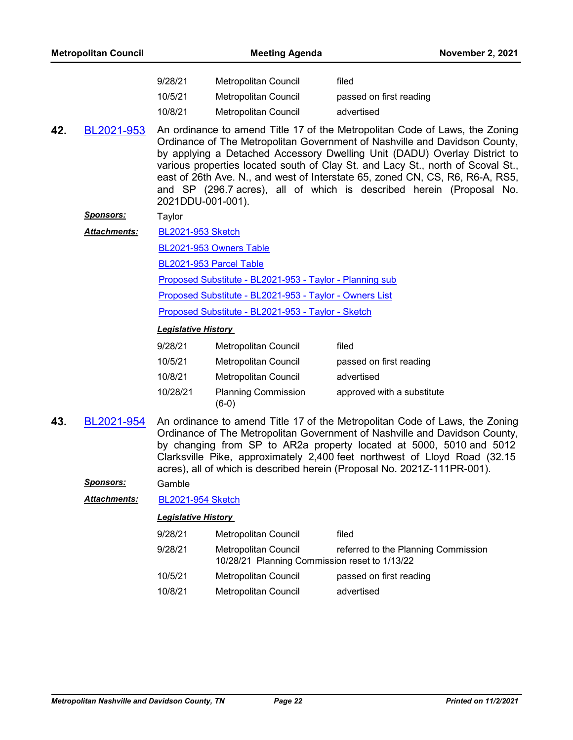| <b>Metropolitan Council</b> |                     |                                                                                                                                                                                                                                                                                                                                                                                                                                                                                                         | <b>Meeting Agenda</b>                                    | <b>November 2, 2021</b>    |  |  |
|-----------------------------|---------------------|---------------------------------------------------------------------------------------------------------------------------------------------------------------------------------------------------------------------------------------------------------------------------------------------------------------------------------------------------------------------------------------------------------------------------------------------------------------------------------------------------------|----------------------------------------------------------|----------------------------|--|--|
|                             |                     | 9/28/21                                                                                                                                                                                                                                                                                                                                                                                                                                                                                                 | Metropolitan Council                                     | filed                      |  |  |
|                             |                     | 10/5/21                                                                                                                                                                                                                                                                                                                                                                                                                                                                                                 | Metropolitan Council                                     | passed on first reading    |  |  |
|                             |                     | 10/8/21                                                                                                                                                                                                                                                                                                                                                                                                                                                                                                 | <b>Metropolitan Council</b>                              | advertised                 |  |  |
| 42.                         | BL2021-953          | An ordinance to amend Title 17 of the Metropolitan Code of Laws, the Zoning<br>Ordinance of The Metropolitan Government of Nashville and Davidson County,<br>by applying a Detached Accessory Dwelling Unit (DADU) Overlay District to<br>various properties located south of Clay St. and Lacy St., north of Scoval St.,<br>east of 26th Ave. N., and west of Interstate 65, zoned CN, CS, R6, R6-A, RS5,<br>and SP (296.7 acres), all of which is described herein (Proposal No.<br>2021DDU-001-001). |                                                          |                            |  |  |
|                             | <u>Sponsors:</u>    | Taylor                                                                                                                                                                                                                                                                                                                                                                                                                                                                                                  |                                                          |                            |  |  |
|                             | <b>Attachments:</b> | <b>BL2021-953 Sketch</b>                                                                                                                                                                                                                                                                                                                                                                                                                                                                                |                                                          |                            |  |  |
|                             |                     | BL2021-953 Owners Table                                                                                                                                                                                                                                                                                                                                                                                                                                                                                 |                                                          |                            |  |  |
|                             |                     | BL2021-953 Parcel Table                                                                                                                                                                                                                                                                                                                                                                                                                                                                                 |                                                          |                            |  |  |
|                             |                     |                                                                                                                                                                                                                                                                                                                                                                                                                                                                                                         | Proposed Substitute - BL2021-953 - Taylor - Planning sub |                            |  |  |
|                             |                     | Proposed Substitute - BL2021-953 - Taylor - Owners List                                                                                                                                                                                                                                                                                                                                                                                                                                                 |                                                          |                            |  |  |
|                             |                     | Proposed Substitute - BL2021-953 - Taylor - Sketch                                                                                                                                                                                                                                                                                                                                                                                                                                                      |                                                          |                            |  |  |
|                             |                     | <b>Legislative History</b>                                                                                                                                                                                                                                                                                                                                                                                                                                                                              |                                                          |                            |  |  |
|                             |                     | 9/28/21                                                                                                                                                                                                                                                                                                                                                                                                                                                                                                 | <b>Metropolitan Council</b>                              | filed                      |  |  |
|                             |                     | 10/5/21                                                                                                                                                                                                                                                                                                                                                                                                                                                                                                 | Metropolitan Council                                     | passed on first reading    |  |  |
|                             |                     | 10/8/21                                                                                                                                                                                                                                                                                                                                                                                                                                                                                                 | Metropolitan Council                                     | advertised                 |  |  |
|                             |                     | 10/28/21                                                                                                                                                                                                                                                                                                                                                                                                                                                                                                | <b>Planning Commission</b><br>$(6-0)$                    | approved with a substitute |  |  |
| 43.                         | BL2021-954          | An ordinance to amend Title 17 of the Metropolitan Code of Laws, the Zoning<br>Ordinance of The Metropolitan Government of Nashville and Davidson County,<br>by changing from SP to AR2a property located at 5000, 5010 and 5012<br>Clarksville Pike, approximately 2,400 feet northwest of Lloyd Road (32.15<br>acres), all of which is described herein (Proposal No. 2021Z-111PR-001).                                                                                                               |                                                          |                            |  |  |
|                             | <b>Sponsors:</b>    | Gamble                                                                                                                                                                                                                                                                                                                                                                                                                                                                                                  |                                                          |                            |  |  |
|                             | Attachments:        | <b>BL2021-954 Sketch</b>                                                                                                                                                                                                                                                                                                                                                                                                                                                                                |                                                          |                            |  |  |
|                             |                     | <b>Legislative History</b>                                                                                                                                                                                                                                                                                                                                                                                                                                                                              |                                                          |                            |  |  |
|                             |                     | 9/28/21                                                                                                                                                                                                                                                                                                                                                                                                                                                                                                 | Metropolitan Council                                     | filed                      |  |  |

9/28/21 Metropolitan Council referred to the Planning Commission 10/28/21 Planning Commission reset to 1/13/22 10/5/21 Metropolitan Council passed on first reading 10/8/21 Metropolitan Council advertised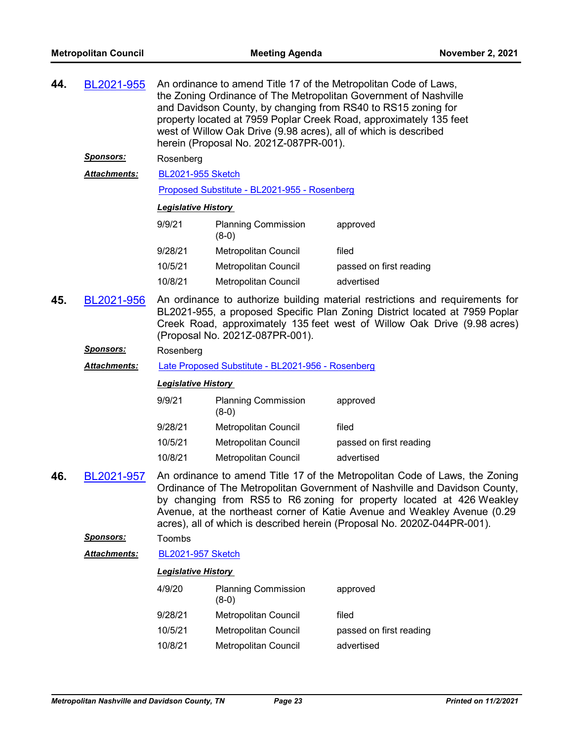| 44. | BL2021-955           | An ordinance to amend Title 17 of the Metropolitan Code of Laws,<br>the Zoning Ordinance of The Metropolitan Government of Nashville<br>and Davidson County, by changing from RS40 to RS15 zoning for<br>property located at 7959 Poplar Creek Road, approximately 135 feet<br>west of Willow Oak Drive (9.98 acres), all of which is described<br>herein (Proposal No. 2021Z-087PR-001). |                                              |                                                                                                                                                                                                                                                                                                                                                                                            |  |
|-----|----------------------|-------------------------------------------------------------------------------------------------------------------------------------------------------------------------------------------------------------------------------------------------------------------------------------------------------------------------------------------------------------------------------------------|----------------------------------------------|--------------------------------------------------------------------------------------------------------------------------------------------------------------------------------------------------------------------------------------------------------------------------------------------------------------------------------------------------------------------------------------------|--|
|     | <u>Sponsors:</u>     | Rosenberg                                                                                                                                                                                                                                                                                                                                                                                 |                                              |                                                                                                                                                                                                                                                                                                                                                                                            |  |
|     | <b>Attachments:</b>  | <b>BL2021-955 Sketch</b>                                                                                                                                                                                                                                                                                                                                                                  |                                              |                                                                                                                                                                                                                                                                                                                                                                                            |  |
|     |                      |                                                                                                                                                                                                                                                                                                                                                                                           | Proposed Substitute - BL2021-955 - Rosenberg |                                                                                                                                                                                                                                                                                                                                                                                            |  |
|     |                      | <b>Legislative History</b>                                                                                                                                                                                                                                                                                                                                                                |                                              |                                                                                                                                                                                                                                                                                                                                                                                            |  |
|     |                      | 9/9/21                                                                                                                                                                                                                                                                                                                                                                                    | <b>Planning Commission</b><br>$(8-0)$        | approved                                                                                                                                                                                                                                                                                                                                                                                   |  |
|     |                      | 9/28/21                                                                                                                                                                                                                                                                                                                                                                                   | Metropolitan Council                         | filed                                                                                                                                                                                                                                                                                                                                                                                      |  |
|     |                      | 10/5/21                                                                                                                                                                                                                                                                                                                                                                                   | <b>Metropolitan Council</b>                  | passed on first reading                                                                                                                                                                                                                                                                                                                                                                    |  |
|     |                      | 10/8/21                                                                                                                                                                                                                                                                                                                                                                                   | Metropolitan Council                         | advertised                                                                                                                                                                                                                                                                                                                                                                                 |  |
| 45. | BL2021-956           | An ordinance to authorize building material restrictions and requirements for<br>BL2021-955, a proposed Specific Plan Zoning District located at 7959 Poplar<br>Creek Road, approximately 135 feet west of Willow Oak Drive (9.98 acres)<br>(Proposal No. 2021Z-087PR-001).                                                                                                               |                                              |                                                                                                                                                                                                                                                                                                                                                                                            |  |
|     | <u>Sponsors:</u>     | Rosenberg                                                                                                                                                                                                                                                                                                                                                                                 |                                              |                                                                                                                                                                                                                                                                                                                                                                                            |  |
|     | <u> Attachments:</u> | Late Proposed Substitute - BL2021-956 - Rosenberg                                                                                                                                                                                                                                                                                                                                         |                                              |                                                                                                                                                                                                                                                                                                                                                                                            |  |
|     |                      | <b>Legislative History</b>                                                                                                                                                                                                                                                                                                                                                                |                                              |                                                                                                                                                                                                                                                                                                                                                                                            |  |
|     |                      | 9/9/21                                                                                                                                                                                                                                                                                                                                                                                    | <b>Planning Commission</b><br>$(8-0)$        | approved                                                                                                                                                                                                                                                                                                                                                                                   |  |
|     |                      | 9/28/21                                                                                                                                                                                                                                                                                                                                                                                   | Metropolitan Council                         | filed                                                                                                                                                                                                                                                                                                                                                                                      |  |
|     |                      | 10/5/21                                                                                                                                                                                                                                                                                                                                                                                   | <b>Metropolitan Council</b>                  | passed on first reading                                                                                                                                                                                                                                                                                                                                                                    |  |
|     |                      | 10/8/21                                                                                                                                                                                                                                                                                                                                                                                   | <b>Metropolitan Council</b>                  | advertised                                                                                                                                                                                                                                                                                                                                                                                 |  |
| 46. | BL2021-957           |                                                                                                                                                                                                                                                                                                                                                                                           |                                              | An ordinance to amend Title 17 of the Metropolitan Code of Laws, the Zoning<br>Ordinance of The Metropolitan Government of Nashville and Davidson County,<br>by changing from RS5 to R6 zoning for property located at 426 Weakley<br>Avenue, at the northeast corner of Katie Avenue and Weakley Avenue (0.29<br>acres), all of which is described herein (Proposal No. 2020Z-044PR-001). |  |
|     | Sponsors:            | Toombs                                                                                                                                                                                                                                                                                                                                                                                    |                                              |                                                                                                                                                                                                                                                                                                                                                                                            |  |
|     | Attachments:         | <b>BL2021-957 Sketch</b>                                                                                                                                                                                                                                                                                                                                                                  |                                              |                                                                                                                                                                                                                                                                                                                                                                                            |  |
|     |                      | <b>Legislative History</b>                                                                                                                                                                                                                                                                                                                                                                |                                              |                                                                                                                                                                                                                                                                                                                                                                                            |  |
|     |                      | 4/9/20                                                                                                                                                                                                                                                                                                                                                                                    | <b>Planning Commission</b><br>$(8-0)$        | approved                                                                                                                                                                                                                                                                                                                                                                                   |  |
|     |                      | 9/28/21                                                                                                                                                                                                                                                                                                                                                                                   | <b>Metropolitan Council</b>                  | filed                                                                                                                                                                                                                                                                                                                                                                                      |  |
|     |                      | 10/5/21                                                                                                                                                                                                                                                                                                                                                                                   | Metropolitan Council                         | passed on first reading                                                                                                                                                                                                                                                                                                                                                                    |  |
|     |                      | 10/8/21                                                                                                                                                                                                                                                                                                                                                                                   | Metropolitan Council                         | advertised                                                                                                                                                                                                                                                                                                                                                                                 |  |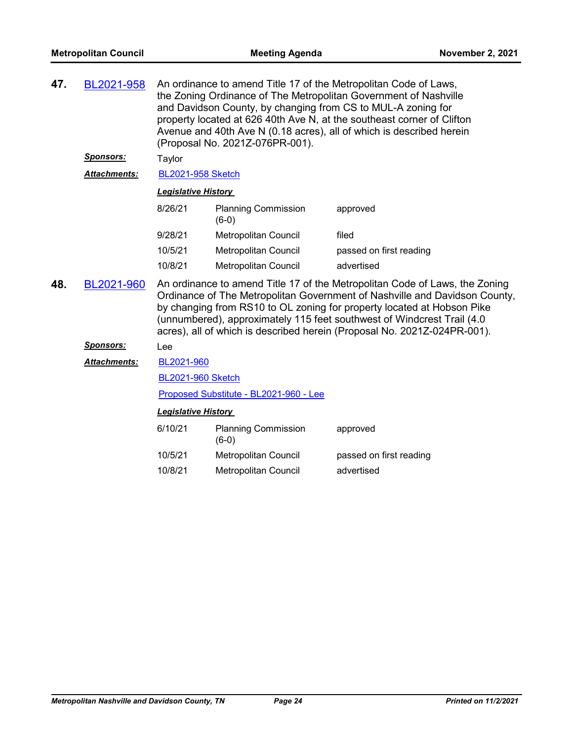| 47. | BL2021-958          | An ordinance to amend Title 17 of the Metropolitan Code of Laws,<br>the Zoning Ordinance of The Metropolitan Government of Nashville<br>and Davidson County, by changing from CS to MUL-A zoning for<br>property located at 626 40th Ave N, at the southeast corner of Clifton<br>Avenue and 40th Ave N (0.18 acres), all of which is described herein<br>(Proposal No. 2021Z-076PR-001).        |                                       |                         |
|-----|---------------------|--------------------------------------------------------------------------------------------------------------------------------------------------------------------------------------------------------------------------------------------------------------------------------------------------------------------------------------------------------------------------------------------------|---------------------------------------|-------------------------|
|     | Sponsors:           | Taylor                                                                                                                                                                                                                                                                                                                                                                                           |                                       |                         |
|     | <b>Attachments:</b> | <b>BL2021-958 Sketch</b>                                                                                                                                                                                                                                                                                                                                                                         |                                       |                         |
|     |                     | <b>Legislative History</b>                                                                                                                                                                                                                                                                                                                                                                       |                                       |                         |
|     |                     | 8/26/21                                                                                                                                                                                                                                                                                                                                                                                          | <b>Planning Commission</b><br>$(6-0)$ | approved                |
|     |                     | 9/28/21                                                                                                                                                                                                                                                                                                                                                                                          | Metropolitan Council                  | filed                   |
|     |                     | 10/5/21                                                                                                                                                                                                                                                                                                                                                                                          | <b>Metropolitan Council</b>           | passed on first reading |
|     |                     | 10/8/21                                                                                                                                                                                                                                                                                                                                                                                          | Metropolitan Council                  | advertised              |
| 48. | BL2021-960          | An ordinance to amend Title 17 of the Metropolitan Code of Laws, the Zoning<br>Ordinance of The Metropolitan Government of Nashville and Davidson County,<br>by changing from RS10 to OL zoning for property located at Hobson Pike<br>(unnumbered), approximately 115 feet southwest of Windcrest Trail (4.0<br>acres), all of which is described herein (Proposal No. 2021Z-024PR-001).<br>Lee |                                       |                         |
|     | <b>Sponsors:</b>    |                                                                                                                                                                                                                                                                                                                                                                                                  |                                       |                         |
|     | <b>Attachments:</b> | BL2021-960                                                                                                                                                                                                                                                                                                                                                                                       |                                       |                         |
|     |                     | <b>BL2021-960 Sketch</b>                                                                                                                                                                                                                                                                                                                                                                         |                                       |                         |
|     |                     | Proposed Substitute - BL2021-960 - Lee                                                                                                                                                                                                                                                                                                                                                           |                                       |                         |

| 6/10/21 | <b>Planning Commission</b><br>(6-0) | approved                |
|---------|-------------------------------------|-------------------------|
| 10/5/21 | Metropolitan Council                | passed on first reading |
| 10/8/21 | Metropolitan Council                | advertised              |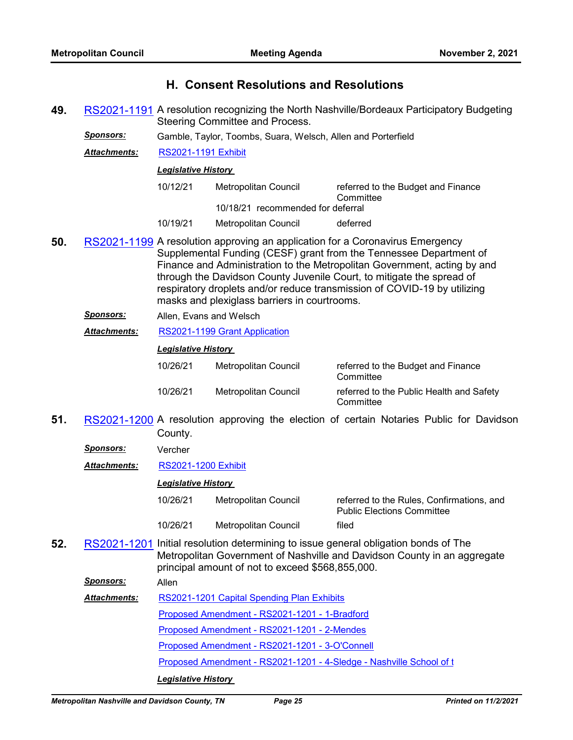## **H. Consent Resolutions and Resolutions**

- **49.** [RS2021-1191](http://nashville.legistar.com/gateway.aspx?m=l&id=/matter.aspx?key=13701) A resolution recognizing the North Nashville/Bordeaux Participatory Budgeting Steering Committee and Process.
	- *Sponsors:* Gamble, Taylor, Toombs, Suara, Welsch, Allen and Porterfield
		- *Attachments:* [RS2021-1191 Exhibit](http://nashville.legistar.com/gateway.aspx?M=F&ID=76e252e3-affc-472a-bd94-8da55126a136.PDF)

#### *Legislative History*

| 10/12/21 | Metropolitan Council              | referred to the Budget and Finance<br>Committee |
|----------|-----------------------------------|-------------------------------------------------|
|          | 10/18/21 recommended for deferral |                                                 |
| 10/19/21 | Metropolitan Council              | deferred                                        |

- **50.** [RS2021-1199](http://nashville.legistar.com/gateway.aspx?m=l&id=/matter.aspx?key=13739) A resolution approving an application for a Coronavirus Emergency Supplemental Funding (CESF) grant from the Tennessee Department of Finance and Administration to the Metropolitan Government, acting by and through the Davidson County Juvenile Court, to mitigate the spread of respiratory droplets and/or reduce transmission of COVID-19 by utilizing masks and plexiglass barriers in courtrooms.
	- *Sponsors:* Allen, Evans and Welsch
	- *Attachments:* [RS2021-1199 Grant Application](http://nashville.legistar.com/gateway.aspx?M=F&ID=b86440dc-0af6-439a-9c79-c52d6bd48a66.pdf)

#### *Legislative History*

| 10/26/21 | Metropolitan Council | referred to the Budget and Finance<br>Committee       |
|----------|----------------------|-------------------------------------------------------|
| 10/26/21 | Metropolitan Council | referred to the Public Health and Safety<br>Committee |

- **51.** [RS2021-1200](http://nashville.legistar.com/gateway.aspx?m=l&id=/matter.aspx?key=13804) A resolution approving the election of certain Notaries Public for Davidson County.
	- *Sponsors:* Vercher
	- *Attachments:* [RS2021-1200 Exhibit](http://nashville.legistar.com/gateway.aspx?M=F&ID=a7a6e551-3b1f-4125-8c9a-116bea52b9e5.xlsx)

#### *Legislative History*

| 10/26/21 | Metropolitan Council | referred to the Rules. Confirmations, and<br><b>Public Elections Committee</b> |
|----------|----------------------|--------------------------------------------------------------------------------|
| 10/26/21 | Metropolitan Council | filed                                                                          |

**52.** [RS2021-1201](http://nashville.legistar.com/gateway.aspx?m=l&id=/matter.aspx?key=13796) Initial resolution determining to issue general obligation bonds of The Metropolitan Government of Nashville and Davidson County in an aggregate principal amount of not to exceed \$568,855,000.

*Sponsors:* Allen

[RS2021-1201 Capital Spending Plan Exhibits](http://nashville.legistar.com/gateway.aspx?M=F&ID=63ab01da-8b2e-4000-9ecc-aa95afa5112f.pdf) *Attachments:*

[Proposed Amendment - RS2021-1201 - 1-Bradford](http://nashville.legistar.com/gateway.aspx?M=F&ID=e4746271-ffce-4c62-9f8c-f52c0f7dc77a.docx)

[Proposed Amendment - RS2021-1201 - 2-Mendes](http://nashville.legistar.com/gateway.aspx?M=F&ID=0a1a8b34-e5e7-4ecf-8427-670c740ef6b5.docx)

[Proposed Amendment - RS2021-1201 - 3-O'Connell](http://nashville.legistar.com/gateway.aspx?M=F&ID=ea601679-9058-48b2-a2ad-853a9cc2b984.docx)

[Proposed Amendment - RS2021-1201 - 4-Sledge - Nashville School of t](http://nashville.legistar.com/gateway.aspx?M=F&ID=f6051f2b-bb0f-480b-8207-3d3fccc51477.docx)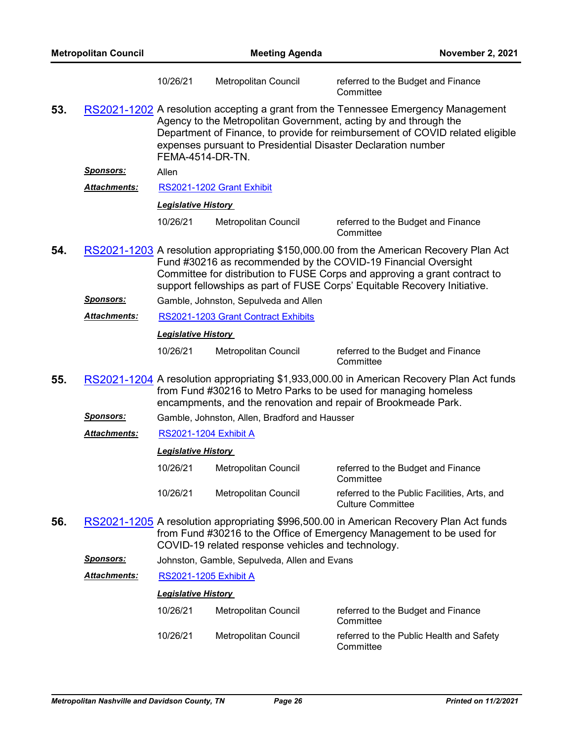| <b>Metropolitan Council</b> |                      | <b>Meeting Agenda</b>        |                                                               | <b>November 2, 2021</b>                                                                                                                                                                                                                                                                                              |
|-----------------------------|----------------------|------------------------------|---------------------------------------------------------------|----------------------------------------------------------------------------------------------------------------------------------------------------------------------------------------------------------------------------------------------------------------------------------------------------------------------|
|                             |                      | 10/26/21                     | Metropolitan Council                                          | referred to the Budget and Finance<br>Committee                                                                                                                                                                                                                                                                      |
| 53.                         |                      | <b>FEMA-4514-DR-TN.</b>      | expenses pursuant to Presidential Disaster Declaration number | RS2021-1202 A resolution accepting a grant from the Tennessee Emergency Management<br>Agency to the Metropolitan Government, acting by and through the<br>Department of Finance, to provide for reimbursement of COVID related eligible                                                                              |
|                             | <u>Sponsors:</u>     | Allen                        |                                                               |                                                                                                                                                                                                                                                                                                                      |
|                             | <b>Attachments:</b>  |                              | RS2021-1202 Grant Exhibit                                     |                                                                                                                                                                                                                                                                                                                      |
|                             |                      | <b>Legislative History</b>   |                                                               |                                                                                                                                                                                                                                                                                                                      |
|                             |                      | 10/26/21                     | Metropolitan Council                                          | referred to the Budget and Finance<br>Committee                                                                                                                                                                                                                                                                      |
| 54.                         |                      |                              |                                                               | RS2021-1203 A resolution appropriating \$150,000.00 from the American Recovery Plan Act<br>Fund #30216 as recommended by the COVID-19 Financial Oversight<br>Committee for distribution to FUSE Corps and approving a grant contract to<br>support fellowships as part of FUSE Corps' Equitable Recovery Initiative. |
|                             | <u>Sponsors:</u>     |                              | Gamble, Johnston, Sepulveda and Allen                         |                                                                                                                                                                                                                                                                                                                      |
|                             | Attachments:         |                              | RS2021-1203 Grant Contract Exhibits                           |                                                                                                                                                                                                                                                                                                                      |
|                             |                      | <b>Legislative History</b>   |                                                               |                                                                                                                                                                                                                                                                                                                      |
|                             |                      | 10/26/21                     | Metropolitan Council                                          | referred to the Budget and Finance<br>Committee                                                                                                                                                                                                                                                                      |
| 55.                         |                      |                              |                                                               | RS2021-1204 A resolution appropriating \$1,933,000.00 in American Recovery Plan Act funds<br>from Fund #30216 to Metro Parks to be used for managing homeless<br>encampments, and the renovation and repair of Brookmeade Park.                                                                                      |
|                             | <u>Sponsors:</u>     |                              | Gamble, Johnston, Allen, Bradford and Hausser                 |                                                                                                                                                                                                                                                                                                                      |
|                             | <b>Attachments:</b>  | <b>RS2021-1204 Exhibit A</b> |                                                               |                                                                                                                                                                                                                                                                                                                      |
|                             |                      | <b>Legislative History</b>   |                                                               |                                                                                                                                                                                                                                                                                                                      |
|                             |                      | 10/26/21                     | Metropolitan Council                                          | referred to the Budget and Finance<br>Committee                                                                                                                                                                                                                                                                      |
|                             |                      | 10/26/21                     | Metropolitan Council                                          | referred to the Public Facilities, Arts, and<br><b>Culture Committee</b>                                                                                                                                                                                                                                             |
| 56.                         |                      |                              | COVID-19 related response vehicles and technology.            | RS2021-1205 A resolution appropriating \$996,500.00 in American Recovery Plan Act funds<br>from Fund #30216 to the Office of Emergency Management to be used for                                                                                                                                                     |
|                             | <u>Sponsors:</u>     |                              | Johnston, Gamble, Sepulveda, Allen and Evans                  |                                                                                                                                                                                                                                                                                                                      |
|                             | <u> Attachments:</u> | <b>RS2021-1205 Exhibit A</b> |                                                               |                                                                                                                                                                                                                                                                                                                      |
|                             |                      | <b>Legislative History</b>   |                                                               |                                                                                                                                                                                                                                                                                                                      |
|                             |                      | 10/26/21                     | Metropolitan Council                                          | referred to the Budget and Finance<br>Committee                                                                                                                                                                                                                                                                      |
|                             |                      | 10/26/21                     | Metropolitan Council                                          | referred to the Public Health and Safety<br>Committee                                                                                                                                                                                                                                                                |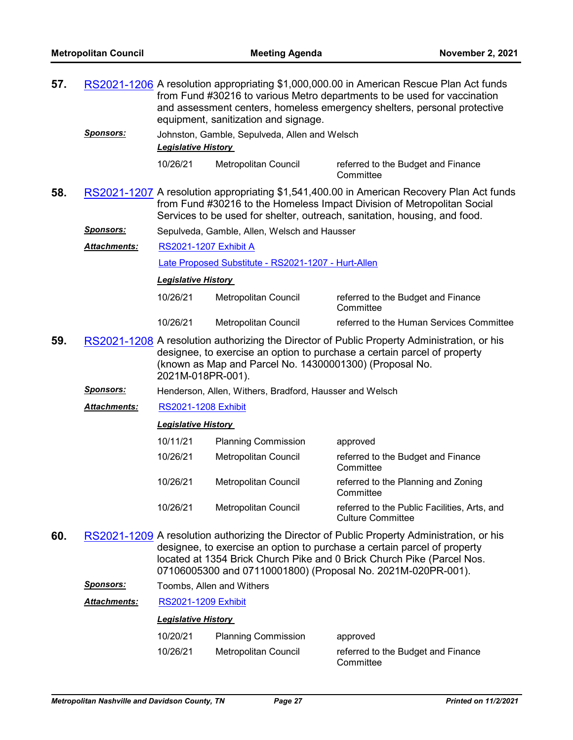| 57. |                  | RS2021-1206 A resolution appropriating \$1,000,000.00 in American Rescue Plan Act funds<br>from Fund #30216 to various Metro departments to be used for vaccination<br>and assessment centers, homeless emergency shelters, personal protective<br>equipment, sanitization and signage. |                                                         |                                                                                                                                                                                                                                                                                                                   |
|-----|------------------|-----------------------------------------------------------------------------------------------------------------------------------------------------------------------------------------------------------------------------------------------------------------------------------------|---------------------------------------------------------|-------------------------------------------------------------------------------------------------------------------------------------------------------------------------------------------------------------------------------------------------------------------------------------------------------------------|
|     | <b>Sponsors:</b> | <b>Legislative History</b>                                                                                                                                                                                                                                                              | Johnston, Gamble, Sepulveda, Allen and Welsch           |                                                                                                                                                                                                                                                                                                                   |
|     |                  | 10/26/21                                                                                                                                                                                                                                                                                | Metropolitan Council                                    | referred to the Budget and Finance<br>Committee                                                                                                                                                                                                                                                                   |
| 58. |                  |                                                                                                                                                                                                                                                                                         |                                                         | RS2021-1207 A resolution appropriating \$1,541,400.00 in American Recovery Plan Act funds<br>from Fund #30216 to the Homeless Impact Division of Metropolitan Social<br>Services to be used for shelter, outreach, sanitation, housing, and food.                                                                 |
|     | <b>Sponsors:</b> |                                                                                                                                                                                                                                                                                         | Sepulveda, Gamble, Allen, Welsch and Hausser            |                                                                                                                                                                                                                                                                                                                   |
|     | Attachments:     | <b>RS2021-1207 Exhibit A</b>                                                                                                                                                                                                                                                            |                                                         |                                                                                                                                                                                                                                                                                                                   |
|     |                  |                                                                                                                                                                                                                                                                                         | Late Proposed Substitute - RS2021-1207 - Hurt-Allen     |                                                                                                                                                                                                                                                                                                                   |
|     |                  | <b>Legislative History</b>                                                                                                                                                                                                                                                              |                                                         |                                                                                                                                                                                                                                                                                                                   |
|     |                  | 10/26/21                                                                                                                                                                                                                                                                                | Metropolitan Council                                    | referred to the Budget and Finance<br>Committee                                                                                                                                                                                                                                                                   |
|     |                  | 10/26/21                                                                                                                                                                                                                                                                                | Metropolitan Council                                    | referred to the Human Services Committee                                                                                                                                                                                                                                                                          |
| 59. |                  | 2021M-018PR-001).                                                                                                                                                                                                                                                                       | (known as Map and Parcel No. 14300001300) (Proposal No. | RS2021-1208 A resolution authorizing the Director of Public Property Administration, or his<br>designee, to exercise an option to purchase a certain parcel of property                                                                                                                                           |
|     | <u>Sponsors:</u> |                                                                                                                                                                                                                                                                                         | Henderson, Allen, Withers, Bradford, Hausser and Welsch |                                                                                                                                                                                                                                                                                                                   |
|     | Attachments:     | <b>RS2021-1208 Exhibit</b>                                                                                                                                                                                                                                                              |                                                         |                                                                                                                                                                                                                                                                                                                   |
|     |                  | <b>Legislative History</b>                                                                                                                                                                                                                                                              |                                                         |                                                                                                                                                                                                                                                                                                                   |
|     |                  | 10/11/21                                                                                                                                                                                                                                                                                | <b>Planning Commission</b>                              | approved                                                                                                                                                                                                                                                                                                          |
|     |                  | 10/26/21                                                                                                                                                                                                                                                                                | Metropolitan Council                                    | referred to the Budget and Finance<br>Committee                                                                                                                                                                                                                                                                   |
|     |                  | 10/26/21                                                                                                                                                                                                                                                                                | Metropolitan Council                                    | referred to the Planning and Zoning<br>Committee                                                                                                                                                                                                                                                                  |
|     |                  | 10/26/21                                                                                                                                                                                                                                                                                | Metropolitan Council                                    | referred to the Public Facilities, Arts, and<br><b>Culture Committee</b>                                                                                                                                                                                                                                          |
| 60. |                  |                                                                                                                                                                                                                                                                                         |                                                         | RS2021-1209 A resolution authorizing the Director of Public Property Administration, or his<br>designee, to exercise an option to purchase a certain parcel of property<br>located at 1354 Brick Church Pike and 0 Brick Church Pike (Parcel Nos.<br>07106005300 and 07110001800) (Proposal No. 2021M-020PR-001). |
|     | Sponsors:        |                                                                                                                                                                                                                                                                                         | Toombs, Allen and Withers                               |                                                                                                                                                                                                                                                                                                                   |
|     | Attachments:     | <b>RS2021-1209 Exhibit</b>                                                                                                                                                                                                                                                              |                                                         |                                                                                                                                                                                                                                                                                                                   |
|     |                  | <b>Legislative History</b>                                                                                                                                                                                                                                                              |                                                         |                                                                                                                                                                                                                                                                                                                   |

| 10/20/21 | <b>Planning Commission</b> | approved                                        |
|----------|----------------------------|-------------------------------------------------|
| 10/26/21 | Metropolitan Council       | referred to the Budget and Finance<br>Committee |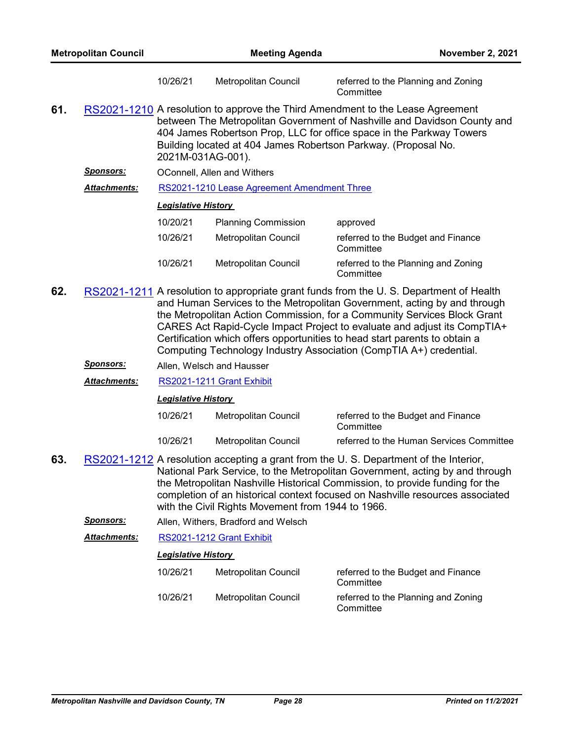|     |                     | 10/26/21                   | <b>Metropolitan Council</b>                 | referred to the Planning and Zoning<br>Committee                                                                                                                                                                                                                                                     |
|-----|---------------------|----------------------------|---------------------------------------------|------------------------------------------------------------------------------------------------------------------------------------------------------------------------------------------------------------------------------------------------------------------------------------------------------|
| 61. |                     | 2021M-031AG-001).          |                                             | RS2021-1210 A resolution to approve the Third Amendment to the Lease Agreement<br>between The Metropolitan Government of Nashville and Davidson County and<br>404 James Robertson Prop, LLC for office space in the Parkway Towers<br>Building located at 404 James Robertson Parkway. (Proposal No. |
|     | Sponsors:           |                            | <b>OConnell, Allen and Withers</b>          |                                                                                                                                                                                                                                                                                                      |
|     | <b>Attachments:</b> |                            | RS2021-1210 Lease Agreement Amendment Three |                                                                                                                                                                                                                                                                                                      |
|     |                     | <b>Legislative History</b> |                                             |                                                                                                                                                                                                                                                                                                      |
|     |                     | 10/20/21                   | <b>Planning Commission</b>                  | approved                                                                                                                                                                                                                                                                                             |
|     |                     | 10/26/21                   | Metropolitan Council                        | referred to the Budget and Finance<br>Committee                                                                                                                                                                                                                                                      |
|     |                     | 10/26/21                   | Metropolitan Council                        | referred to the Planning and Zoning<br>Committee                                                                                                                                                                                                                                                     |

- **62.** [RS2021-1211](http://nashville.legistar.com/gateway.aspx?m=l&id=/matter.aspx?key=13799) A resolution to appropriate grant funds from the U. S. Department of Health and Human Services to the Metropolitan Government, acting by and through the Metropolitan Action Commission, for a Community Services Block Grant CARES Act Rapid-Cycle Impact Project to evaluate and adjust its CompTIA+ Certification which offers opportunities to head start parents to obtain a Computing Technology Industry Association (CompTIA A+) credential.
	- *Sponsors:* Allen, Welsch and Hausser

*Attachments:* [RS2021-1211 Grant Exhibit](http://nashville.legistar.com/gateway.aspx?M=F&ID=dc8baae7-061b-4a32-a3a5-b1b891247660.pdf)

*Legislative History* 

| 10/26/21 | Metropolitan Council | referred to the Budget and Finance<br>Committee |
|----------|----------------------|-------------------------------------------------|
| 10/26/21 | Metropolitan Council | referred to the Human Services Committee        |

- **63.** [RS2021-1212](http://nashville.legistar.com/gateway.aspx?m=l&id=/matter.aspx?key=13788) A resolution accepting a grant from the U. S. Department of the Interior, National Park Service, to the Metropolitan Government, acting by and through the Metropolitan Nashville Historical Commission, to provide funding for the completion of an historical context focused on Nashville resources associated with the Civil Rights Movement from 1944 to 1966.
	- *Sponsors:* Allen, Withers, Bradford and Welsch

*Attachments:* [RS2021-1212 Grant Exhibit](http://nashville.legistar.com/gateway.aspx?M=F&ID=8e86e512-535e-4354-99a5-4d907f43e2fc.pdf)

| 10/26/21 | Metropolitan Council | referred to the Budget and Finance<br>Committee  |
|----------|----------------------|--------------------------------------------------|
| 10/26/21 | Metropolitan Council | referred to the Planning and Zoning<br>Committee |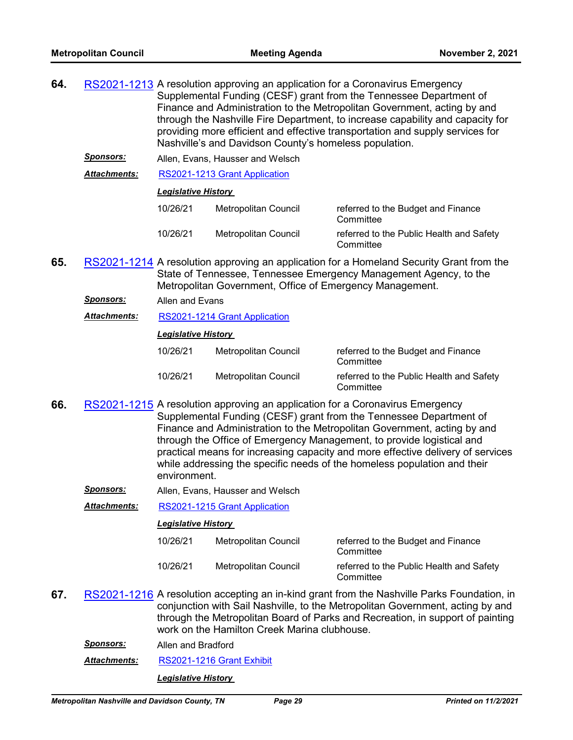- **64.** [RS2021-1213](http://nashville.legistar.com/gateway.aspx?m=l&id=/matter.aspx?key=13741) A resolution approving an application for a Coronavirus Emergency Supplemental Funding (CESF) grant from the Tennessee Department of Finance and Administration to the Metropolitan Government, acting by and through the Nashville Fire Department, to increase capability and capacity for providing more efficient and effective transportation and supply services for Nashville's and Davidson County's homeless population.
	- *Sponsors:* Allen, Evans, Hausser and Welsch

*Attachments:* [RS2021-1213 Grant Application](http://nashville.legistar.com/gateway.aspx?M=F&ID=2e04a712-270d-4993-93fc-160cbdabbba8.pdf)

#### *Legislative History*

| 10/26/21 | Metropolitan Council | referred to the Budget and Finance<br>Committee       |
|----------|----------------------|-------------------------------------------------------|
| 10/26/21 | Metropolitan Council | referred to the Public Health and Safety<br>Committee |

- **65.** [RS2021-1214](http://nashville.legistar.com/gateway.aspx?m=l&id=/matter.aspx?key=13737) A resolution approving an application for a Homeland Security Grant from the State of Tennessee, Tennessee Emergency Management Agency, to the Metropolitan Government, Office of Emergency Management.
	- *Sponsors:* Allen and Evans
	- *Attachments:* [RS2021-1214 Grant Application](http://nashville.legistar.com/gateway.aspx?M=F&ID=32382066-4aa3-437b-84e8-7ec4e5ff166c.pdf)

#### *Legislative History*

| 10/26/21 | Metropolitan Council | referred to the Budget and Finance<br>Committee       |
|----------|----------------------|-------------------------------------------------------|
| 10/26/21 | Metropolitan Council | referred to the Public Health and Safety<br>Committee |

- **66.** [RS2021-1215](http://nashville.legistar.com/gateway.aspx?m=l&id=/matter.aspx?key=13742) A resolution approving an application for a Coronavirus Emergency Supplemental Funding (CESF) grant from the Tennessee Department of Finance and Administration to the Metropolitan Government, acting by and through the Office of Emergency Management, to provide logistical and practical means for increasing capacity and more effective delivery of services while addressing the specific needs of the homeless population and their environment.
	- *Sponsors:* Allen, Evans, Hausser and Welsch

*Attachments:* [RS2021-1215 Grant Application](http://nashville.legistar.com/gateway.aspx?M=F&ID=82c19f3e-2248-4bf1-9a3c-627b9dd242bd.pdf)

### *Legislative History*

| 10/26/21 | Metropolitan Council | referred to the Budget and Finance<br>Committee       |
|----------|----------------------|-------------------------------------------------------|
| 10/26/21 | Metropolitan Council | referred to the Public Health and Safety<br>Committee |

**67.** [RS2021-1216](http://nashville.legistar.com/gateway.aspx?m=l&id=/matter.aspx?key=13783) A resolution accepting an in-kind grant from the Nashville Parks Foundation, in conjunction with Sail Nashville, to the Metropolitan Government, acting by and through the Metropolitan Board of Parks and Recreation, in support of painting work on the Hamilton Creek Marina clubhouse.

*Sponsors:* Allen and Bradford

*Attachments:* [RS2021-1216 Grant Exhibit](http://nashville.legistar.com/gateway.aspx?M=F&ID=2cddfc4e-5720-4827-8451-66d9fd4da071.pdf)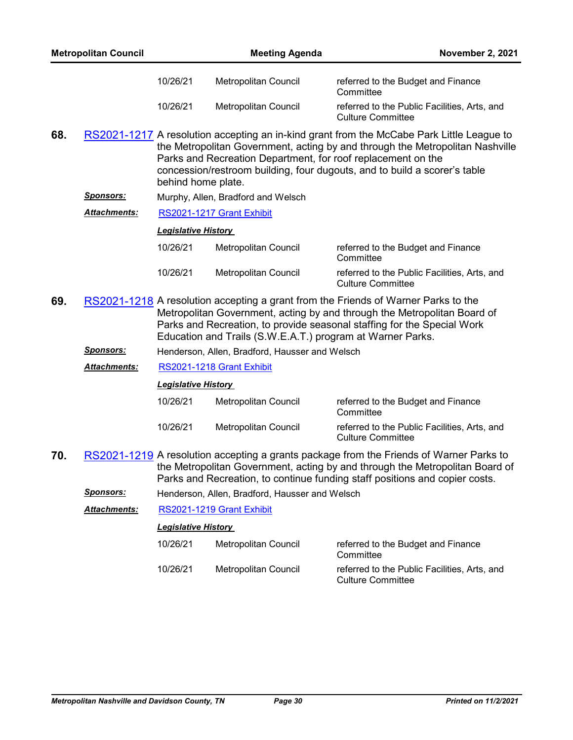|     | <b>Metropolitan Council</b> |                            | <b>Meeting Agenda</b>                                        | <b>November 2, 2021</b>                                                                                                                                                                                                                                 |
|-----|-----------------------------|----------------------------|--------------------------------------------------------------|---------------------------------------------------------------------------------------------------------------------------------------------------------------------------------------------------------------------------------------------------------|
|     |                             | 10/26/21                   | Metropolitan Council                                         | referred to the Budget and Finance<br>Committee                                                                                                                                                                                                         |
|     |                             | 10/26/21                   | Metropolitan Council                                         | referred to the Public Facilities, Arts, and<br><b>Culture Committee</b>                                                                                                                                                                                |
| 68. |                             | behind home plate.         | Parks and Recreation Department, for roof replacement on the | RS2021-1217 A resolution accepting an in-kind grant from the McCabe Park Little League to<br>the Metropolitan Government, acting by and through the Metropolitan Nashville<br>concession/restroom building, four dugouts, and to build a scorer's table |
|     | <u>Sponsors:</u>            |                            | Murphy, Allen, Bradford and Welsch                           |                                                                                                                                                                                                                                                         |
|     | <b>Attachments:</b>         |                            | RS2021-1217 Grant Exhibit                                    |                                                                                                                                                                                                                                                         |
|     |                             | <b>Legislative History</b> |                                                              |                                                                                                                                                                                                                                                         |
|     |                             | 10/26/21                   | Metropolitan Council                                         | referred to the Budget and Finance<br>Committee                                                                                                                                                                                                         |
|     |                             | 10/26/21                   | Metropolitan Council                                         | referred to the Public Facilities, Arts, and<br><b>Culture Committee</b>                                                                                                                                                                                |
| 69. |                             |                            | Education and Trails (S.W.E.A.T.) program at Warner Parks.   | RS2021-1218 A resolution accepting a grant from the Friends of Warner Parks to the<br>Metropolitan Government, acting by and through the Metropolitan Board of<br>Parks and Recreation, to provide seasonal staffing for the Special Work               |
|     | <b>Sponsors:</b>            |                            | Henderson, Allen, Bradford, Hausser and Welsch               |                                                                                                                                                                                                                                                         |
|     | Attachments:                |                            | RS2021-1218 Grant Exhibit                                    |                                                                                                                                                                                                                                                         |
|     |                             | <b>Legislative History</b> |                                                              |                                                                                                                                                                                                                                                         |
|     |                             | 10/26/21                   | Metropolitan Council                                         | referred to the Budget and Finance<br>Committee                                                                                                                                                                                                         |
|     |                             | 10/26/21                   | Metropolitan Council                                         | referred to the Public Facilities, Arts, and<br><b>Culture Committee</b>                                                                                                                                                                                |
| 70. |                             |                            |                                                              | RS2021-1219 A resolution accepting a grants package from the Friends of Warner Parks to<br>the Metropolitan Government, acting by and through the Metropolitan Board of                                                                                 |

Parks and Recreation, to continue funding staff positions and copier costs.

*Sponsors:* Henderson, Allen, Bradford, Hausser and Welsch

*Attachments:* [RS2021-1219 Grant Exhibit](http://nashville.legistar.com/gateway.aspx?M=F&ID=34ee1b01-dee3-43a4-b25c-d653e96cb0f7.pdf)

| 10/26/21 | Metropolitan Council | referred to the Budget and Finance<br>Committee                          |
|----------|----------------------|--------------------------------------------------------------------------|
| 10/26/21 | Metropolitan Council | referred to the Public Facilities, Arts, and<br><b>Culture Committee</b> |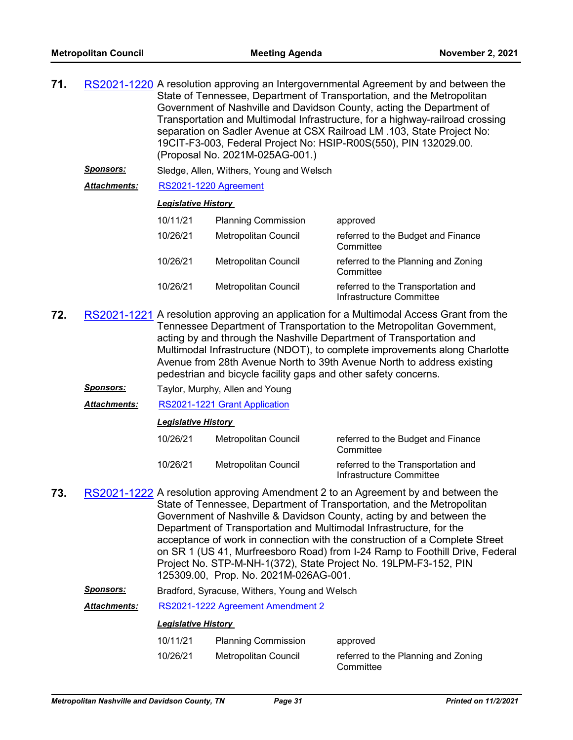| 71. | RS2021-1220 A resolution approving an Intergovernmental Agreement by and between the |
|-----|--------------------------------------------------------------------------------------|
|     | State of Tennessee, Department of Transportation, and the Metropolitan               |
|     | Government of Nashville and Davidson County, acting the Department of                |
|     | Transportation and Multimodal Infrastructure, for a highway-railroad crossing        |
|     | separation on Sadler Avenue at CSX Railroad LM .103, State Project No:               |
|     | 19CIT-F3-003, Federal Project No: HSIP-R00S(550), PIN 132029.00.                     |
|     | (Proposal No. 2021M-025AG-001.)                                                      |

- *Sponsors:* Sledge, Allen, Withers, Young and Welsch
- *Attachments:* [RS2021-1220 Agreement](http://nashville.legistar.com/gateway.aspx?M=F&ID=3ee99fb9-213f-45cc-9294-791835b318c4.pdf)

#### *Legislative History*

| 10/11/21 | <b>Planning Commission</b>  | approved                                                       |
|----------|-----------------------------|----------------------------------------------------------------|
| 10/26/21 | Metropolitan Council        | referred to the Budget and Finance<br>Committee                |
| 10/26/21 | <b>Metropolitan Council</b> | referred to the Planning and Zoning<br>Committee               |
| 10/26/21 | <b>Metropolitan Council</b> | referred to the Transportation and<br>Infrastructure Committee |

- **72.** [RS2021-1221](http://nashville.legistar.com/gateway.aspx?m=l&id=/matter.aspx?key=13743) A resolution approving an application for a Multimodal Access Grant from the Tennessee Department of Transportation to the Metropolitan Government, acting by and through the Nashville Department of Transportation and Multimodal Infrastructure (NDOT), to complete improvements along Charlotte Avenue from 28th Avenue North to 39th Avenue North to address existing pedestrian and bicycle facility gaps and other safety concerns.
	- *Sponsors:* Taylor, Murphy, Allen and Young
	- *Attachments:* [RS2021-1221 Grant Application](http://nashville.legistar.com/gateway.aspx?M=F&ID=50107c09-51e6-4bc1-9c0c-b459b917d533.pdf)

#### *Legislative History*

| 10/26/21 | Metropolitan Council | referred to the Budget and Finance<br>Committee                |
|----------|----------------------|----------------------------------------------------------------|
| 10/26/21 | Metropolitan Council | referred to the Transportation and<br>Infrastructure Committee |

- **73.** [RS2021-1222](http://nashville.legistar.com/gateway.aspx?m=l&id=/matter.aspx?key=13736) A resolution approving Amendment 2 to an Agreement by and between the State of Tennessee, Department of Transportation, and the Metropolitan Government of Nashville & Davidson County, acting by and between the Department of Transportation and Multimodal Infrastructure, for the acceptance of work in connection with the construction of a Complete Street on SR 1 (US 41, Murfreesboro Road) from I-24 Ramp to Foothill Drive, Federal Project No. STP-M-NH-1(372), State Project No. 19LPM-F3-152, PIN 125309.00, Prop. No. 2021M-026AG-001.
	- *Sponsors:* Bradford, Syracuse, Withers, Young and Welsch

*Attachments:* [RS2021-1222 Agreement Amendment 2](http://nashville.legistar.com/gateway.aspx?M=F&ID=d63f5548-17f2-45db-88b5-a80b47735612.pdf)

| 10/11/21 | <b>Planning Commission</b> | approved                                         |
|----------|----------------------------|--------------------------------------------------|
| 10/26/21 | Metropolitan Council       | referred to the Planning and Zoning<br>Committee |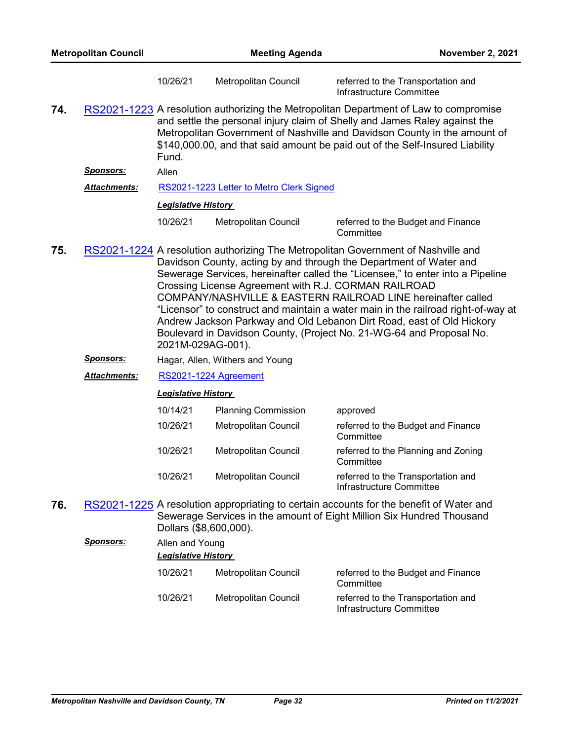|     | <b>Metropolitan Council</b> |                            | <b>Meeting Agenda</b>                                | November 2, 2021                                                                                                                                                                                                                                                                                                                                                                                                                                                                                                                                |
|-----|-----------------------------|----------------------------|------------------------------------------------------|-------------------------------------------------------------------------------------------------------------------------------------------------------------------------------------------------------------------------------------------------------------------------------------------------------------------------------------------------------------------------------------------------------------------------------------------------------------------------------------------------------------------------------------------------|
|     |                             | 10/26/21                   | Metropolitan Council                                 | referred to the Transportation and<br>Infrastructure Committee                                                                                                                                                                                                                                                                                                                                                                                                                                                                                  |
| 74. |                             | Fund.                      |                                                      | RS2021-1223 A resolution authorizing the Metropolitan Department of Law to compromise<br>and settle the personal injury claim of Shelly and James Raley against the<br>Metropolitan Government of Nashville and Davidson County in the amount of<br>\$140,000.00, and that said amount be paid out of the Self-Insured Liability                                                                                                                                                                                                                |
|     | <b>Sponsors:</b>            | Allen                      |                                                      |                                                                                                                                                                                                                                                                                                                                                                                                                                                                                                                                                 |
|     | <b>Attachments:</b>         |                            | RS2021-1223 Letter to Metro Clerk Signed             |                                                                                                                                                                                                                                                                                                                                                                                                                                                                                                                                                 |
|     |                             | <b>Legislative History</b> |                                                      |                                                                                                                                                                                                                                                                                                                                                                                                                                                                                                                                                 |
|     |                             | 10/26/21                   | Metropolitan Council                                 | referred to the Budget and Finance<br>Committee                                                                                                                                                                                                                                                                                                                                                                                                                                                                                                 |
| 75. |                             | 2021M-029AG-001).          | Crossing License Agreement with R.J. CORMAN RAILROAD | RS2021-1224 A resolution authorizing The Metropolitan Government of Nashville and<br>Davidson County, acting by and through the Department of Water and<br>Sewerage Services, hereinafter called the "Licensee," to enter into a Pipeline<br>COMPANY/NASHVILLE & EASTERN RAILROAD LINE hereinafter called<br>"Licensor" to construct and maintain a water main in the railroad right-of-way at<br>Andrew Jackson Parkway and Old Lebanon Dirt Road, east of Old Hickory<br>Boulevard in Davidson County, (Project No. 21-WG-64 and Proposal No. |
|     | <u>Sponsors:</u>            |                            | Hagar, Allen, Withers and Young                      |                                                                                                                                                                                                                                                                                                                                                                                                                                                                                                                                                 |
|     | <b>Attachments:</b>         |                            | RS2021-1224 Agreement                                |                                                                                                                                                                                                                                                                                                                                                                                                                                                                                                                                                 |
|     |                             | <b>Legislative History</b> |                                                      |                                                                                                                                                                                                                                                                                                                                                                                                                                                                                                                                                 |
|     |                             | 10/14/21                   | <b>Planning Commission</b>                           | approved                                                                                                                                                                                                                                                                                                                                                                                                                                                                                                                                        |
|     |                             | 10/26/21                   | Metropolitan Council                                 | referred to the Budget and Finance<br>Committee                                                                                                                                                                                                                                                                                                                                                                                                                                                                                                 |
|     |                             | 10/26/21                   | Metropolitan Council                                 | referred to the Planning and Zoning<br>Committee                                                                                                                                                                                                                                                                                                                                                                                                                                                                                                |
|     |                             | 10/26/21                   | Metropolitan Council                                 | referred to the Transportation and<br>Infrastructure Committee                                                                                                                                                                                                                                                                                                                                                                                                                                                                                  |
| 76. |                             | Dollars (\$8,600,000).     |                                                      | RS2021-1225 A resolution appropriating to certain accounts for the benefit of Water and<br>Sewerage Services in the amount of Eight Million Six Hundred Thousand                                                                                                                                                                                                                                                                                                                                                                                |
|     | <b>Sponsors:</b>            | Allen and Young            |                                                      |                                                                                                                                                                                                                                                                                                                                                                                                                                                                                                                                                 |
|     |                             | <b>Legislative History</b> |                                                      |                                                                                                                                                                                                                                                                                                                                                                                                                                                                                                                                                 |
|     |                             | 10/26/21                   | Metropolitan Council                                 | referred to the Budget and Finance<br>Committee                                                                                                                                                                                                                                                                                                                                                                                                                                                                                                 |
|     |                             | 10/26/21                   | Metropolitan Council                                 | referred to the Transportation and                                                                                                                                                                                                                                                                                                                                                                                                                                                                                                              |

Infrastructure Committee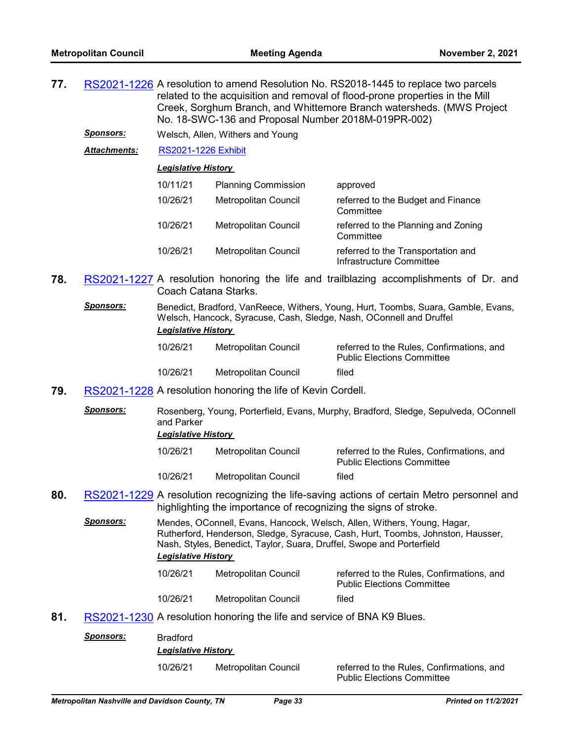**77.** [RS2021-1226](http://nashville.legistar.com/gateway.aspx?m=l&id=/matter.aspx?key=13744) A resolution to amend Resolution No. RS2018-1445 to replace two parcels related to the acquisition and removal of flood-prone properties in the Mill Creek, Sorghum Branch, and Whittemore Branch watersheds. (MWS Project No. 18-SWC-136 and Proposal Number 2018M-019PR-002)

*Sponsors:* Welsch, Allen, Withers and Young

*Attachments:* [RS2021-1226 Exhibit](http://nashville.legistar.com/gateway.aspx?M=F&ID=e16f73ff-ace9-4795-aaec-e5180964f3a8.pdf)

#### *Legislative History*

| 10/11/21 | <b>Planning Commission</b>  | approved                                                       |
|----------|-----------------------------|----------------------------------------------------------------|
| 10/26/21 | Metropolitan Council        | referred to the Budget and Finance<br>Committee                |
| 10/26/21 | <b>Metropolitan Council</b> | referred to the Planning and Zoning<br>Committee               |
| 10/26/21 | <b>Metropolitan Council</b> | referred to the Transportation and<br>Infrastructure Committee |

- **78.** [RS2021-1227](http://nashville.legistar.com/gateway.aspx?m=l&id=/matter.aspx?key=13800) A resolution honoring the life and trailblazing accomplishments of Dr. and Coach Catana Starks.
	- *Sponsors:* Benedict, Bradford, VanReece, Withers, Young, Hurt, Toombs, Suara, Gamble, Evans, Welsch, Hancock, Syracuse, Cash, Sledge, Nash, OConnell and Druffel *Legislative History*

| 10/26/21 | Metropolitan Council | referred to the Rules. Confirmations, and<br><b>Public Elections Committee</b> |
|----------|----------------------|--------------------------------------------------------------------------------|
| 10/26/21 | Metropolitan Council | filed                                                                          |

- **79.** [RS2021-1228](http://nashville.legistar.com/gateway.aspx?m=l&id=/matter.aspx?key=13806) A resolution honoring the life of Kevin Cordell.
	- *Sponsors:* Rosenberg, Young, Porterfield, Evans, Murphy, Bradford, Sledge, Sepulveda, OConnell and Parker

#### *Legislative History*

| 10/26/21 | Metropolitan Council | referred to the Rules, Confirmations, and<br><b>Public Elections Committee</b> |
|----------|----------------------|--------------------------------------------------------------------------------|
| 10/26/21 | Metropolitan Council | filed                                                                          |

- **80.** [RS2021-1229](http://nashville.legistar.com/gateway.aspx?m=l&id=/matter.aspx?key=13798) A resolution recognizing the life-saving actions of certain Metro personnel and highlighting the importance of recognizing the signs of stroke.
	- *Sponsors:* Mendes, OConnell, Evans, Hancock, Welsch, Allen, Withers, Young, Hagar, Rutherford, Henderson, Sledge, Syracuse, Cash, Hurt, Toombs, Johnston, Hausser, Nash, Styles, Benedict, Taylor, Suara, Druffel, Swope and Porterfield *Legislative History*

| 10/26/21 | Metropolitan Council | referred to the Rules, Confirmations, and<br><b>Public Elections Committee</b> |
|----------|----------------------|--------------------------------------------------------------------------------|
| 10/26/21 | Metropolitan Council | filed                                                                          |

**81.** [RS2021-1230](http://nashville.legistar.com/gateway.aspx?m=l&id=/matter.aspx?key=13723) A resolution honoring the life and service of BNA K9 Blues.

| <b>Sponsors:</b> | <b>Bradford</b><br><b>Legislative History</b> |                      |                                                                                |
|------------------|-----------------------------------------------|----------------------|--------------------------------------------------------------------------------|
|                  | 10/26/21                                      | Metropolitan Council | referred to the Rules, Confirmations, and<br><b>Public Elections Committee</b> |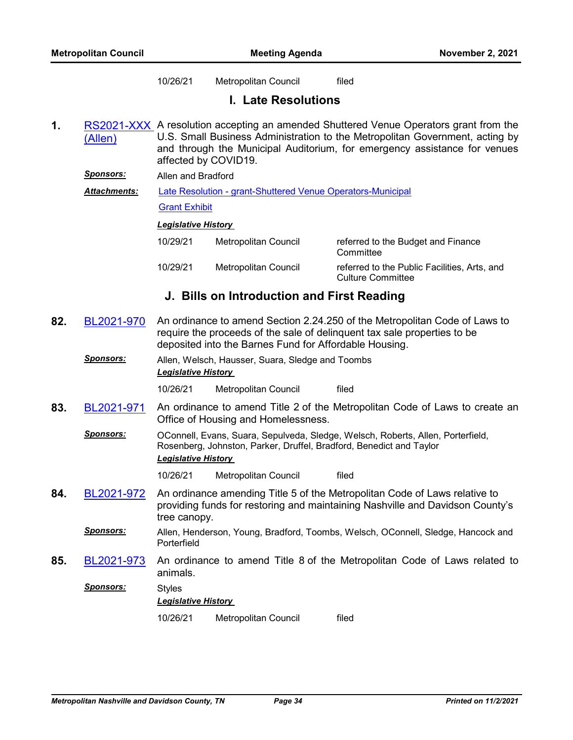10/26/21 Metropolitan Council filed

## **I. Late Resolutions**

**1.** RS2021-XXX<sub></sub> A resolution accepting an amended Shuttered Venue Operators grant from the (Allen) U.S. Small Business Administration to the Metropolitan Government, acting by and through the Municipal Auditorium, for emergency assistance for venues affected by COVID19.

*Sponsors:* Allen and Bradford

[Late Resolution - grant-Shuttered Venue Operators-Municipal](http://nashville.legistar.com/gateway.aspx?M=F&ID=eaab0fb8-6982-4517-89cb-0d8ab0f2d760.pdf) *Attachments:*

[Grant Exhibit](http://nashville.legistar.com/gateway.aspx?M=F&ID=bffaed19-5bc9-49e0-8c40-1160fbe51789.pdf)

#### *Legislative History*

| 10/29/21 | Metropolitan Council | referred to the Budget and Finance<br>Committee                          |
|----------|----------------------|--------------------------------------------------------------------------|
| 10/29/21 | Metropolitan Council | referred to the Public Facilities. Arts, and<br><b>Culture Committee</b> |

## **J. Bills on Introduction and First Reading**

- **82.** [BL2021-970](http://nashville.legistar.com/gateway.aspx?m=l&id=/matter.aspx?key=13801) An ordinance to amend Section 2.24.250 of the Metropolitan Code of Laws to require the proceeds of the sale of delinquent tax sale properties to be deposited into the Barnes Fund for Affordable Housing.
	- *Sponsors:* Allen, Welsch, Hausser, Suara, Sledge and Toombs *Legislative History*

10/26/21 Metropolitan Council filed

- **83.** [BL2021-971](http://nashville.legistar.com/gateway.aspx?m=l&id=/matter.aspx?key=13734) An ordinance to amend Title 2 of the Metropolitan Code of Laws to create an Office of Housing and Homelessness.
	- *Sponsors:* OConnell, Evans, Suara, Sepulveda, Sledge, Welsch, Roberts, Allen, Porterfield, Rosenberg, Johnston, Parker, Druffel, Bradford, Benedict and Taylor *Legislative History*

10/26/21 Metropolitan Council filed

- **84.** [BL2021-972](http://nashville.legistar.com/gateway.aspx?m=l&id=/matter.aspx?key=13790) An ordinance amending Title 5 of the Metropolitan Code of Laws relative to providing funds for restoring and maintaining Nashville and Davidson County's tree canopy.
	- *Sponsors:* Allen, Henderson, Young, Bradford, Toombs, Welsch, OConnell, Sledge, Hancock and Porterfield
- **85.** [BL2021-973](http://nashville.legistar.com/gateway.aspx?m=l&id=/matter.aspx?key=13740) An ordinance to amend Title 8 of the Metropolitan Code of Laws related to animals.

*Sponsors:* Styles *Legislative History*  10/26/21 Metropolitan Council filed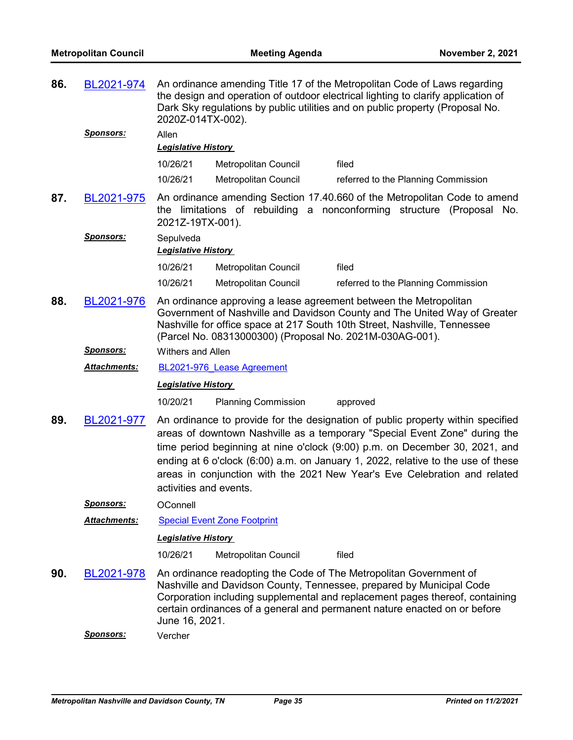| 86. | BL2021-974       | An ordinance amending Title 17 of the Metropolitan Code of Laws regarding<br>the design and operation of outdoor electrical lighting to clarify application of<br>Dark Sky regulations by public utilities and on public property (Proposal No.<br>2020Z-014TX-002). |                                                          |                                                                                                                                                                                                                                                                                                                                                                                                                 |  |
|-----|------------------|----------------------------------------------------------------------------------------------------------------------------------------------------------------------------------------------------------------------------------------------------------------------|----------------------------------------------------------|-----------------------------------------------------------------------------------------------------------------------------------------------------------------------------------------------------------------------------------------------------------------------------------------------------------------------------------------------------------------------------------------------------------------|--|
|     | <u>Sponsors:</u> | Allen<br><b>Legislative History</b>                                                                                                                                                                                                                                  |                                                          |                                                                                                                                                                                                                                                                                                                                                                                                                 |  |
|     |                  | 10/26/21                                                                                                                                                                                                                                                             | Metropolitan Council                                     | filed                                                                                                                                                                                                                                                                                                                                                                                                           |  |
|     |                  | 10/26/21                                                                                                                                                                                                                                                             | Metropolitan Council                                     | referred to the Planning Commission                                                                                                                                                                                                                                                                                                                                                                             |  |
| 87. | BL2021-975       | the<br>2021Z-19TX-001).                                                                                                                                                                                                                                              |                                                          | An ordinance amending Section 17.40.660 of the Metropolitan Code to amend<br>limitations of rebuilding a nonconforming structure (Proposal No.                                                                                                                                                                                                                                                                  |  |
|     | <b>Sponsors:</b> | Sepulveda<br>Legislative History                                                                                                                                                                                                                                     |                                                          |                                                                                                                                                                                                                                                                                                                                                                                                                 |  |
|     |                  | 10/26/21                                                                                                                                                                                                                                                             | Metropolitan Council                                     | filed                                                                                                                                                                                                                                                                                                                                                                                                           |  |
|     |                  | 10/26/21                                                                                                                                                                                                                                                             | Metropolitan Council                                     | referred to the Planning Commission                                                                                                                                                                                                                                                                                                                                                                             |  |
| 88. | BL2021-976       |                                                                                                                                                                                                                                                                      | (Parcel No. 08313000300) (Proposal No. 2021M-030AG-001). | An ordinance approving a lease agreement between the Metropolitan<br>Government of Nashville and Davidson County and The United Way of Greater<br>Nashville for office space at 217 South 10th Street, Nashville, Tennessee                                                                                                                                                                                     |  |
|     | <b>Sponsors:</b> | <b>Withers and Allen</b>                                                                                                                                                                                                                                             |                                                          |                                                                                                                                                                                                                                                                                                                                                                                                                 |  |
|     | Attachments:     |                                                                                                                                                                                                                                                                      | BL2021-976 Lease Agreement                               |                                                                                                                                                                                                                                                                                                                                                                                                                 |  |
|     |                  | <b>Legislative History</b>                                                                                                                                                                                                                                           |                                                          |                                                                                                                                                                                                                                                                                                                                                                                                                 |  |
|     |                  | 10/20/21                                                                                                                                                                                                                                                             | <b>Planning Commission</b>                               | approved                                                                                                                                                                                                                                                                                                                                                                                                        |  |
| 89. | BL2021-977       | activities and events.                                                                                                                                                                                                                                               |                                                          | An ordinance to provide for the designation of public property within specified<br>areas of downtown Nashville as a temporary "Special Event Zone" during the<br>time period beginning at nine o'clock (9:00) p.m. on December 30, 2021, and<br>ending at 6 o'clock $(6.00)$ a.m. on January 1, 2022, relative to the use of these<br>areas in conjunction with the 2021 New Year's Eve Celebration and related |  |
|     | <u>Sponsors:</u> | OConnell                                                                                                                                                                                                                                                             |                                                          |                                                                                                                                                                                                                                                                                                                                                                                                                 |  |
|     | Attachments:     |                                                                                                                                                                                                                                                                      | <b>Special Event Zone Footprint</b>                      |                                                                                                                                                                                                                                                                                                                                                                                                                 |  |
|     |                  | <b>Legislative History</b>                                                                                                                                                                                                                                           |                                                          |                                                                                                                                                                                                                                                                                                                                                                                                                 |  |
|     |                  | 10/26/21                                                                                                                                                                                                                                                             | <b>Metropolitan Council</b>                              | filed                                                                                                                                                                                                                                                                                                                                                                                                           |  |
| 90. | BL2021-978       | June 16, 2021.                                                                                                                                                                                                                                                       |                                                          | An ordinance readopting the Code of The Metropolitan Government of<br>Nashville and Davidson County, Tennessee, prepared by Municipal Code<br>Corporation including supplemental and replacement pages thereof, containing<br>certain ordinances of a general and permanent nature enacted on or before                                                                                                         |  |
|     | <b>Sponsors:</b> | Vercher                                                                                                                                                                                                                                                              |                                                          |                                                                                                                                                                                                                                                                                                                                                                                                                 |  |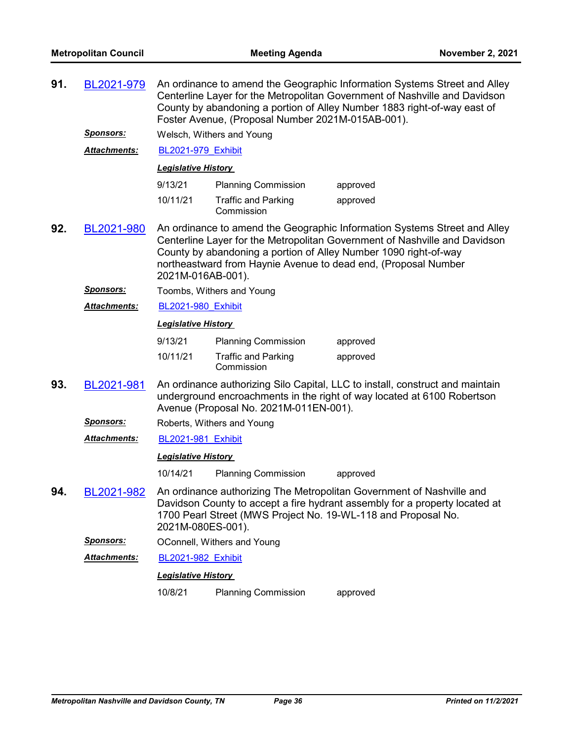| 91. | BL2021-979          | An ordinance to amend the Geographic Information Systems Street and Alley<br>Centerline Layer for the Metropolitan Government of Nashville and Davidson<br>County by abandoning a portion of Alley Number 1883 right-of-way east of<br>Foster Avenue, (Proposal Number 2021M-015AB-001). |                                          |                                                                                                                                                                                                                                                                                               |  |  |  |
|-----|---------------------|------------------------------------------------------------------------------------------------------------------------------------------------------------------------------------------------------------------------------------------------------------------------------------------|------------------------------------------|-----------------------------------------------------------------------------------------------------------------------------------------------------------------------------------------------------------------------------------------------------------------------------------------------|--|--|--|
|     | <b>Sponsors:</b>    |                                                                                                                                                                                                                                                                                          | Welsch, Withers and Young                |                                                                                                                                                                                                                                                                                               |  |  |  |
|     | <b>Attachments:</b> | <b>BL2021-979 Exhibit</b>                                                                                                                                                                                                                                                                |                                          |                                                                                                                                                                                                                                                                                               |  |  |  |
|     |                     | <b>Legislative History</b>                                                                                                                                                                                                                                                               |                                          |                                                                                                                                                                                                                                                                                               |  |  |  |
|     |                     | 9/13/21                                                                                                                                                                                                                                                                                  | <b>Planning Commission</b>               | approved                                                                                                                                                                                                                                                                                      |  |  |  |
|     |                     | 10/11/21                                                                                                                                                                                                                                                                                 | <b>Traffic and Parking</b><br>Commission | approved                                                                                                                                                                                                                                                                                      |  |  |  |
| 92. | BL2021-980          | 2021M-016AB-001).                                                                                                                                                                                                                                                                        |                                          | An ordinance to amend the Geographic Information Systems Street and Alley<br>Centerline Layer for the Metropolitan Government of Nashville and Davidson<br>County by abandoning a portion of Alley Number 1090 right-of-way<br>northeastward from Haynie Avenue to dead end, (Proposal Number |  |  |  |
|     | <u>Sponsors:</u>    |                                                                                                                                                                                                                                                                                          | Toombs, Withers and Young                |                                                                                                                                                                                                                                                                                               |  |  |  |
|     | <b>Attachments:</b> | <b>BL2021-980 Exhibit</b>                                                                                                                                                                                                                                                                |                                          |                                                                                                                                                                                                                                                                                               |  |  |  |
|     |                     | <b>Legislative History</b>                                                                                                                                                                                                                                                               |                                          |                                                                                                                                                                                                                                                                                               |  |  |  |
|     |                     | 9/13/21                                                                                                                                                                                                                                                                                  | <b>Planning Commission</b>               | approved                                                                                                                                                                                                                                                                                      |  |  |  |
|     |                     | 10/11/21                                                                                                                                                                                                                                                                                 | <b>Traffic and Parking</b><br>Commission | approved                                                                                                                                                                                                                                                                                      |  |  |  |
| 93. | BL2021-981          | An ordinance authorizing Silo Capital, LLC to install, construct and maintain<br>underground encroachments in the right of way located at 6100 Robertson<br>Avenue (Proposal No. 2021M-011EN-001).                                                                                       |                                          |                                                                                                                                                                                                                                                                                               |  |  |  |
|     | <u>Sponsors:</u>    |                                                                                                                                                                                                                                                                                          | Roberts, Withers and Young               |                                                                                                                                                                                                                                                                                               |  |  |  |
|     | <b>Attachments:</b> | BL2021-981 Exhibit                                                                                                                                                                                                                                                                       |                                          |                                                                                                                                                                                                                                                                                               |  |  |  |
|     |                     | <b>Legislative History</b>                                                                                                                                                                                                                                                               |                                          |                                                                                                                                                                                                                                                                                               |  |  |  |
|     |                     | 10/14/21                                                                                                                                                                                                                                                                                 | <b>Planning Commission</b>               | approved                                                                                                                                                                                                                                                                                      |  |  |  |
| 94. | BL2021-982          | 2021M-080ES-001).                                                                                                                                                                                                                                                                        |                                          | An ordinance authorizing The Metropolitan Government of Nashville and<br>Davidson County to accept a fire hydrant assembly for a property located at<br>1700 Pearl Street (MWS Project No. 19-WL-118 and Proposal No.                                                                         |  |  |  |
|     | <b>Sponsors:</b>    |                                                                                                                                                                                                                                                                                          | OConnell, Withers and Young              |                                                                                                                                                                                                                                                                                               |  |  |  |
|     | <b>Attachments:</b> | <b>BL2021-982 Exhibit</b>                                                                                                                                                                                                                                                                |                                          |                                                                                                                                                                                                                                                                                               |  |  |  |
|     |                     | <b>Legislative History</b>                                                                                                                                                                                                                                                               |                                          |                                                                                                                                                                                                                                                                                               |  |  |  |
|     |                     | 10/8/21                                                                                                                                                                                                                                                                                  | <b>Planning Commission</b>               | approved                                                                                                                                                                                                                                                                                      |  |  |  |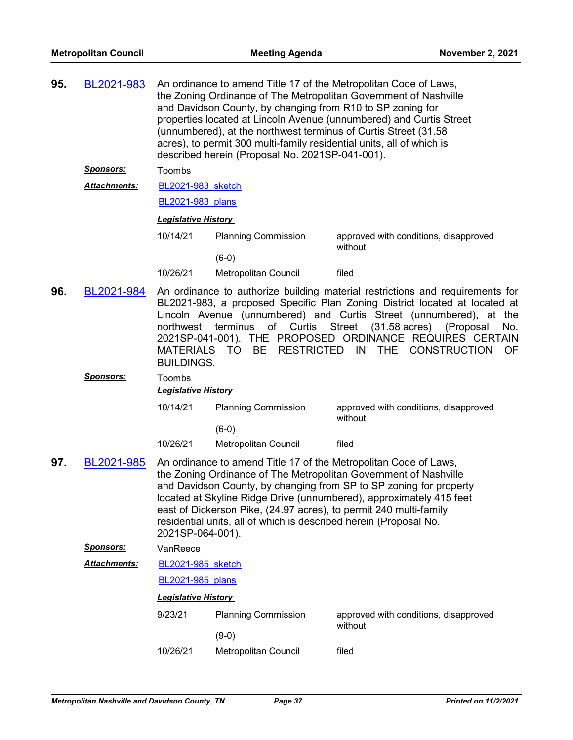| 95. | BL2021-983          | An ordinance to amend Title 17 of the Metropolitan Code of Laws,<br>the Zoning Ordinance of The Metropolitan Government of Nashville<br>and Davidson County, by changing from R10 to SP zoning for<br>properties located at Lincoln Avenue (unnumbered) and Curtis Street<br>(unnumbered), at the northwest terminus of Curtis Street (31.58<br>acres), to permit 300 multi-family residential units, all of which is<br>described herein (Proposal No. 2021SP-041-001). |                                                                                                                                        |                                                                                                                                                                                                                                                                                                                                                                                  |  |  |
|-----|---------------------|--------------------------------------------------------------------------------------------------------------------------------------------------------------------------------------------------------------------------------------------------------------------------------------------------------------------------------------------------------------------------------------------------------------------------------------------------------------------------|----------------------------------------------------------------------------------------------------------------------------------------|----------------------------------------------------------------------------------------------------------------------------------------------------------------------------------------------------------------------------------------------------------------------------------------------------------------------------------------------------------------------------------|--|--|
|     | <u> Sponsors:</u>   | Toombs                                                                                                                                                                                                                                                                                                                                                                                                                                                                   |                                                                                                                                        |                                                                                                                                                                                                                                                                                                                                                                                  |  |  |
|     | <b>Attachments:</b> |                                                                                                                                                                                                                                                                                                                                                                                                                                                                          | BL2021-983 sketch                                                                                                                      |                                                                                                                                                                                                                                                                                                                                                                                  |  |  |
|     |                     |                                                                                                                                                                                                                                                                                                                                                                                                                                                                          | BL2021-983 plans                                                                                                                       |                                                                                                                                                                                                                                                                                                                                                                                  |  |  |
|     |                     | <b>Legislative History</b>                                                                                                                                                                                                                                                                                                                                                                                                                                               |                                                                                                                                        |                                                                                                                                                                                                                                                                                                                                                                                  |  |  |
|     |                     | 10/14/21                                                                                                                                                                                                                                                                                                                                                                                                                                                                 | <b>Planning Commission</b>                                                                                                             | approved with conditions, disapproved<br>without                                                                                                                                                                                                                                                                                                                                 |  |  |
|     |                     |                                                                                                                                                                                                                                                                                                                                                                                                                                                                          | $(6-0)$                                                                                                                                |                                                                                                                                                                                                                                                                                                                                                                                  |  |  |
|     |                     | 10/26/21                                                                                                                                                                                                                                                                                                                                                                                                                                                                 | Metropolitan Council                                                                                                                   | filed                                                                                                                                                                                                                                                                                                                                                                            |  |  |
| 96. | BL2021-984          | northwest<br>MATERIALS TO<br><b>BUILDINGS.</b>                                                                                                                                                                                                                                                                                                                                                                                                                           | of Curtis<br>terminus<br><b>RESTRICTED</b><br><b>BE</b>                                                                                | An ordinance to authorize building material restrictions and requirements for<br>BL2021-983, a proposed Specific Plan Zoning District located at located at<br>Lincoln Avenue (unnumbered) and Curtis Street (unnumbered), at the<br>Street (31.58 acres)<br>(Proposal<br>No.<br>2021SP-041-001). THE PROPOSED ORDINANCE REQUIRES CERTAIN<br>IN THE<br><b>CONSTRUCTION</b><br>0F |  |  |
|     | <b>Sponsors:</b>    | Toombs<br><b>Legislative History</b>                                                                                                                                                                                                                                                                                                                                                                                                                                     |                                                                                                                                        |                                                                                                                                                                                                                                                                                                                                                                                  |  |  |
|     |                     | 10/14/21                                                                                                                                                                                                                                                                                                                                                                                                                                                                 | <b>Planning Commission</b><br>$(6-0)$                                                                                                  | approved with conditions, disapproved<br>without                                                                                                                                                                                                                                                                                                                                 |  |  |
|     |                     | 10/26/21                                                                                                                                                                                                                                                                                                                                                                                                                                                                 | Metropolitan Council                                                                                                                   | filed                                                                                                                                                                                                                                                                                                                                                                            |  |  |
| 97. | BL2021-985          | 2021SP-064-001).                                                                                                                                                                                                                                                                                                                                                                                                                                                         | east of Dickerson Pike, (24.97 acres), to permit 240 multi-family<br>residential units, all of which is described herein (Proposal No. | An ordinance to amend Title 17 of the Metropolitan Code of Laws,<br>the Zoning Ordinance of The Metropolitan Government of Nashville<br>and Davidson County, by changing from SP to SP zoning for property<br>located at Skyline Ridge Drive (unnumbered), approximately 415 feet                                                                                                |  |  |
|     | <b>Sponsors:</b>    | VanReece                                                                                                                                                                                                                                                                                                                                                                                                                                                                 |                                                                                                                                        |                                                                                                                                                                                                                                                                                                                                                                                  |  |  |
|     | Attachments:        | <b>BL2021-985</b> sketch                                                                                                                                                                                                                                                                                                                                                                                                                                                 |                                                                                                                                        |                                                                                                                                                                                                                                                                                                                                                                                  |  |  |
|     |                     | BL2021-985 plans                                                                                                                                                                                                                                                                                                                                                                                                                                                         |                                                                                                                                        |                                                                                                                                                                                                                                                                                                                                                                                  |  |  |
|     |                     | <b>Legislative History</b>                                                                                                                                                                                                                                                                                                                                                                                                                                               |                                                                                                                                        |                                                                                                                                                                                                                                                                                                                                                                                  |  |  |
|     |                     | 9/23/21                                                                                                                                                                                                                                                                                                                                                                                                                                                                  | <b>Planning Commission</b>                                                                                                             | approved with conditions, disapproved<br>without                                                                                                                                                                                                                                                                                                                                 |  |  |
|     |                     |                                                                                                                                                                                                                                                                                                                                                                                                                                                                          | $(9-0)$                                                                                                                                |                                                                                                                                                                                                                                                                                                                                                                                  |  |  |
|     |                     | 10/26/21                                                                                                                                                                                                                                                                                                                                                                                                                                                                 | Metropolitan Council                                                                                                                   | filed                                                                                                                                                                                                                                                                                                                                                                            |  |  |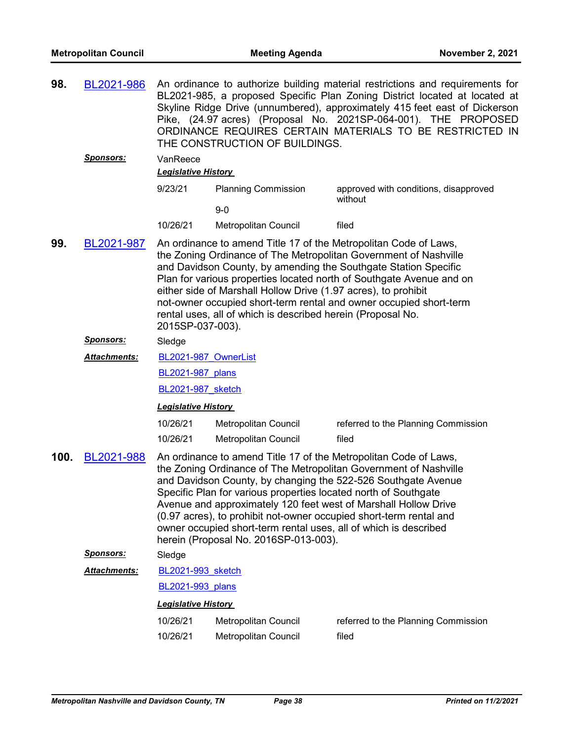| 98.  | BL2021-986           | An ordinance to authorize building material restrictions and requirements for<br>BL2021-985, a proposed Specific Plan Zoning District located at located at<br>Skyline Ridge Drive (unnumbered), approximately 415 feet east of Dickerson<br>Pike, (24.97 acres) (Proposal No. 2021SP-064-001). THE PROPOSED<br>ORDINANCE REQUIRES CERTAIN MATERIALS TO BE RESTRICTED IN<br>THE CONSTRUCTION OF BUILDINGS.                                                                                                 |                                                                                                                                                                              |                                                                                                                                                                                                                                                                                                                                                |
|------|----------------------|------------------------------------------------------------------------------------------------------------------------------------------------------------------------------------------------------------------------------------------------------------------------------------------------------------------------------------------------------------------------------------------------------------------------------------------------------------------------------------------------------------|------------------------------------------------------------------------------------------------------------------------------------------------------------------------------|------------------------------------------------------------------------------------------------------------------------------------------------------------------------------------------------------------------------------------------------------------------------------------------------------------------------------------------------|
|      | <b>Sponsors:</b>     | VanReece<br><b>Legislative History</b>                                                                                                                                                                                                                                                                                                                                                                                                                                                                     |                                                                                                                                                                              |                                                                                                                                                                                                                                                                                                                                                |
|      |                      | 9/23/21                                                                                                                                                                                                                                                                                                                                                                                                                                                                                                    | <b>Planning Commission</b>                                                                                                                                                   | approved with conditions, disapproved<br>without                                                                                                                                                                                                                                                                                               |
|      |                      |                                                                                                                                                                                                                                                                                                                                                                                                                                                                                                            | $9-0$                                                                                                                                                                        |                                                                                                                                                                                                                                                                                                                                                |
|      |                      | 10/26/21                                                                                                                                                                                                                                                                                                                                                                                                                                                                                                   | Metropolitan Council                                                                                                                                                         | filed                                                                                                                                                                                                                                                                                                                                          |
| 99.  | BL2021-987           | An ordinance to amend Title 17 of the Metropolitan Code of Laws,<br>the Zoning Ordinance of The Metropolitan Government of Nashville<br>and Davidson County, by amending the Southgate Station Specific<br>Plan for various properties located north of Southgate Avenue and on<br>either side of Marshall Hollow Drive (1.97 acres), to prohibit<br>not-owner occupied short-term rental and owner occupied short-term<br>rental uses, all of which is described herein (Proposal No.<br>2015SP-037-003). |                                                                                                                                                                              |                                                                                                                                                                                                                                                                                                                                                |
|      | Sponsors:            | Sledge                                                                                                                                                                                                                                                                                                                                                                                                                                                                                                     |                                                                                                                                                                              |                                                                                                                                                                                                                                                                                                                                                |
|      | Attachments:         | BL2021-987 OwnerList                                                                                                                                                                                                                                                                                                                                                                                                                                                                                       |                                                                                                                                                                              |                                                                                                                                                                                                                                                                                                                                                |
|      |                      | BL2021-987 plans                                                                                                                                                                                                                                                                                                                                                                                                                                                                                           |                                                                                                                                                                              |                                                                                                                                                                                                                                                                                                                                                |
|      |                      | BL2021-987 sketch                                                                                                                                                                                                                                                                                                                                                                                                                                                                                          |                                                                                                                                                                              |                                                                                                                                                                                                                                                                                                                                                |
|      |                      | <b>Legislative History</b>                                                                                                                                                                                                                                                                                                                                                                                                                                                                                 |                                                                                                                                                                              |                                                                                                                                                                                                                                                                                                                                                |
|      |                      | 10/26/21                                                                                                                                                                                                                                                                                                                                                                                                                                                                                                   | Metropolitan Council                                                                                                                                                         | referred to the Planning Commission                                                                                                                                                                                                                                                                                                            |
|      |                      | 10/26/21                                                                                                                                                                                                                                                                                                                                                                                                                                                                                                   | Metropolitan Council                                                                                                                                                         | filed                                                                                                                                                                                                                                                                                                                                          |
| 100. | BL2021-988           |                                                                                                                                                                                                                                                                                                                                                                                                                                                                                                            | Specific Plan for various properties located north of Southgate<br>owner occupied short-term rental uses, all of which is described<br>herein (Proposal No. 2016SP-013-003). | An ordinance to amend Title 17 of the Metropolitan Code of Laws,<br>the Zoning Ordinance of The Metropolitan Government of Nashville<br>and Davidson County, by changing the 522-526 Southgate Avenue<br>Avenue and approximately 120 feet west of Marshall Hollow Drive<br>(0.97 acres), to prohibit not-owner occupied short-term rental and |
|      | <b>Sponsors:</b>     | Sledge                                                                                                                                                                                                                                                                                                                                                                                                                                                                                                     |                                                                                                                                                                              |                                                                                                                                                                                                                                                                                                                                                |
|      | <u> Attachments:</u> | <b>BL2021-993</b> sketch                                                                                                                                                                                                                                                                                                                                                                                                                                                                                   |                                                                                                                                                                              |                                                                                                                                                                                                                                                                                                                                                |
|      |                      | BL2021-993 plans                                                                                                                                                                                                                                                                                                                                                                                                                                                                                           |                                                                                                                                                                              |                                                                                                                                                                                                                                                                                                                                                |
|      |                      | <b>Legislative History</b>                                                                                                                                                                                                                                                                                                                                                                                                                                                                                 |                                                                                                                                                                              |                                                                                                                                                                                                                                                                                                                                                |
|      |                      | 10/26/21                                                                                                                                                                                                                                                                                                                                                                                                                                                                                                   | Metropolitan Council                                                                                                                                                         | referred to the Planning Commission                                                                                                                                                                                                                                                                                                            |
|      |                      | 10/26/21                                                                                                                                                                                                                                                                                                                                                                                                                                                                                                   | Metropolitan Council                                                                                                                                                         | filed                                                                                                                                                                                                                                                                                                                                          |
|      |                      |                                                                                                                                                                                                                                                                                                                                                                                                                                                                                                            |                                                                                                                                                                              |                                                                                                                                                                                                                                                                                                                                                |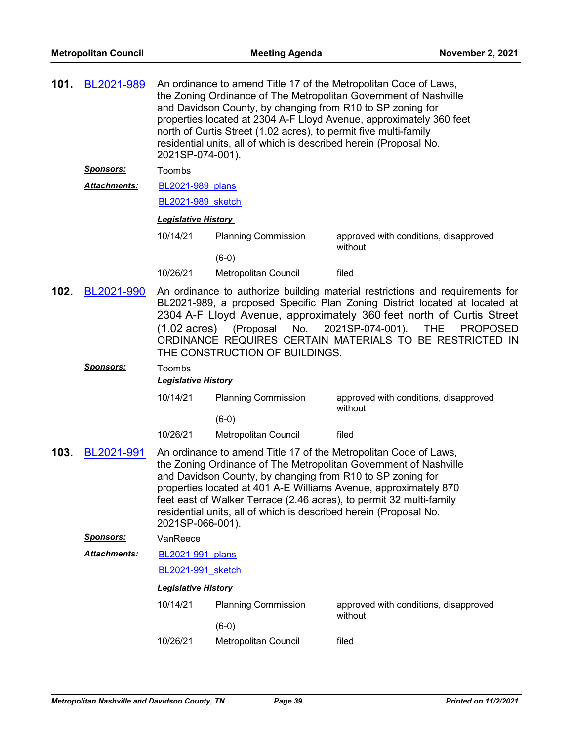| 101. | BL2021-989           | An ordinance to amend Title 17 of the Metropolitan Code of Laws,<br>the Zoning Ordinance of The Metropolitan Government of Nashville<br>and Davidson County, by changing from R10 to SP zoning for<br>properties located at 2304 A-F Lloyd Avenue, approximately 360 feet<br>north of Curtis Street (1.02 acres), to permit five multi-family<br>residential units, all of which is described herein (Proposal No.<br>2021SP-074-001). |                                                                                                                                 |                                                                                                                                                                                                                                                                                 |
|------|----------------------|----------------------------------------------------------------------------------------------------------------------------------------------------------------------------------------------------------------------------------------------------------------------------------------------------------------------------------------------------------------------------------------------------------------------------------------|---------------------------------------------------------------------------------------------------------------------------------|---------------------------------------------------------------------------------------------------------------------------------------------------------------------------------------------------------------------------------------------------------------------------------|
|      | <b>Sponsors:</b>     | Toombs                                                                                                                                                                                                                                                                                                                                                                                                                                 |                                                                                                                                 |                                                                                                                                                                                                                                                                                 |
|      | <u> Attachments:</u> | <b>BL2021-989 plans</b>                                                                                                                                                                                                                                                                                                                                                                                                                |                                                                                                                                 |                                                                                                                                                                                                                                                                                 |
|      |                      | <b>BL2021-989</b> sketch                                                                                                                                                                                                                                                                                                                                                                                                               |                                                                                                                                 |                                                                                                                                                                                                                                                                                 |
|      |                      | <u> Legislative History</u>                                                                                                                                                                                                                                                                                                                                                                                                            |                                                                                                                                 |                                                                                                                                                                                                                                                                                 |
|      |                      | 10/14/21                                                                                                                                                                                                                                                                                                                                                                                                                               | <b>Planning Commission</b>                                                                                                      | approved with conditions, disapproved                                                                                                                                                                                                                                           |
|      |                      |                                                                                                                                                                                                                                                                                                                                                                                                                                        | $(6-0)$                                                                                                                         | without                                                                                                                                                                                                                                                                         |
|      |                      | 10/26/21                                                                                                                                                                                                                                                                                                                                                                                                                               | Metropolitan Council                                                                                                            | filed                                                                                                                                                                                                                                                                           |
| 102. | BL2021-990           | An ordinance to authorize building material restrictions and requirements for<br>BL2021-989, a proposed Specific Plan Zoning District located at located at<br>2304 A-F Lloyd Avenue, approximately 360 feet north of Curtis Street<br>2021SP-074-001).<br>$(1.02 \text{ acres})$<br>(Proposal<br>No.<br><b>THE</b><br>ORDINANCE REQUIRES CERTAIN MATERIALS TO BE RESTRICTED IN<br>THE CONSTRUCTION OF BUILDINGS.                      |                                                                                                                                 | <b>PROPOSED</b>                                                                                                                                                                                                                                                                 |
|      | <u>Sponsors:</u>     | Toombs<br><b>Legislative History</b>                                                                                                                                                                                                                                                                                                                                                                                                   |                                                                                                                                 |                                                                                                                                                                                                                                                                                 |
|      |                      | 10/14/21                                                                                                                                                                                                                                                                                                                                                                                                                               | <b>Planning Commission</b><br>$(6-0)$                                                                                           | approved with conditions, disapproved<br>without                                                                                                                                                                                                                                |
|      |                      | 10/26/21                                                                                                                                                                                                                                                                                                                                                                                                                               | Metropolitan Council                                                                                                            | filed                                                                                                                                                                                                                                                                           |
| 103. | BL2021-991           | 2021SP-066-001).                                                                                                                                                                                                                                                                                                                                                                                                                       | and Davidson County, by changing from R10 to SP zoning for<br>residential units, all of which is described herein (Proposal No. | An ordinance to amend Title 17 of the Metropolitan Code of Laws,<br>the Zoning Ordinance of The Metropolitan Government of Nashville<br>properties located at 401 A-E Williams Avenue, approximately 870<br>feet east of Walker Terrace (2.46 acres), to permit 32 multi-family |
|      | <u>Sponsors:</u>     | VanReece                                                                                                                                                                                                                                                                                                                                                                                                                               |                                                                                                                                 |                                                                                                                                                                                                                                                                                 |
|      | Attachments:         | BL2021-991 plans                                                                                                                                                                                                                                                                                                                                                                                                                       |                                                                                                                                 |                                                                                                                                                                                                                                                                                 |
|      |                      | BL2021-991 sketch                                                                                                                                                                                                                                                                                                                                                                                                                      |                                                                                                                                 |                                                                                                                                                                                                                                                                                 |
|      |                      | <b>Legislative History</b>                                                                                                                                                                                                                                                                                                                                                                                                             |                                                                                                                                 |                                                                                                                                                                                                                                                                                 |
|      |                      | 10/14/21                                                                                                                                                                                                                                                                                                                                                                                                                               | <b>Planning Commission</b><br>$(6-0)$                                                                                           | approved with conditions, disapproved<br>without                                                                                                                                                                                                                                |
|      |                      | 10/26/21                                                                                                                                                                                                                                                                                                                                                                                                                               | Metropolitan Council                                                                                                            | filed                                                                                                                                                                                                                                                                           |
|      |                      |                                                                                                                                                                                                                                                                                                                                                                                                                                        |                                                                                                                                 |                                                                                                                                                                                                                                                                                 |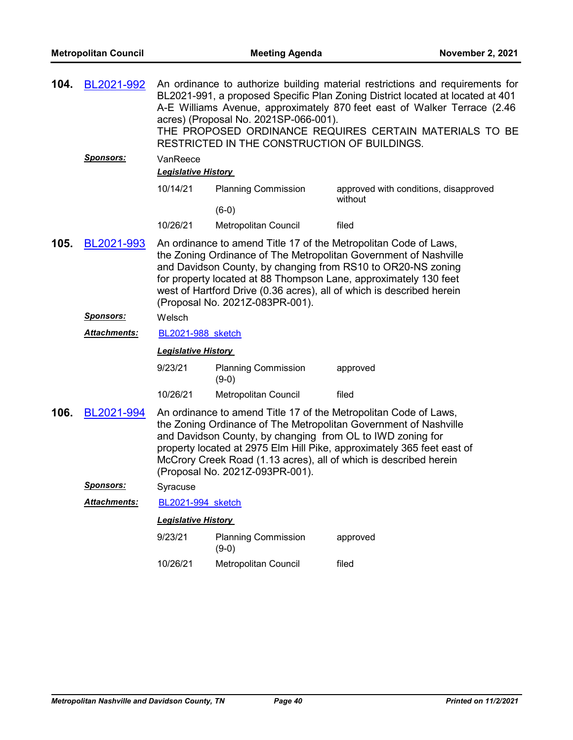| 104. | BL2021-992           | An ordinance to authorize building material restrictions and requirements for<br>BL2021-991, a proposed Specific Plan Zoning District located at located at 401<br>A-E Williams Avenue, approximately 870 feet east of Walker Terrace (2.46<br>acres) (Proposal No. 2021SP-066-001).<br>THE PROPOSED ORDINANCE REQUIRES CERTAIN MATERIALS TO BE<br>RESTRICTED IN THE CONSTRUCTION OF BUILDINGS. |                                                                                               |                                                                                                                                                                                                                                                                                                                                                   |
|------|----------------------|-------------------------------------------------------------------------------------------------------------------------------------------------------------------------------------------------------------------------------------------------------------------------------------------------------------------------------------------------------------------------------------------------|-----------------------------------------------------------------------------------------------|---------------------------------------------------------------------------------------------------------------------------------------------------------------------------------------------------------------------------------------------------------------------------------------------------------------------------------------------------|
|      | <u>Sponsors:</u>     | VanReece<br><b>Legislative History</b>                                                                                                                                                                                                                                                                                                                                                          |                                                                                               |                                                                                                                                                                                                                                                                                                                                                   |
|      |                      | 10/14/21                                                                                                                                                                                                                                                                                                                                                                                        | <b>Planning Commission</b>                                                                    | approved with conditions, disapproved<br>without                                                                                                                                                                                                                                                                                                  |
|      |                      |                                                                                                                                                                                                                                                                                                                                                                                                 | $(6-0)$                                                                                       |                                                                                                                                                                                                                                                                                                                                                   |
|      |                      | 10/26/21                                                                                                                                                                                                                                                                                                                                                                                        | <b>Metropolitan Council</b>                                                                   | filed                                                                                                                                                                                                                                                                                                                                             |
| 105. | BL2021-993           |                                                                                                                                                                                                                                                                                                                                                                                                 | (Proposal No. 2021Z-083PR-001).                                                               | An ordinance to amend Title 17 of the Metropolitan Code of Laws,<br>the Zoning Ordinance of The Metropolitan Government of Nashville<br>and Davidson County, by changing from RS10 to OR20-NS zoning<br>for property located at 88 Thompson Lane, approximately 130 feet<br>west of Hartford Drive (0.36 acres), all of which is described herein |
|      | <u>Sponsors:</u>     | Welsch                                                                                                                                                                                                                                                                                                                                                                                          |                                                                                               |                                                                                                                                                                                                                                                                                                                                                   |
|      | <u> Attachments:</u> | BL2021-988 sketch                                                                                                                                                                                                                                                                                                                                                                               |                                                                                               |                                                                                                                                                                                                                                                                                                                                                   |
|      |                      | <b>Legislative History</b>                                                                                                                                                                                                                                                                                                                                                                      |                                                                                               |                                                                                                                                                                                                                                                                                                                                                   |
|      |                      | 9/23/21                                                                                                                                                                                                                                                                                                                                                                                         | <b>Planning Commission</b><br>$(9-0)$                                                         | approved                                                                                                                                                                                                                                                                                                                                          |
|      |                      | 10/26/21                                                                                                                                                                                                                                                                                                                                                                                        | Metropolitan Council                                                                          | filed                                                                                                                                                                                                                                                                                                                                             |
| 106. | BL2021-994           |                                                                                                                                                                                                                                                                                                                                                                                                 | and Davidson County, by changing from OL to IWD zoning for<br>(Proposal No. 2021Z-093PR-001). | An ordinance to amend Title 17 of the Metropolitan Code of Laws,<br>the Zoning Ordinance of The Metropolitan Government of Nashville<br>property located at 2975 Elm Hill Pike, approximately 365 feet east of<br>McCrory Creek Road (1.13 acres), all of which is described herein                                                               |
|      | <b>Sponsors:</b>     | Syracuse                                                                                                                                                                                                                                                                                                                                                                                        |                                                                                               |                                                                                                                                                                                                                                                                                                                                                   |
|      | Attachments:         | <b>BL2021-994 sketch</b>                                                                                                                                                                                                                                                                                                                                                                        |                                                                                               |                                                                                                                                                                                                                                                                                                                                                   |
|      |                      | <b>Legislative History</b>                                                                                                                                                                                                                                                                                                                                                                      |                                                                                               |                                                                                                                                                                                                                                                                                                                                                   |
|      |                      | 9/23/21                                                                                                                                                                                                                                                                                                                                                                                         | <b>Planning Commission</b><br>$(9-0)$                                                         | approved                                                                                                                                                                                                                                                                                                                                          |
|      |                      | 10/26/21                                                                                                                                                                                                                                                                                                                                                                                        | Metropolitan Council                                                                          | filed                                                                                                                                                                                                                                                                                                                                             |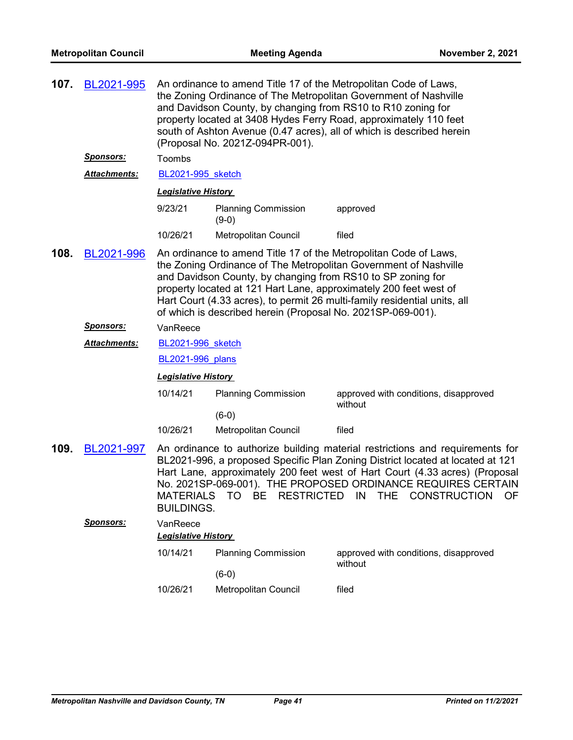| 107. | BL2021-995          | An ordinance to amend Title 17 of the Metropolitan Code of Laws,<br>the Zoning Ordinance of The Metropolitan Government of Nashville<br>and Davidson County, by changing from RS10 to R10 zoning for<br>property located at 3408 Hydes Ferry Road, approximately 110 feet<br>south of Ashton Avenue (0.47 acres), all of which is described herein<br>(Proposal No. 2021Z-094PR-001).                                |                                       |                                                                                                                                                                                                                                                                                                                                                     |  |
|------|---------------------|----------------------------------------------------------------------------------------------------------------------------------------------------------------------------------------------------------------------------------------------------------------------------------------------------------------------------------------------------------------------------------------------------------------------|---------------------------------------|-----------------------------------------------------------------------------------------------------------------------------------------------------------------------------------------------------------------------------------------------------------------------------------------------------------------------------------------------------|--|
|      | <u>Sponsors:</u>    | Toombs                                                                                                                                                                                                                                                                                                                                                                                                               |                                       |                                                                                                                                                                                                                                                                                                                                                     |  |
|      | <b>Attachments:</b> | BL2021-995 sketch                                                                                                                                                                                                                                                                                                                                                                                                    |                                       |                                                                                                                                                                                                                                                                                                                                                     |  |
|      |                     | <b>Legislative History</b>                                                                                                                                                                                                                                                                                                                                                                                           |                                       |                                                                                                                                                                                                                                                                                                                                                     |  |
|      |                     | 9/23/21                                                                                                                                                                                                                                                                                                                                                                                                              | <b>Planning Commission</b><br>$(9-0)$ | approved                                                                                                                                                                                                                                                                                                                                            |  |
|      |                     | 10/26/21                                                                                                                                                                                                                                                                                                                                                                                                             | Metropolitan Council                  | filed                                                                                                                                                                                                                                                                                                                                               |  |
| 108. | BL2021-996          | An ordinance to amend Title 17 of the Metropolitan Code of Laws,<br>the Zoning Ordinance of The Metropolitan Government of Nashville<br>and Davidson County, by changing from RS10 to SP zoning for<br>property located at 121 Hart Lane, approximately 200 feet west of<br>Hart Court (4.33 acres), to permit 26 multi-family residential units, all<br>of which is described herein (Proposal No. 2021SP-069-001). |                                       |                                                                                                                                                                                                                                                                                                                                                     |  |
|      | <b>Sponsors:</b>    | VanReece                                                                                                                                                                                                                                                                                                                                                                                                             |                                       |                                                                                                                                                                                                                                                                                                                                                     |  |
|      | <b>Attachments:</b> | <b>BL2021-996</b> sketch                                                                                                                                                                                                                                                                                                                                                                                             |                                       |                                                                                                                                                                                                                                                                                                                                                     |  |
|      |                     | <b>BL2021-996</b> plans                                                                                                                                                                                                                                                                                                                                                                                              |                                       |                                                                                                                                                                                                                                                                                                                                                     |  |
|      |                     | <b>Legislative History</b>                                                                                                                                                                                                                                                                                                                                                                                           |                                       |                                                                                                                                                                                                                                                                                                                                                     |  |
|      |                     | 10/14/21                                                                                                                                                                                                                                                                                                                                                                                                             | <b>Planning Commission</b>            | approved with conditions, disapproved<br>without                                                                                                                                                                                                                                                                                                    |  |
|      |                     |                                                                                                                                                                                                                                                                                                                                                                                                                      | $(6-0)$                               |                                                                                                                                                                                                                                                                                                                                                     |  |
|      |                     | 10/26/21                                                                                                                                                                                                                                                                                                                                                                                                             | Metropolitan Council                  | filed                                                                                                                                                                                                                                                                                                                                               |  |
| 109. | BL2021-997          | <b>MATERIALS</b><br><b>BUILDINGS.</b>                                                                                                                                                                                                                                                                                                                                                                                | TO BE                                 | An ordinance to authorize building material restrictions and requirements for<br>BL2021-996, a proposed Specific Plan Zoning District located at located at 121<br>Hart Lane, approximately 200 feet west of Hart Court (4.33 acres) (Proposal<br>No. 2021SP-069-001). THE PROPOSED ORDINANCE REQUIRES CERTAIN<br>RESTRICTED IN THE CONSTRUCTION OF |  |
|      | <b>Sponsors:</b>    | VanReece                                                                                                                                                                                                                                                                                                                                                                                                             |                                       |                                                                                                                                                                                                                                                                                                                                                     |  |
|      |                     | <b>Legislative History</b>                                                                                                                                                                                                                                                                                                                                                                                           |                                       |                                                                                                                                                                                                                                                                                                                                                     |  |
|      |                     | 10/14/21                                                                                                                                                                                                                                                                                                                                                                                                             | <b>Planning Commission</b>            | approved with conditions, disapproved<br>without                                                                                                                                                                                                                                                                                                    |  |
|      |                     |                                                                                                                                                                                                                                                                                                                                                                                                                      | $(6-0)$                               |                                                                                                                                                                                                                                                                                                                                                     |  |
|      |                     | 10/26/21                                                                                                                                                                                                                                                                                                                                                                                                             | Metropolitan Council                  | filed                                                                                                                                                                                                                                                                                                                                               |  |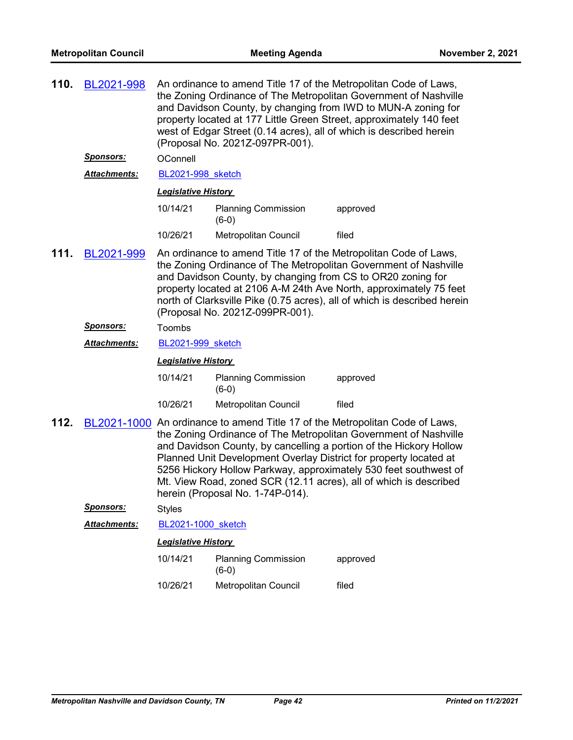| 110. | BL2021-998       | An ordinance to amend Title 17 of the Metropolitan Code of Laws,<br>the Zoning Ordinance of The Metropolitan Government of Nashville<br>and Davidson County, by changing from IWD to MUN-A zoning for<br>property located at 177 Little Green Street, approximately 140 feet<br>west of Edgar Street (0.14 acres), all of which is described herein<br>(Proposal No. 2021Z-097PR-001). |                                                                                                |                                                                                                                                                                                                                                                                                                                                                                                                                                      |
|------|------------------|----------------------------------------------------------------------------------------------------------------------------------------------------------------------------------------------------------------------------------------------------------------------------------------------------------------------------------------------------------------------------------------|------------------------------------------------------------------------------------------------|--------------------------------------------------------------------------------------------------------------------------------------------------------------------------------------------------------------------------------------------------------------------------------------------------------------------------------------------------------------------------------------------------------------------------------------|
|      | <u>Sponsors:</u> | OConnell                                                                                                                                                                                                                                                                                                                                                                               |                                                                                                |                                                                                                                                                                                                                                                                                                                                                                                                                                      |
|      | Attachments:     | BL2021-998 sketch                                                                                                                                                                                                                                                                                                                                                                      |                                                                                                |                                                                                                                                                                                                                                                                                                                                                                                                                                      |
|      |                  | <b>Legislative History</b>                                                                                                                                                                                                                                                                                                                                                             |                                                                                                |                                                                                                                                                                                                                                                                                                                                                                                                                                      |
|      |                  | 10/14/21                                                                                                                                                                                                                                                                                                                                                                               | <b>Planning Commission</b><br>$(6-0)$                                                          | approved                                                                                                                                                                                                                                                                                                                                                                                                                             |
|      |                  | 10/26/21                                                                                                                                                                                                                                                                                                                                                                               | Metropolitan Council                                                                           | filed                                                                                                                                                                                                                                                                                                                                                                                                                                |
| 111. | BL2021-999       |                                                                                                                                                                                                                                                                                                                                                                                        | and Davidson County, by changing from CS to OR20 zoning for<br>(Proposal No. 2021Z-099PR-001). | An ordinance to amend Title 17 of the Metropolitan Code of Laws,<br>the Zoning Ordinance of The Metropolitan Government of Nashville<br>property located at 2106 A-M 24th Ave North, approximately 75 feet<br>north of Clarksville Pike (0.75 acres), all of which is described herein                                                                                                                                               |
|      | <u>Sponsors:</u> | Toombs                                                                                                                                                                                                                                                                                                                                                                                 |                                                                                                |                                                                                                                                                                                                                                                                                                                                                                                                                                      |
|      | Attachments:     | BL2021-999 sketch                                                                                                                                                                                                                                                                                                                                                                      |                                                                                                |                                                                                                                                                                                                                                                                                                                                                                                                                                      |
|      |                  | <b>Legislative History</b>                                                                                                                                                                                                                                                                                                                                                             |                                                                                                |                                                                                                                                                                                                                                                                                                                                                                                                                                      |
|      |                  | 10/14/21                                                                                                                                                                                                                                                                                                                                                                               | <b>Planning Commission</b><br>$(6-0)$                                                          | approved                                                                                                                                                                                                                                                                                                                                                                                                                             |
|      |                  | 10/26/21                                                                                                                                                                                                                                                                                                                                                                               | <b>Metropolitan Council</b>                                                                    | filed                                                                                                                                                                                                                                                                                                                                                                                                                                |
| 112. |                  |                                                                                                                                                                                                                                                                                                                                                                                        | herein (Proposal No. 1-74P-014).                                                               | BL2021-1000 An ordinance to amend Title 17 of the Metropolitan Code of Laws,<br>the Zoning Ordinance of The Metropolitan Government of Nashville<br>and Davidson County, by cancelling a portion of the Hickory Hollow<br>Planned Unit Development Overlay District for property located at<br>5256 Hickory Hollow Parkway, approximately 530 feet southwest of<br>Mt. View Road, zoned SCR (12.11 acres), all of which is described |
|      | <u>Sponsors:</u> | <b>Styles</b>                                                                                                                                                                                                                                                                                                                                                                          |                                                                                                |                                                                                                                                                                                                                                                                                                                                                                                                                                      |
|      | Attachments:     | BL2021-1000 sketch                                                                                                                                                                                                                                                                                                                                                                     |                                                                                                |                                                                                                                                                                                                                                                                                                                                                                                                                                      |
|      |                  | <b>Legislative History</b>                                                                                                                                                                                                                                                                                                                                                             |                                                                                                |                                                                                                                                                                                                                                                                                                                                                                                                                                      |
|      |                  | 10/14/21                                                                                                                                                                                                                                                                                                                                                                               | <b>Planning Commission</b><br>$(6-0)$                                                          | approved                                                                                                                                                                                                                                                                                                                                                                                                                             |
|      |                  | 10/26/21                                                                                                                                                                                                                                                                                                                                                                               | Metropolitan Council                                                                           | filed                                                                                                                                                                                                                                                                                                                                                                                                                                |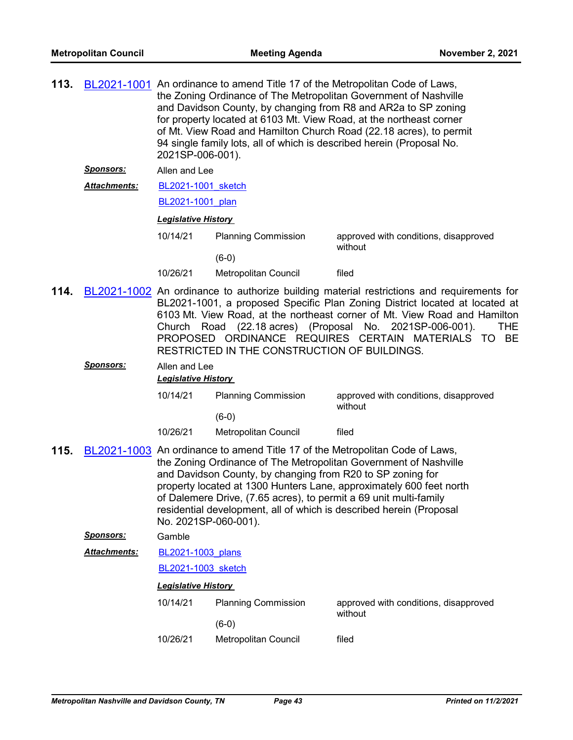| 113. |                     | BL2021-1001 An ordinance to amend Title 17 of the Metropolitan Code of Laws,<br>the Zoning Ordinance of The Metropolitan Government of Nashville<br>and Davidson County, by changing from R8 and AR2a to SP zoning<br>for property located at 6103 Mt. View Road, at the northeast corner<br>of Mt. View Road and Hamilton Church Road (22.18 acres), to permit<br>94 single family lots, all of which is described herein (Proposal No.<br>2021SP-006-001). |                                                                                                                                 |                                                                                                                                                                                                                                                                                                                                                                                           |  |  |  |
|------|---------------------|--------------------------------------------------------------------------------------------------------------------------------------------------------------------------------------------------------------------------------------------------------------------------------------------------------------------------------------------------------------------------------------------------------------------------------------------------------------|---------------------------------------------------------------------------------------------------------------------------------|-------------------------------------------------------------------------------------------------------------------------------------------------------------------------------------------------------------------------------------------------------------------------------------------------------------------------------------------------------------------------------------------|--|--|--|
|      | <u>Sponsors:</u>    | Allen and Lee                                                                                                                                                                                                                                                                                                                                                                                                                                                |                                                                                                                                 |                                                                                                                                                                                                                                                                                                                                                                                           |  |  |  |
|      | Attachments:        |                                                                                                                                                                                                                                                                                                                                                                                                                                                              | BL2021-1001 sketch                                                                                                              |                                                                                                                                                                                                                                                                                                                                                                                           |  |  |  |
|      |                     |                                                                                                                                                                                                                                                                                                                                                                                                                                                              | BL2021-1001 plan                                                                                                                |                                                                                                                                                                                                                                                                                                                                                                                           |  |  |  |
|      |                     | <b>Legislative History</b>                                                                                                                                                                                                                                                                                                                                                                                                                                   |                                                                                                                                 |                                                                                                                                                                                                                                                                                                                                                                                           |  |  |  |
|      |                     | 10/14/21                                                                                                                                                                                                                                                                                                                                                                                                                                                     | <b>Planning Commission</b>                                                                                                      | approved with conditions, disapproved<br>without                                                                                                                                                                                                                                                                                                                                          |  |  |  |
|      |                     |                                                                                                                                                                                                                                                                                                                                                                                                                                                              | $(6-0)$                                                                                                                         |                                                                                                                                                                                                                                                                                                                                                                                           |  |  |  |
|      |                     | 10/26/21                                                                                                                                                                                                                                                                                                                                                                                                                                                     | Metropolitan Council                                                                                                            | filed                                                                                                                                                                                                                                                                                                                                                                                     |  |  |  |
| 114. |                     |                                                                                                                                                                                                                                                                                                                                                                                                                                                              | RESTRICTED IN THE CONSTRUCTION OF BUILDINGS.                                                                                    | BL2021-1002 An ordinance to authorize building material restrictions and requirements for<br>BL2021-1001, a proposed Specific Plan Zoning District located at located at<br>6103 Mt. View Road, at the northeast corner of Mt. View Road and Hamilton<br>Church Road (22.18 acres) (Proposal No. 2021SP-006-001).<br><b>THE</b><br>PROPOSED ORDINANCE REQUIRES CERTAIN MATERIALS TO<br>BE |  |  |  |
|      | Sponsors:           | Allen and Lee<br><b>Legislative History</b>                                                                                                                                                                                                                                                                                                                                                                                                                  |                                                                                                                                 |                                                                                                                                                                                                                                                                                                                                                                                           |  |  |  |
|      |                     | 10/14/21                                                                                                                                                                                                                                                                                                                                                                                                                                                     | <b>Planning Commission</b>                                                                                                      | approved with conditions, disapproved<br>without                                                                                                                                                                                                                                                                                                                                          |  |  |  |
|      |                     |                                                                                                                                                                                                                                                                                                                                                                                                                                                              | $(6-0)$                                                                                                                         |                                                                                                                                                                                                                                                                                                                                                                                           |  |  |  |
|      |                     | 10/26/21                                                                                                                                                                                                                                                                                                                                                                                                                                                     | Metropolitan Council                                                                                                            | filed                                                                                                                                                                                                                                                                                                                                                                                     |  |  |  |
| 115. |                     | No. 2021SP-060-001).                                                                                                                                                                                                                                                                                                                                                                                                                                         | and Davidson County, by changing from R20 to SP zoning for<br>of Dalemere Drive, (7.65 acres), to permit a 69 unit multi-family | BL2021-1003 An ordinance to amend Title 17 of the Metropolitan Code of Laws,<br>the Zoning Ordinance of The Metropolitan Government of Nashville<br>property located at 1300 Hunters Lane, approximately 600 feet north<br>residential development, all of which is described herein (Proposal                                                                                            |  |  |  |
|      | <b>Sponsors:</b>    | Gamble                                                                                                                                                                                                                                                                                                                                                                                                                                                       |                                                                                                                                 |                                                                                                                                                                                                                                                                                                                                                                                           |  |  |  |
|      | <b>Attachments:</b> | BL2021-1003 plans                                                                                                                                                                                                                                                                                                                                                                                                                                            |                                                                                                                                 |                                                                                                                                                                                                                                                                                                                                                                                           |  |  |  |
|      |                     | <b>BL2021-1003 sketch</b>                                                                                                                                                                                                                                                                                                                                                                                                                                    |                                                                                                                                 |                                                                                                                                                                                                                                                                                                                                                                                           |  |  |  |
|      |                     | <b>Legislative History</b>                                                                                                                                                                                                                                                                                                                                                                                                                                   |                                                                                                                                 |                                                                                                                                                                                                                                                                                                                                                                                           |  |  |  |
|      |                     | 10/14/21                                                                                                                                                                                                                                                                                                                                                                                                                                                     | <b>Planning Commission</b>                                                                                                      | approved with conditions, disapproved<br>without                                                                                                                                                                                                                                                                                                                                          |  |  |  |
|      |                     |                                                                                                                                                                                                                                                                                                                                                                                                                                                              | $(6-0)$                                                                                                                         |                                                                                                                                                                                                                                                                                                                                                                                           |  |  |  |
|      |                     | 10/26/21                                                                                                                                                                                                                                                                                                                                                                                                                                                     | Metropolitan Council                                                                                                            | filed                                                                                                                                                                                                                                                                                                                                                                                     |  |  |  |
|      |                     |                                                                                                                                                                                                                                                                                                                                                                                                                                                              |                                                                                                                                 |                                                                                                                                                                                                                                                                                                                                                                                           |  |  |  |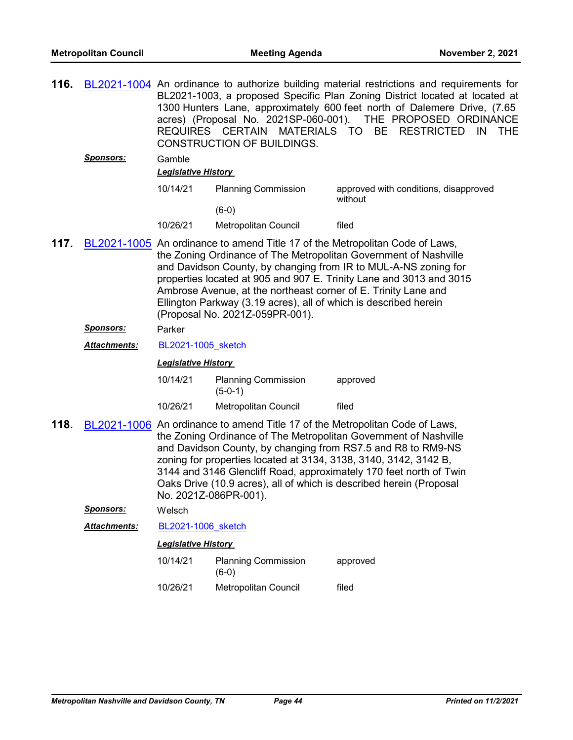| 116. |                      | BL2021-1004 An ordinance to authorize building material restrictions and requirements for<br>BL2021-1003, a proposed Specific Plan Zoning District located at located at<br>1300 Hunters Lane, approximately 600 feet north of Dalemere Drive, (7.65<br>acres) (Proposal No. 2021SP-060-001). THE PROPOSED ORDINANCE<br>REQUIRES CERTAIN MATERIALS TO<br>BE RESTRICTED<br>IN<br>THE.<br><b>CONSTRUCTION OF BUILDINGS.</b> |                                                                                                                                                                       |                                                                                                                                                                                                                                                                                                                                                               |
|------|----------------------|---------------------------------------------------------------------------------------------------------------------------------------------------------------------------------------------------------------------------------------------------------------------------------------------------------------------------------------------------------------------------------------------------------------------------|-----------------------------------------------------------------------------------------------------------------------------------------------------------------------|---------------------------------------------------------------------------------------------------------------------------------------------------------------------------------------------------------------------------------------------------------------------------------------------------------------------------------------------------------------|
|      | <b>Sponsors:</b>     | Gamble<br><b>Legislative History</b>                                                                                                                                                                                                                                                                                                                                                                                      |                                                                                                                                                                       |                                                                                                                                                                                                                                                                                                                                                               |
|      |                      | 10/14/21                                                                                                                                                                                                                                                                                                                                                                                                                  | <b>Planning Commission</b>                                                                                                                                            | approved with conditions, disapproved<br>without                                                                                                                                                                                                                                                                                                              |
|      |                      |                                                                                                                                                                                                                                                                                                                                                                                                                           | $(6-0)$                                                                                                                                                               |                                                                                                                                                                                                                                                                                                                                                               |
|      |                      | 10/26/21                                                                                                                                                                                                                                                                                                                                                                                                                  | Metropolitan Council                                                                                                                                                  | filed                                                                                                                                                                                                                                                                                                                                                         |
| 117. |                      |                                                                                                                                                                                                                                                                                                                                                                                                                           | Ambrose Avenue, at the northeast corner of E. Trinity Lane and<br>Ellington Parkway (3.19 acres), all of which is described herein<br>(Proposal No. 2021Z-059PR-001). | BL2021-1005 An ordinance to amend Title 17 of the Metropolitan Code of Laws,<br>the Zoning Ordinance of The Metropolitan Government of Nashville<br>and Davidson County, by changing from IR to MUL-A-NS zoning for<br>properties located at 905 and 907 E. Trinity Lane and 3013 and 3015                                                                    |
|      | <u>Sponsors:</u>     | Parker                                                                                                                                                                                                                                                                                                                                                                                                                    |                                                                                                                                                                       |                                                                                                                                                                                                                                                                                                                                                               |
|      | <u> Attachments:</u> | BL2021-1005 sketch                                                                                                                                                                                                                                                                                                                                                                                                        |                                                                                                                                                                       |                                                                                                                                                                                                                                                                                                                                                               |
|      |                      | <b>Legislative History</b>                                                                                                                                                                                                                                                                                                                                                                                                |                                                                                                                                                                       |                                                                                                                                                                                                                                                                                                                                                               |
|      |                      | 10/14/21                                                                                                                                                                                                                                                                                                                                                                                                                  | <b>Planning Commission</b><br>$(5-0-1)$                                                                                                                               | approved                                                                                                                                                                                                                                                                                                                                                      |
|      |                      | 10/26/21                                                                                                                                                                                                                                                                                                                                                                                                                  | Metropolitan Council                                                                                                                                                  | filed                                                                                                                                                                                                                                                                                                                                                         |
| 118. |                      | No. 2021Z-086PR-001).                                                                                                                                                                                                                                                                                                                                                                                                     | zoning for properties located at 3134, 3138, 3140, 3142, 3142 B,                                                                                                      | BL2021-1006 An ordinance to amend Title 17 of the Metropolitan Code of Laws,<br>the Zoning Ordinance of The Metropolitan Government of Nashville<br>and Davidson County, by changing from RS7.5 and R8 to RM9-NS<br>3144 and 3146 Glencliff Road, approximately 170 feet north of Twin<br>Oaks Drive (10.9 acres), all of which is described herein (Proposal |
|      | <b>Sponsors:</b>     | Welsch                                                                                                                                                                                                                                                                                                                                                                                                                    |                                                                                                                                                                       |                                                                                                                                                                                                                                                                                                                                                               |
|      | Attachments:         | BL2021-1006 sketch                                                                                                                                                                                                                                                                                                                                                                                                        |                                                                                                                                                                       |                                                                                                                                                                                                                                                                                                                                                               |
|      |                      | <b>Legislative History</b>                                                                                                                                                                                                                                                                                                                                                                                                |                                                                                                                                                                       |                                                                                                                                                                                                                                                                                                                                                               |
|      |                      | 10/14/21                                                                                                                                                                                                                                                                                                                                                                                                                  | <b>Planning Commission</b><br>$(6-0)$                                                                                                                                 | approved                                                                                                                                                                                                                                                                                                                                                      |
|      |                      | 10/26/21                                                                                                                                                                                                                                                                                                                                                                                                                  | Metropolitan Council                                                                                                                                                  | filed                                                                                                                                                                                                                                                                                                                                                         |
|      |                      |                                                                                                                                                                                                                                                                                                                                                                                                                           |                                                                                                                                                                       |                                                                                                                                                                                                                                                                                                                                                               |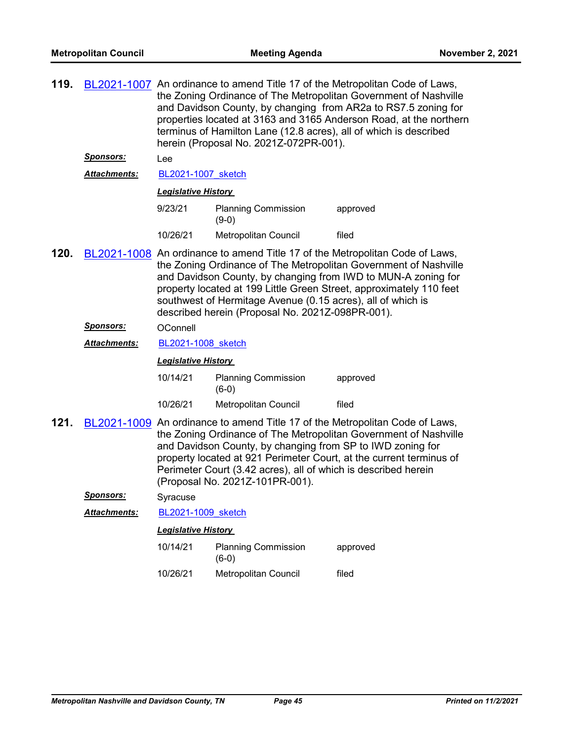| 119. |                     | BL2021-1007 An ordinance to amend Title 17 of the Metropolitan Code of Laws,<br>the Zoning Ordinance of The Metropolitan Government of Nashville<br>and Davidson County, by changing from AR2a to RS7.5 zoning for<br>properties located at 3163 and 3165 Anderson Road, at the northern<br>terminus of Hamilton Lane (12.8 acres), all of which is described<br>herein (Proposal No. 2021Z-072PR-001). |                                                                                                                                                                 |                                                                                                                                                                                                                                                                                          |  |
|------|---------------------|---------------------------------------------------------------------------------------------------------------------------------------------------------------------------------------------------------------------------------------------------------------------------------------------------------------------------------------------------------------------------------------------------------|-----------------------------------------------------------------------------------------------------------------------------------------------------------------|------------------------------------------------------------------------------------------------------------------------------------------------------------------------------------------------------------------------------------------------------------------------------------------|--|
|      | <u>Sponsors:</u>    | Lee                                                                                                                                                                                                                                                                                                                                                                                                     |                                                                                                                                                                 |                                                                                                                                                                                                                                                                                          |  |
|      | <b>Attachments:</b> | BL2021-1007 sketch                                                                                                                                                                                                                                                                                                                                                                                      |                                                                                                                                                                 |                                                                                                                                                                                                                                                                                          |  |
|      |                     | <b>Legislative History</b>                                                                                                                                                                                                                                                                                                                                                                              |                                                                                                                                                                 |                                                                                                                                                                                                                                                                                          |  |
|      |                     | 9/23/21                                                                                                                                                                                                                                                                                                                                                                                                 | <b>Planning Commission</b><br>$(9-0)$                                                                                                                           | approved                                                                                                                                                                                                                                                                                 |  |
|      |                     | 10/26/21                                                                                                                                                                                                                                                                                                                                                                                                | Metropolitan Council                                                                                                                                            | filed                                                                                                                                                                                                                                                                                    |  |
| 120. |                     |                                                                                                                                                                                                                                                                                                                                                                                                         | southwest of Hermitage Avenue (0.15 acres), all of which is<br>described herein (Proposal No. 2021Z-098PR-001).                                                 | BL2021-1008 An ordinance to amend Title 17 of the Metropolitan Code of Laws,<br>the Zoning Ordinance of The Metropolitan Government of Nashville<br>and Davidson County, by changing from IWD to MUN-A zoning for<br>property located at 199 Little Green Street, approximately 110 feet |  |
|      | <b>Sponsors:</b>    | OConnell                                                                                                                                                                                                                                                                                                                                                                                                |                                                                                                                                                                 |                                                                                                                                                                                                                                                                                          |  |
|      | <b>Attachments:</b> |                                                                                                                                                                                                                                                                                                                                                                                                         | BL2021-1008 sketch                                                                                                                                              |                                                                                                                                                                                                                                                                                          |  |
|      |                     | <b>Legislative History</b>                                                                                                                                                                                                                                                                                                                                                                              |                                                                                                                                                                 |                                                                                                                                                                                                                                                                                          |  |
|      |                     | 10/14/21                                                                                                                                                                                                                                                                                                                                                                                                | <b>Planning Commission</b><br>$(6-0)$                                                                                                                           | approved                                                                                                                                                                                                                                                                                 |  |
|      |                     | 10/26/21                                                                                                                                                                                                                                                                                                                                                                                                | Metropolitan Council                                                                                                                                            | filed                                                                                                                                                                                                                                                                                    |  |
| 121. |                     |                                                                                                                                                                                                                                                                                                                                                                                                         | and Davidson County, by changing from SP to IWD zoning for<br>Perimeter Court (3.42 acres), all of which is described herein<br>(Proposal No. 2021Z-101PR-001). | BL2021-1009 An ordinance to amend Title 17 of the Metropolitan Code of Laws,<br>the Zoning Ordinance of The Metropolitan Government of Nashville<br>property located at 921 Perimeter Court, at the current terminus of                                                                  |  |
|      | Sponsors:           | Syracuse                                                                                                                                                                                                                                                                                                                                                                                                |                                                                                                                                                                 |                                                                                                                                                                                                                                                                                          |  |
|      | <b>Attachments:</b> | BL2021-1009 sketch                                                                                                                                                                                                                                                                                                                                                                                      |                                                                                                                                                                 |                                                                                                                                                                                                                                                                                          |  |
|      |                     | <b>Legislative History</b>                                                                                                                                                                                                                                                                                                                                                                              |                                                                                                                                                                 |                                                                                                                                                                                                                                                                                          |  |
|      |                     | 10/14/21                                                                                                                                                                                                                                                                                                                                                                                                | <b>Planning Commission</b><br>$(6-0)$                                                                                                                           | approved                                                                                                                                                                                                                                                                                 |  |
|      |                     | 10/26/21                                                                                                                                                                                                                                                                                                                                                                                                | Metropolitan Council                                                                                                                                            | filed                                                                                                                                                                                                                                                                                    |  |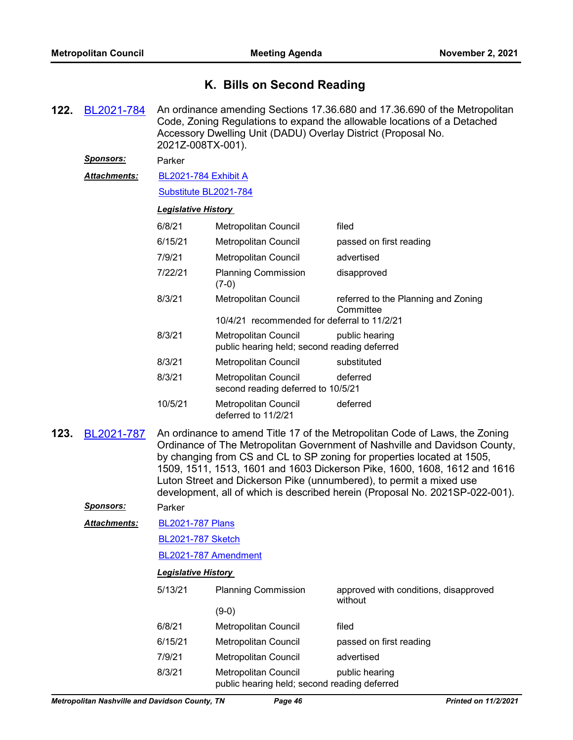## **K. Bills on Second Reading**

**122.** [BL2021-784](http://nashville.legistar.com/gateway.aspx?m=l&id=/matter.aspx?key=2372) An ordinance amending Sections 17.36.680 and 17.36.690 of the Metropolitan Code, Zoning Regulations to expand the allowable locations of a Detached Accessory Dwelling Unit (DADU) Overlay District (Proposal No. 2021Z-008TX-001).

*Sponsors:* Parker

[BL2021-784 Exhibit A](http://nashville.legistar.com/gateway.aspx?M=F&ID=6e9c7010-d004-491f-8367-ab334fe1ba8f.pdf) *Attachments:*

[Substitute BL2021-784](http://nashville.legistar.com/gateway.aspx?M=F&ID=381aaa61-6061-4250-8dbf-8f1a75e2fbdc.docx)

#### *Legislative History*

| 6/8/21  | <b>Metropolitan Council</b>                                          | filed                                            |
|---------|----------------------------------------------------------------------|--------------------------------------------------|
| 6/15/21 | <b>Metropolitan Council</b>                                          | passed on first reading                          |
| 7/9/21  | <b>Metropolitan Council</b>                                          | advertised                                       |
| 7/22/21 | <b>Planning Commission</b><br>$(7-0)$                                | disapproved                                      |
| 8/3/21  | Metropolitan Council                                                 | referred to the Planning and Zoning<br>Committee |
|         | 10/4/21 recommended for deferral to 11/2/21                          |                                                  |
| 8/3/21  | Metropolitan Council<br>public hearing held; second reading deferred | public hearing                                   |
| 8/3/21  | Metropolitan Council                                                 | substituted                                      |
| 8/3/21  | <b>Metropolitan Council</b><br>second reading deferred to 10/5/21    | deferred                                         |
| 10/5/21 | <b>Metropolitan Council</b><br>deferred to 11/2/21                   | deferred                                         |

**123.** [BL2021-787](http://nashville.legistar.com/gateway.aspx?m=l&id=/matter.aspx?key=2303) An ordinance to amend Title 17 of the Metropolitan Code of Laws, the Zoning Ordinance of The Metropolitan Government of Nashville and Davidson County, by changing from CS and CL to SP zoning for properties located at 1505, 1509, 1511, 1513, 1601 and 1603 Dickerson Pike, 1600, 1608, 1612 and 1616 Luton Street and Dickerson Pike (unnumbered), to permit a mixed use development, all of which is described herein (Proposal No. 2021SP-022-001).

*Sponsors:* Parker

[BL2021-787 Plans](http://nashville.legistar.com/gateway.aspx?M=F&ID=f0a8feb5-d151-42ed-a883-61b0387557b5.pdf) *Attachments:*

[BL2021-787 Sketch](http://nashville.legistar.com/gateway.aspx?M=F&ID=5b4a14b7-e6d5-4df5-805b-6d86c33e8c3c.docx)

[BL2021-787 Amendment](http://nashville.legistar.com/gateway.aspx?M=F&ID=f3c19ee7-e012-4179-bee3-7a7effee20b3.docx)

| 5/13/21 | <b>Planning Commission</b>                                           | approved with conditions, disapproved<br>without |  |
|---------|----------------------------------------------------------------------|--------------------------------------------------|--|
|         | (9-0)                                                                |                                                  |  |
| 6/8/21  | Metropolitan Council                                                 | filed                                            |  |
| 6/15/21 | Metropolitan Council                                                 | passed on first reading                          |  |
| 7/9/21  | Metropolitan Council                                                 | advertised                                       |  |
| 8/3/21  | Metropolitan Council<br>public hearing held; second reading deferred | public hearing                                   |  |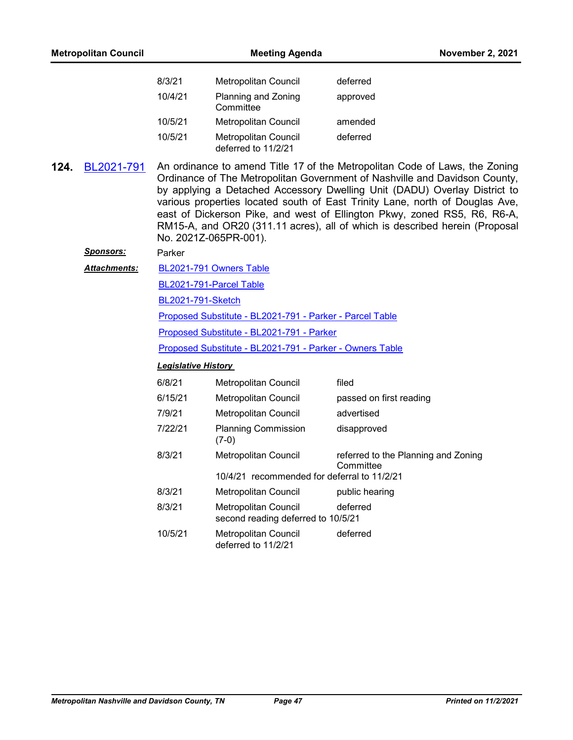| <b>Metropolitan Council</b> |                  | <b>Meeting Agenda</b>                                                                                 |                                             | <b>November 2, 2021</b>                                                                                                                                                                                                                                                                                                                                                                                                                                                           |  |  |
|-----------------------------|------------------|-------------------------------------------------------------------------------------------------------|---------------------------------------------|-----------------------------------------------------------------------------------------------------------------------------------------------------------------------------------------------------------------------------------------------------------------------------------------------------------------------------------------------------------------------------------------------------------------------------------------------------------------------------------|--|--|
|                             |                  | 8/3/21                                                                                                | Metropolitan Council                        | deferred                                                                                                                                                                                                                                                                                                                                                                                                                                                                          |  |  |
|                             |                  | 10/4/21                                                                                               | Planning and Zoning<br>Committee            | approved                                                                                                                                                                                                                                                                                                                                                                                                                                                                          |  |  |
|                             |                  | 10/5/21                                                                                               | Metropolitan Council                        | amended                                                                                                                                                                                                                                                                                                                                                                                                                                                                           |  |  |
|                             |                  | 10/5/21                                                                                               | Metropolitan Council<br>deferred to 11/2/21 | deferred                                                                                                                                                                                                                                                                                                                                                                                                                                                                          |  |  |
| 124.                        | BL2021-791       |                                                                                                       | No. 2021Z-065PR-001).                       | An ordinance to amend Title 17 of the Metropolitan Code of Laws, the Zoning<br>Ordinance of The Metropolitan Government of Nashville and Davidson County,<br>by applying a Detached Accessory Dwelling Unit (DADU) Overlay District to<br>various properties located south of East Trinity Lane, north of Douglas Ave,<br>east of Dickerson Pike, and west of Ellington Pkwy, zoned RS5, R6, R6-A,<br>RM15-A, and OR20 (311.11 acres), all of which is described herein (Proposal |  |  |
|                             | <b>Sponsors:</b> | Parker                                                                                                |                                             |                                                                                                                                                                                                                                                                                                                                                                                                                                                                                   |  |  |
|                             | Attachments:     |                                                                                                       | BL2021-791 Owners Table                     |                                                                                                                                                                                                                                                                                                                                                                                                                                                                                   |  |  |
|                             |                  |                                                                                                       | BL2021-791-Parcel Table                     |                                                                                                                                                                                                                                                                                                                                                                                                                                                                                   |  |  |
|                             |                  | <b>BL2021-791-Sketch</b>                                                                              |                                             |                                                                                                                                                                                                                                                                                                                                                                                                                                                                                   |  |  |
|                             |                  | Proposed Substitute - BL2021-791 - Parker - Parcel Table<br>Proposed Substitute - BL2021-791 - Parker |                                             |                                                                                                                                                                                                                                                                                                                                                                                                                                                                                   |  |  |
|                             |                  |                                                                                                       |                                             |                                                                                                                                                                                                                                                                                                                                                                                                                                                                                   |  |  |
|                             |                  | Proposed Substitute - BL2021-791 - Parker - Owners Table                                              |                                             |                                                                                                                                                                                                                                                                                                                                                                                                                                                                                   |  |  |
|                             |                  | <b>Legislative History</b>                                                                            |                                             |                                                                                                                                                                                                                                                                                                                                                                                                                                                                                   |  |  |
|                             |                  | 6/8/21                                                                                                | Metropolitan Council                        | filed                                                                                                                                                                                                                                                                                                                                                                                                                                                                             |  |  |
|                             |                  | 6/15/21                                                                                               | Metropolitan Council                        | passed on first reading                                                                                                                                                                                                                                                                                                                                                                                                                                                           |  |  |
|                             |                  | 7/9/21                                                                                                | Metropolitan Council                        | advertised                                                                                                                                                                                                                                                                                                                                                                                                                                                                        |  |  |
|                             |                  | 7/22/21                                                                                               | <b>Planning Commission</b><br>$(7-0)$       | disapproved                                                                                                                                                                                                                                                                                                                                                                                                                                                                       |  |  |
|                             |                  | 8/3/21                                                                                                | <b>Metropolitan Council</b>                 | referred to the Planning and Zoning<br>Committee                                                                                                                                                                                                                                                                                                                                                                                                                                  |  |  |
|                             |                  |                                                                                                       | 10/4/21 recommended for deferral to 11/2/21 |                                                                                                                                                                                                                                                                                                                                                                                                                                                                                   |  |  |
|                             |                  | 8/3/21                                                                                                | Metropolitan Council                        | public hearing                                                                                                                                                                                                                                                                                                                                                                                                                                                                    |  |  |
|                             |                  | 8/3/21<br>Metropolitan Council<br>second reading deferred to 10/5/21                                  |                                             | deferred                                                                                                                                                                                                                                                                                                                                                                                                                                                                          |  |  |
|                             |                  | 10/5/21                                                                                               | Metropolitan Council<br>deferred to 11/2/21 | deferred                                                                                                                                                                                                                                                                                                                                                                                                                                                                          |  |  |
|                             |                  |                                                                                                       |                                             |                                                                                                                                                                                                                                                                                                                                                                                                                                                                                   |  |  |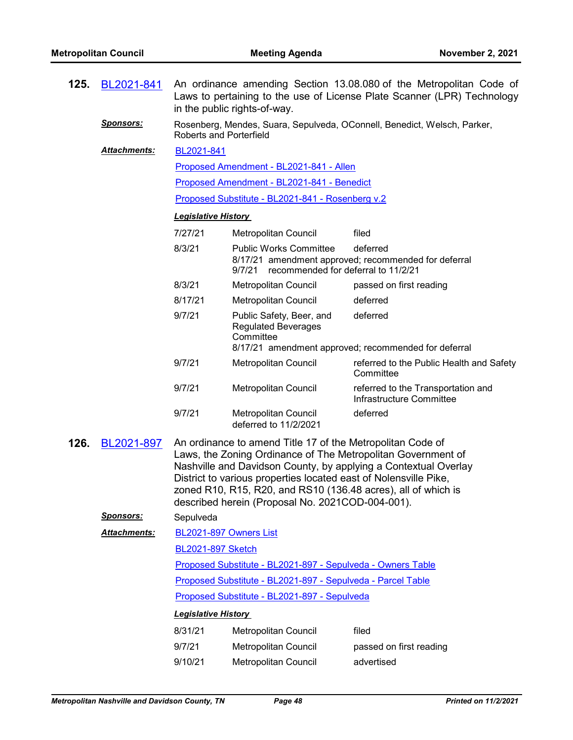| 125.                                                                                                                                                                                                                                                                                                                                                                                                         | BL2021-841          | An ordinance amending Section 13.08.080 of the Metropolitan Code of<br>Laws to pertaining to the use of License Plate Scanner (LPR) Technology<br>in the public rights-of-way.<br>Rosenberg, Mendes, Suara, Sepulveda, OConnell, Benedict, Welsch, Parker,<br><b>Roberts and Porterfield</b> |                                                                                |                                                                  |  |
|--------------------------------------------------------------------------------------------------------------------------------------------------------------------------------------------------------------------------------------------------------------------------------------------------------------------------------------------------------------------------------------------------------------|---------------------|----------------------------------------------------------------------------------------------------------------------------------------------------------------------------------------------------------------------------------------------------------------------------------------------|--------------------------------------------------------------------------------|------------------------------------------------------------------|--|
|                                                                                                                                                                                                                                                                                                                                                                                                              | <b>Sponsors:</b>    |                                                                                                                                                                                                                                                                                              |                                                                                |                                                                  |  |
|                                                                                                                                                                                                                                                                                                                                                                                                              | <b>Attachments:</b> |                                                                                                                                                                                                                                                                                              |                                                                                |                                                                  |  |
| Proposed Amendment - BL2021-841 - Allen                                                                                                                                                                                                                                                                                                                                                                      |                     |                                                                                                                                                                                                                                                                                              |                                                                                |                                                                  |  |
|                                                                                                                                                                                                                                                                                                                                                                                                              |                     |                                                                                                                                                                                                                                                                                              | Proposed Amendment - BL2021-841 - Benedict                                     |                                                                  |  |
|                                                                                                                                                                                                                                                                                                                                                                                                              |                     |                                                                                                                                                                                                                                                                                              | Proposed Substitute - BL2021-841 - Rosenberg v.2                               |                                                                  |  |
|                                                                                                                                                                                                                                                                                                                                                                                                              |                     | <b>Legislative History</b>                                                                                                                                                                                                                                                                   |                                                                                |                                                                  |  |
|                                                                                                                                                                                                                                                                                                                                                                                                              |                     | 7/27/21                                                                                                                                                                                                                                                                                      | Metropolitan Council                                                           | filed                                                            |  |
|                                                                                                                                                                                                                                                                                                                                                                                                              |                     | 8/3/21                                                                                                                                                                                                                                                                                       | <b>Public Works Committee</b><br>recommended for deferral to 11/2/21<br>9/7/21 | deferred<br>8/17/21 amendment approved; recommended for deferral |  |
|                                                                                                                                                                                                                                                                                                                                                                                                              |                     | 8/3/21                                                                                                                                                                                                                                                                                       | Metropolitan Council                                                           | passed on first reading                                          |  |
|                                                                                                                                                                                                                                                                                                                                                                                                              |                     | 8/17/21                                                                                                                                                                                                                                                                                      | <b>Metropolitan Council</b>                                                    | deferred                                                         |  |
|                                                                                                                                                                                                                                                                                                                                                                                                              |                     | 9/7/21                                                                                                                                                                                                                                                                                       | Public Safety, Beer, and<br><b>Regulated Beverages</b><br>Committee            | deferred                                                         |  |
|                                                                                                                                                                                                                                                                                                                                                                                                              |                     |                                                                                                                                                                                                                                                                                              |                                                                                | 8/17/21 amendment approved; recommended for deferral             |  |
|                                                                                                                                                                                                                                                                                                                                                                                                              |                     | 9/7/21                                                                                                                                                                                                                                                                                       | Metropolitan Council                                                           | referred to the Public Health and Safety<br>Committee            |  |
|                                                                                                                                                                                                                                                                                                                                                                                                              |                     | 9/7/21                                                                                                                                                                                                                                                                                       | Metropolitan Council                                                           | referred to the Transportation and<br>Infrastructure Committee   |  |
|                                                                                                                                                                                                                                                                                                                                                                                                              |                     | 9/7/21                                                                                                                                                                                                                                                                                       | Metropolitan Council<br>deferred to 11/2/2021                                  | deferred                                                         |  |
| BL2021-897<br>An ordinance to amend Title 17 of the Metropolitan Code of<br>126.<br>Laws, the Zoning Ordinance of The Metropolitan Government of<br>Nashville and Davidson County, by applying a Contextual Overlay<br>District to various properties located east of Nolensville Pike,<br>zoned R10, R15, R20, and RS10 (136.48 acres), all of which is<br>described herein (Proposal No. 2021COD-004-001). |                     |                                                                                                                                                                                                                                                                                              |                                                                                |                                                                  |  |
|                                                                                                                                                                                                                                                                                                                                                                                                              | <b>Sponsors:</b>    | Sepulveda                                                                                                                                                                                                                                                                                    |                                                                                |                                                                  |  |
|                                                                                                                                                                                                                                                                                                                                                                                                              | Attachments:        | BL2021-897 Owners List                                                                                                                                                                                                                                                                       |                                                                                |                                                                  |  |
|                                                                                                                                                                                                                                                                                                                                                                                                              |                     | <b>BL2021-897 Sketch</b>                                                                                                                                                                                                                                                                     |                                                                                |                                                                  |  |
|                                                                                                                                                                                                                                                                                                                                                                                                              |                     |                                                                                                                                                                                                                                                                                              | Proposed Substitute - BL2021-897 - Sepulveda - Owners Table                    |                                                                  |  |
|                                                                                                                                                                                                                                                                                                                                                                                                              |                     |                                                                                                                                                                                                                                                                                              | Proposed Substitute - BL2021-897 - Sepulveda - Parcel Table                    |                                                                  |  |
|                                                                                                                                                                                                                                                                                                                                                                                                              |                     |                                                                                                                                                                                                                                                                                              | Proposed Substitute - BL2021-897 - Sepulveda                                   |                                                                  |  |
|                                                                                                                                                                                                                                                                                                                                                                                                              |                     | <b>Legislative History</b>                                                                                                                                                                                                                                                                   |                                                                                |                                                                  |  |
|                                                                                                                                                                                                                                                                                                                                                                                                              |                     | 8/31/21                                                                                                                                                                                                                                                                                      | Metropolitan Council                                                           | filed                                                            |  |
|                                                                                                                                                                                                                                                                                                                                                                                                              |                     | 9/7/21                                                                                                                                                                                                                                                                                       | Metropolitan Council                                                           | passed on first reading                                          |  |

9/10/21 Metropolitan Council advertised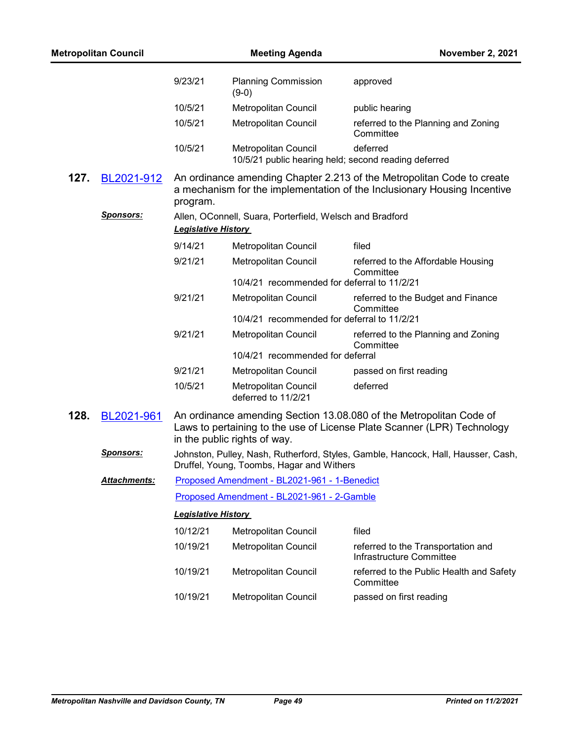| <b>Metropolitan Council</b> |                     | <b>Meeting Agenda</b>      |                                                                              | <b>November 2, 2021</b>                                                                                                                            |
|-----------------------------|---------------------|----------------------------|------------------------------------------------------------------------------|----------------------------------------------------------------------------------------------------------------------------------------------------|
|                             |                     | 9/23/21                    | <b>Planning Commission</b><br>$(9-0)$                                        | approved                                                                                                                                           |
|                             |                     | 10/5/21                    | Metropolitan Council                                                         | public hearing                                                                                                                                     |
|                             |                     | 10/5/21                    | Metropolitan Council                                                         | referred to the Planning and Zoning<br>Committee                                                                                                   |
|                             |                     | 10/5/21                    | Metropolitan Council<br>10/5/21 public hearing held; second reading deferred | deferred                                                                                                                                           |
| 127.                        | BL2021-912          | program.                   |                                                                              | An ordinance amending Chapter 2.213 of the Metropolitan Code to create<br>a mechanism for the implementation of the Inclusionary Housing Incentive |
|                             | <u>Sponsors:</u>    | <b>Legislative History</b> | Allen, OConnell, Suara, Porterfield, Welsch and Bradford                     |                                                                                                                                                    |
|                             |                     | 9/14/21                    | Metropolitan Council                                                         | filed                                                                                                                                              |
|                             |                     | 9/21/21                    | Metropolitan Council                                                         | referred to the Affordable Housing<br>Committee                                                                                                    |
|                             |                     |                            | 10/4/21 recommended for deferral to 11/2/21                                  |                                                                                                                                                    |
|                             |                     | 9/21/21                    | Metropolitan Council<br>10/4/21 recommended for deferral to 11/2/21          | referred to the Budget and Finance<br>Committee                                                                                                    |
|                             |                     | 9/21/21                    | Metropolitan Council                                                         | referred to the Planning and Zoning<br>Committee                                                                                                   |
|                             |                     |                            | 10/4/21 recommended for deferral                                             |                                                                                                                                                    |
|                             |                     | 9/21/21                    | Metropolitan Council                                                         | passed on first reading                                                                                                                            |
|                             |                     | 10/5/21                    | Metropolitan Council<br>deferred to 11/2/21                                  | deferred                                                                                                                                           |
| 128.                        | BL2021-961          |                            | in the public rights of way.                                                 | An ordinance amending Section 13.08.080 of the Metropolitan Code of<br>Laws to pertaining to the use of License Plate Scanner (LPR) Technology     |
|                             | <b>Sponsors:</b>    |                            | Druffel, Young, Toombs, Hagar and Withers                                    | Johnston, Pulley, Nash, Rutherford, Styles, Gamble, Hancock, Hall, Hausser, Cash,                                                                  |
|                             | <b>Attachments:</b> |                            | Proposed Amendment - BL2021-961 - 1-Benedict                                 |                                                                                                                                                    |
|                             |                     |                            | Proposed Amendment - BL2021-961 - 2-Gamble                                   |                                                                                                                                                    |
|                             |                     | <b>Legislative History</b> |                                                                              |                                                                                                                                                    |
|                             |                     | 10/12/21                   | Metropolitan Council                                                         | filed                                                                                                                                              |
|                             |                     | 10/19/21                   | Metropolitan Council                                                         | referred to the Transportation and<br>Infrastructure Committee                                                                                     |
|                             |                     | 10/19/21                   | Metropolitan Council                                                         | referred to the Public Health and Safety<br>Committee                                                                                              |
|                             |                     | 10/19/21                   | Metropolitan Council                                                         | passed on first reading                                                                                                                            |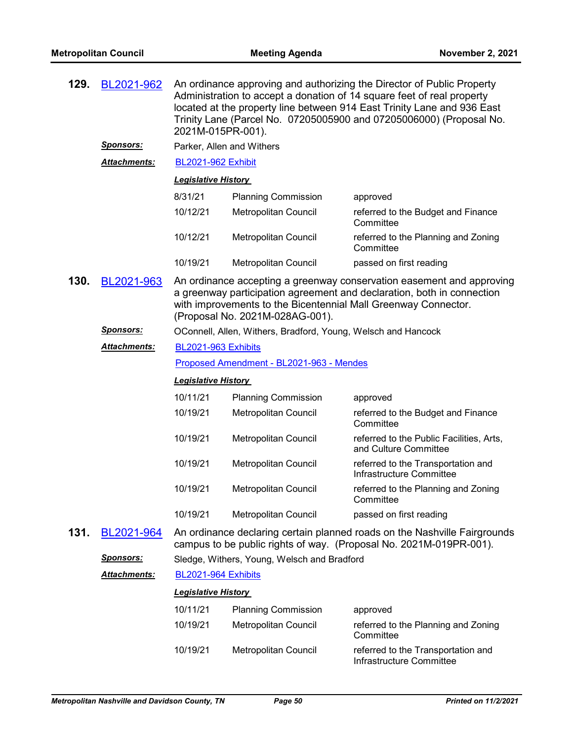| BL2021-962<br>129.<br>2021M-015PR-001). |                      |                                                                                                                                                                                                                                                      |                                             | An ordinance approving and authorizing the Director of Public Property<br>Administration to accept a donation of 14 square feet of real property<br>located at the property line between 914 East Trinity Lane and 936 East<br>Trinity Lane (Parcel No. 07205005900 and 07205006000) (Proposal No. |  |  |
|-----------------------------------------|----------------------|------------------------------------------------------------------------------------------------------------------------------------------------------------------------------------------------------------------------------------------------------|---------------------------------------------|----------------------------------------------------------------------------------------------------------------------------------------------------------------------------------------------------------------------------------------------------------------------------------------------------|--|--|
|                                         | <b>Sponsors:</b>     | Parker, Allen and Withers                                                                                                                                                                                                                            |                                             |                                                                                                                                                                                                                                                                                                    |  |  |
|                                         | <b>Attachments:</b>  | <b>BL2021-962 Exhibit</b>                                                                                                                                                                                                                            |                                             |                                                                                                                                                                                                                                                                                                    |  |  |
|                                         |                      | <b>Legislative History</b>                                                                                                                                                                                                                           |                                             |                                                                                                                                                                                                                                                                                                    |  |  |
|                                         |                      | 8/31/21                                                                                                                                                                                                                                              | <b>Planning Commission</b>                  | approved                                                                                                                                                                                                                                                                                           |  |  |
|                                         |                      | 10/12/21                                                                                                                                                                                                                                             | Metropolitan Council                        | referred to the Budget and Finance<br>Committee                                                                                                                                                                                                                                                    |  |  |
|                                         |                      | 10/12/21                                                                                                                                                                                                                                             | Metropolitan Council                        | referred to the Planning and Zoning<br>Committee                                                                                                                                                                                                                                                   |  |  |
|                                         |                      | 10/19/21                                                                                                                                                                                                                                             | Metropolitan Council                        | passed on first reading                                                                                                                                                                                                                                                                            |  |  |
| 130.                                    | BL2021-963           | An ordinance accepting a greenway conservation easement and approving<br>a greenway participation agreement and declaration, both in connection<br>with improvements to the Bicentennial Mall Greenway Connector.<br>(Proposal No. 2021M-028AG-001). |                                             |                                                                                                                                                                                                                                                                                                    |  |  |
|                                         | <u>Sponsors:</u>     | OConnell, Allen, Withers, Bradford, Young, Welsch and Hancock                                                                                                                                                                                        |                                             |                                                                                                                                                                                                                                                                                                    |  |  |
|                                         | <b>Attachments:</b>  | BL2021-963 Exhibits                                                                                                                                                                                                                                  |                                             |                                                                                                                                                                                                                                                                                                    |  |  |
|                                         |                      | Proposed Amendment - BL2021-963 - Mendes                                                                                                                                                                                                             |                                             |                                                                                                                                                                                                                                                                                                    |  |  |
|                                         |                      | <b>Legislative History</b>                                                                                                                                                                                                                           |                                             |                                                                                                                                                                                                                                                                                                    |  |  |
|                                         |                      | 10/11/21                                                                                                                                                                                                                                             | <b>Planning Commission</b>                  | approved                                                                                                                                                                                                                                                                                           |  |  |
|                                         |                      | 10/19/21                                                                                                                                                                                                                                             | Metropolitan Council                        | referred to the Budget and Finance<br>Committee                                                                                                                                                                                                                                                    |  |  |
|                                         |                      | 10/19/21                                                                                                                                                                                                                                             | Metropolitan Council                        | referred to the Public Facilities, Arts,<br>and Culture Committee                                                                                                                                                                                                                                  |  |  |
|                                         |                      | 10/19/21                                                                                                                                                                                                                                             | Metropolitan Council                        | referred to the Transportation and<br>Infrastructure Committee                                                                                                                                                                                                                                     |  |  |
|                                         |                      | 10/19/21                                                                                                                                                                                                                                             | Metropolitan Council                        | referred to the Planning and Zoning<br>Committee                                                                                                                                                                                                                                                   |  |  |
|                                         |                      | 10/19/21                                                                                                                                                                                                                                             | Metropolitan Council                        | passed on first reading                                                                                                                                                                                                                                                                            |  |  |
| 131.                                    | BL2021-964           | An ordinance declaring certain planned roads on the Nashville Fairgrounds<br>campus to be public rights of way. (Proposal No. 2021M-019PR-001).                                                                                                      |                                             |                                                                                                                                                                                                                                                                                                    |  |  |
|                                         | <b>Sponsors:</b>     |                                                                                                                                                                                                                                                      | Sledge, Withers, Young, Welsch and Bradford |                                                                                                                                                                                                                                                                                                    |  |  |
|                                         | <u> Attachments:</u> | BL2021-964 Exhibits                                                                                                                                                                                                                                  |                                             |                                                                                                                                                                                                                                                                                                    |  |  |
|                                         |                      | <b>Legislative History</b>                                                                                                                                                                                                                           |                                             |                                                                                                                                                                                                                                                                                                    |  |  |
|                                         |                      | 10/11/21                                                                                                                                                                                                                                             | <b>Planning Commission</b>                  | approved                                                                                                                                                                                                                                                                                           |  |  |
|                                         |                      | 10/19/21                                                                                                                                                                                                                                             | Metropolitan Council                        | referred to the Planning and Zoning<br>Committee                                                                                                                                                                                                                                                   |  |  |
|                                         |                      | 10/19/21                                                                                                                                                                                                                                             | Metropolitan Council                        | referred to the Transportation and<br>Infrastructure Committee                                                                                                                                                                                                                                     |  |  |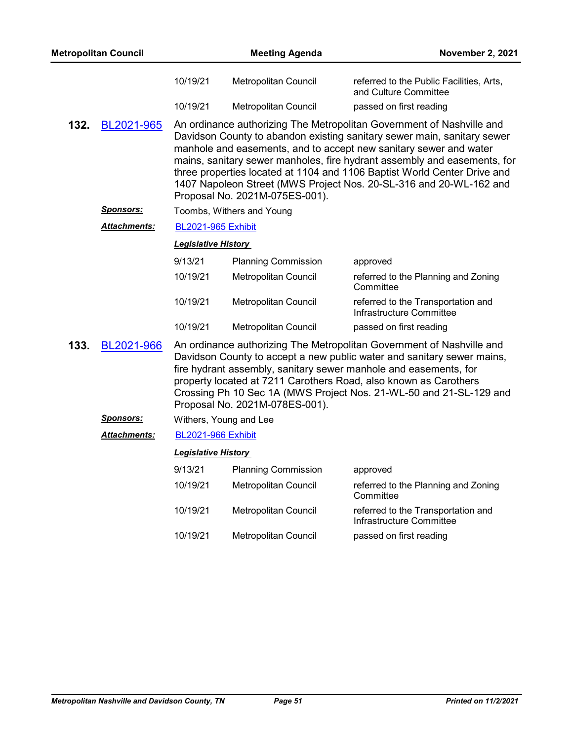| <b>Metropolitan Council</b> |                     |                                | <b>Meeting Agenda</b>                                                                                                                                                                                                                                                                                                                                                                                                                               | <b>November 2, 2021</b>                                                                                                                                                                                                                                                                                                                                       |
|-----------------------------|---------------------|--------------------------------|-----------------------------------------------------------------------------------------------------------------------------------------------------------------------------------------------------------------------------------------------------------------------------------------------------------------------------------------------------------------------------------------------------------------------------------------------------|---------------------------------------------------------------------------------------------------------------------------------------------------------------------------------------------------------------------------------------------------------------------------------------------------------------------------------------------------------------|
|                             |                     | 10/19/21                       | Metropolitan Council                                                                                                                                                                                                                                                                                                                                                                                                                                | referred to the Public Facilities, Arts,<br>and Culture Committee                                                                                                                                                                                                                                                                                             |
|                             |                     | 10/19/21                       | Metropolitan Council                                                                                                                                                                                                                                                                                                                                                                                                                                | passed on first reading                                                                                                                                                                                                                                                                                                                                       |
| 132.<br>BL2021-965          |                     | Proposal No. 2021M-075ES-001). | An ordinance authorizing The Metropolitan Government of Nashville and<br>Davidson County to abandon existing sanitary sewer main, sanitary sewer<br>manhole and easements, and to accept new sanitary sewer and water<br>mains, sanitary sewer manholes, fire hydrant assembly and easements, for<br>three properties located at 1104 and 1106 Baptist World Center Drive and<br>1407 Napoleon Street (MWS Project Nos. 20-SL-316 and 20-WL-162 and |                                                                                                                                                                                                                                                                                                                                                               |
|                             | <u>Sponsors:</u>    |                                | Toombs, Withers and Young                                                                                                                                                                                                                                                                                                                                                                                                                           |                                                                                                                                                                                                                                                                                                                                                               |
|                             | <b>Attachments:</b> | <b>BL2021-965 Exhibit</b>      |                                                                                                                                                                                                                                                                                                                                                                                                                                                     |                                                                                                                                                                                                                                                                                                                                                               |
|                             |                     | <b>Legislative History</b>     |                                                                                                                                                                                                                                                                                                                                                                                                                                                     |                                                                                                                                                                                                                                                                                                                                                               |
|                             |                     | 9/13/21                        | <b>Planning Commission</b>                                                                                                                                                                                                                                                                                                                                                                                                                          | approved                                                                                                                                                                                                                                                                                                                                                      |
|                             |                     | 10/19/21                       | Metropolitan Council                                                                                                                                                                                                                                                                                                                                                                                                                                | referred to the Planning and Zoning<br>Committee                                                                                                                                                                                                                                                                                                              |
|                             |                     | 10/19/21                       | Metropolitan Council                                                                                                                                                                                                                                                                                                                                                                                                                                | referred to the Transportation and<br>Infrastructure Committee                                                                                                                                                                                                                                                                                                |
|                             |                     | 10/19/21                       | Metropolitan Council                                                                                                                                                                                                                                                                                                                                                                                                                                | passed on first reading                                                                                                                                                                                                                                                                                                                                       |
| 133.                        | BL2021-966          |                                | Proposal No. 2021M-078ES-001).                                                                                                                                                                                                                                                                                                                                                                                                                      | An ordinance authorizing The Metropolitan Government of Nashville and<br>Davidson County to accept a new public water and sanitary sewer mains,<br>fire hydrant assembly, sanitary sewer manhole and easements, for<br>property located at 7211 Carothers Road, also known as Carothers<br>Crossing Ph 10 Sec 1A (MWS Project Nos. 21-WL-50 and 21-SL-129 and |
|                             | <b>Sponsors:</b>    |                                | Withers, Young and Lee                                                                                                                                                                                                                                                                                                                                                                                                                              |                                                                                                                                                                                                                                                                                                                                                               |
|                             | <b>Attachments:</b> | <b>BL2021-966 Exhibit</b>      |                                                                                                                                                                                                                                                                                                                                                                                                                                                     |                                                                                                                                                                                                                                                                                                                                                               |
|                             |                     | <b>Legislative History</b>     |                                                                                                                                                                                                                                                                                                                                                                                                                                                     |                                                                                                                                                                                                                                                                                                                                                               |
|                             |                     | 9/13/21                        | <b>Planning Commission</b>                                                                                                                                                                                                                                                                                                                                                                                                                          | approved                                                                                                                                                                                                                                                                                                                                                      |
|                             |                     | 10/19/21                       | Metropolitan Council                                                                                                                                                                                                                                                                                                                                                                                                                                | referred to the Planning and Zoning<br>Committee                                                                                                                                                                                                                                                                                                              |
|                             |                     | 10/19/21                       | Metropolitan Council                                                                                                                                                                                                                                                                                                                                                                                                                                | referred to the Transportation and<br>Infrastructure Committee                                                                                                                                                                                                                                                                                                |
|                             |                     | 10/19/21                       | Metropolitan Council                                                                                                                                                                                                                                                                                                                                                                                                                                | passed on first reading                                                                                                                                                                                                                                                                                                                                       |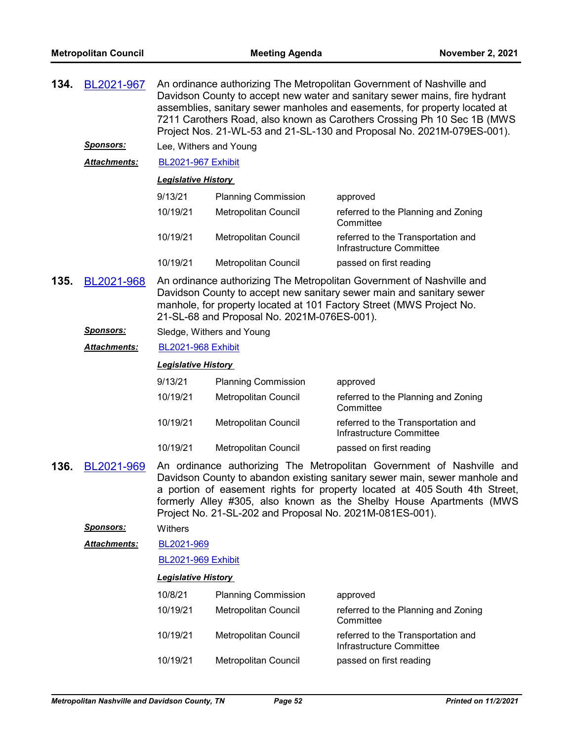| 134. | BL2021-967          | An ordinance authorizing The Metropolitan Government of Nashville and<br>Davidson County to accept new water and sanitary sewer mains, fire hydrant<br>assemblies, sanitary sewer manholes and easements, for property located at<br>7211 Carothers Road, also known as Carothers Crossing Ph 10 Sec 1B (MWS)<br>Project Nos. 21-WL-53 and 21-SL-130 and Proposal No. 2021M-079ES-001). |                                                          |                                                                                                                                                                                                                                                                                                          |
|------|---------------------|-----------------------------------------------------------------------------------------------------------------------------------------------------------------------------------------------------------------------------------------------------------------------------------------------------------------------------------------------------------------------------------------|----------------------------------------------------------|----------------------------------------------------------------------------------------------------------------------------------------------------------------------------------------------------------------------------------------------------------------------------------------------------------|
|      | <u>Sponsors:</u>    | Lee, Withers and Young                                                                                                                                                                                                                                                                                                                                                                  |                                                          |                                                                                                                                                                                                                                                                                                          |
|      | <b>Attachments:</b> | <b>BL2021-967 Exhibit</b>                                                                                                                                                                                                                                                                                                                                                               |                                                          |                                                                                                                                                                                                                                                                                                          |
|      |                     | <b>Legislative History</b>                                                                                                                                                                                                                                                                                                                                                              |                                                          |                                                                                                                                                                                                                                                                                                          |
|      |                     | 9/13/21                                                                                                                                                                                                                                                                                                                                                                                 | <b>Planning Commission</b>                               | approved                                                                                                                                                                                                                                                                                                 |
|      |                     | 10/19/21                                                                                                                                                                                                                                                                                                                                                                                | Metropolitan Council                                     | referred to the Planning and Zoning<br>Committee                                                                                                                                                                                                                                                         |
|      |                     | 10/19/21                                                                                                                                                                                                                                                                                                                                                                                | Metropolitan Council                                     | referred to the Transportation and<br>Infrastructure Committee                                                                                                                                                                                                                                           |
|      |                     | 10/19/21                                                                                                                                                                                                                                                                                                                                                                                | Metropolitan Council                                     | passed on first reading                                                                                                                                                                                                                                                                                  |
| 135. | BL2021-968          | An ordinance authorizing The Metropolitan Government of Nashville and<br>Davidson County to accept new sanitary sewer main and sanitary sewer<br>manhole, for property located at 101 Factory Street (MWS Project No.<br>21-SL-68 and Proposal No. 2021M-076ES-001).                                                                                                                    |                                                          |                                                                                                                                                                                                                                                                                                          |
|      | <u>Sponsors:</u>    |                                                                                                                                                                                                                                                                                                                                                                                         | Sledge, Withers and Young                                |                                                                                                                                                                                                                                                                                                          |
|      | Attachments:        | <b>BL2021-968 Exhibit</b>                                                                                                                                                                                                                                                                                                                                                               |                                                          |                                                                                                                                                                                                                                                                                                          |
|      |                     | <b>Legislative History</b>                                                                                                                                                                                                                                                                                                                                                              |                                                          |                                                                                                                                                                                                                                                                                                          |
|      |                     | 9/13/21                                                                                                                                                                                                                                                                                                                                                                                 | <b>Planning Commission</b>                               | approved                                                                                                                                                                                                                                                                                                 |
|      |                     | 10/19/21                                                                                                                                                                                                                                                                                                                                                                                | Metropolitan Council                                     | referred to the Planning and Zoning<br>Committee                                                                                                                                                                                                                                                         |
|      |                     | 10/19/21                                                                                                                                                                                                                                                                                                                                                                                | Metropolitan Council                                     | referred to the Transportation and<br>Infrastructure Committee                                                                                                                                                                                                                                           |
|      |                     | 10/19/21                                                                                                                                                                                                                                                                                                                                                                                | <b>Metropolitan Council</b>                              | passed on first reading                                                                                                                                                                                                                                                                                  |
| 136. | BL2021-969          |                                                                                                                                                                                                                                                                                                                                                                                         | Project No. 21-SL-202 and Proposal No. 2021M-081ES-001). | An ordinance authorizing The Metropolitan Government of Nashville and<br>Davidson County to abandon existing sanitary sewer main, sewer manhole and<br>a portion of easement rights for property located at 405 South 4th Street,<br>formerly Alley #305, also known as the Shelby House Apartments (MWS |
|      | <b>Sponsors:</b>    | Withers                                                                                                                                                                                                                                                                                                                                                                                 |                                                          |                                                                                                                                                                                                                                                                                                          |
|      | <b>Attachments:</b> | BL2021-969                                                                                                                                                                                                                                                                                                                                                                              |                                                          |                                                                                                                                                                                                                                                                                                          |
|      |                     | <b>BL2021-969 Exhibit</b>                                                                                                                                                                                                                                                                                                                                                               |                                                          |                                                                                                                                                                                                                                                                                                          |
|      |                     | <b>Legislative History</b>                                                                                                                                                                                                                                                                                                                                                              |                                                          |                                                                                                                                                                                                                                                                                                          |
|      |                     | 10/8/21                                                                                                                                                                                                                                                                                                                                                                                 | <b>Planning Commission</b>                               | approved                                                                                                                                                                                                                                                                                                 |
|      |                     | 10/19/21                                                                                                                                                                                                                                                                                                                                                                                | <b>Metropolitan Council</b>                              | referred to the Planning and Zoning<br>Committee                                                                                                                                                                                                                                                         |
|      |                     | 10/19/21                                                                                                                                                                                                                                                                                                                                                                                | Metropolitan Council                                     | referred to the Transportation and<br>Infrastructure Committee                                                                                                                                                                                                                                           |
|      |                     | 10/19/21                                                                                                                                                                                                                                                                                                                                                                                | Metropolitan Council                                     | passed on first reading                                                                                                                                                                                                                                                                                  |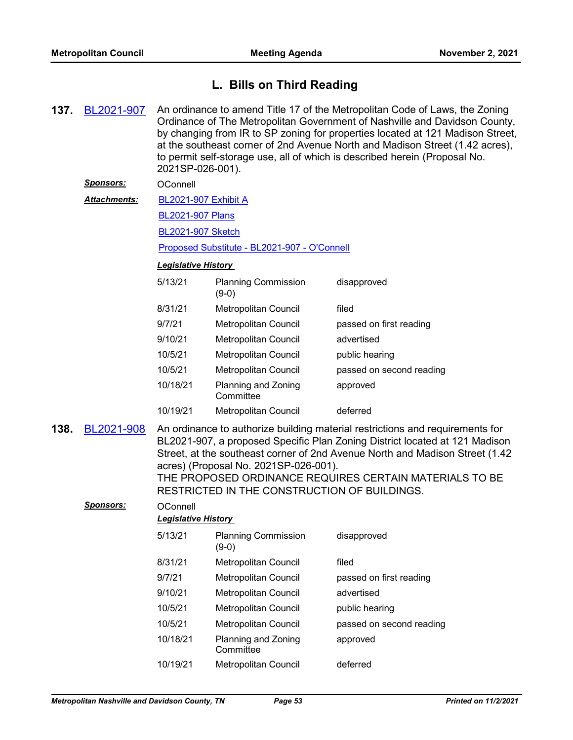## **L. Bills on Third Reading**

**137.** [BL2021-907](http://nashville.legistar.com/gateway.aspx?m=l&id=/matter.aspx?key=13541) An ordinance to amend Title 17 of the Metropolitan Code of Laws, the Zoning Ordinance of The Metropolitan Government of Nashville and Davidson County, by changing from IR to SP zoning for properties located at 121 Madison Street, at the southeast corner of 2nd Avenue North and Madison Street (1.42 acres), to permit self-storage use, all of which is described herein (Proposal No. 2021SP-026-001). *Sponsors:* OConnell [BL2021-907 Exhibit A](http://nashville.legistar.com/gateway.aspx?M=F&ID=5f6f2fd1-6e74-4a02-9b8d-afc92781bedf.pdf) [BL2021-907 Plans](http://nashville.legistar.com/gateway.aspx?M=F&ID=b53b91c5-6ad9-43ca-a36a-ad077392fa74.pdf) [BL2021-907 Sketch](http://nashville.legistar.com/gateway.aspx?M=F&ID=847537ee-650a-4789-911a-d0cfc2a9e06d.docx) [Proposed Substitute - BL2021-907 - O'Connell](http://nashville.legistar.com/gateway.aspx?M=F&ID=acc9c846-35c5-4ab1-96a6-be8403c65243.docx) *Attachments: Legislative History*  5/13/21 Planning Commission disapproved (9-0) 8/31/21 Metropolitan Council filed 9/7/21 Metropolitan Council passed on first reading 9/10/21 Metropolitan Council advertised 10/5/21 Metropolitan Council public hearing 10/5/21 Metropolitan Council passed on second reading 10/18/21 Planning and Zoning **Committee** approved 10/19/21 Metropolitan Council deferred **138.** [BL2021-908](http://nashville.legistar.com/gateway.aspx?m=l&id=/matter.aspx?key=13542) An ordinance to authorize building material restrictions and requirements for BL2021-907, a proposed Specific Plan Zoning District located at 121 Madison Street, at the southeast corner of 2nd Avenue North and Madison Street (1.42 acres) (Proposal No. 2021SP-026-001). THE PROPOSED ORDINANCE REQUIRES CERTAIN MATERIALS TO BE RESTRICTED IN THE CONSTRUCTION OF BUILDINGS. Sponsors: OConnell *Legislative History*  5/13/21 Planning Commission disapproved (9-0) 8/31/21 Metropolitan Council filed 9/7/21 Metropolitan Council passed on first reading 9/10/21 Metropolitan Council advertised 10/5/21 Metropolitan Council public hearing 10/5/21 Metropolitan Council passed on second reading 10/18/21 Planning and Zoning **Committee** approved

10/19/21 Metropolitan Council deferred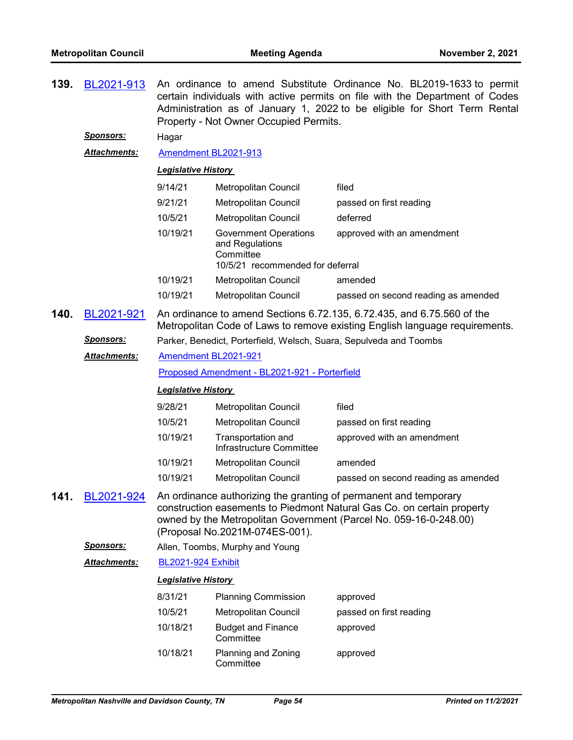| 139. | BL2021-913          | An ordinance to amend Substitute Ordinance No. BL2019-1633 to permit<br>certain individuals with active permits on file with the Department of Codes<br>Administration as of January 1, 2022 to be eligible for Short Term Rental<br>Property - Not Owner Occupied Permits. |                                                                                                  |                                                                                                                                                                                                                 |  |
|------|---------------------|-----------------------------------------------------------------------------------------------------------------------------------------------------------------------------------------------------------------------------------------------------------------------------|--------------------------------------------------------------------------------------------------|-----------------------------------------------------------------------------------------------------------------------------------------------------------------------------------------------------------------|--|
|      | <b>Sponsors:</b>    | Hagar                                                                                                                                                                                                                                                                       |                                                                                                  |                                                                                                                                                                                                                 |  |
|      | <b>Attachments:</b> | Amendment BL2021-913                                                                                                                                                                                                                                                        |                                                                                                  |                                                                                                                                                                                                                 |  |
|      |                     | <b>Legislative History</b>                                                                                                                                                                                                                                                  |                                                                                                  |                                                                                                                                                                                                                 |  |
|      |                     | 9/14/21                                                                                                                                                                                                                                                                     | Metropolitan Council                                                                             | filed                                                                                                                                                                                                           |  |
|      |                     | 9/21/21                                                                                                                                                                                                                                                                     | Metropolitan Council                                                                             | passed on first reading                                                                                                                                                                                         |  |
|      |                     | 10/5/21                                                                                                                                                                                                                                                                     | Metropolitan Council                                                                             | deferred                                                                                                                                                                                                        |  |
|      |                     | 10/19/21                                                                                                                                                                                                                                                                    | <b>Government Operations</b><br>and Regulations<br>Committee<br>10/5/21 recommended for deferral | approved with an amendment                                                                                                                                                                                      |  |
|      |                     | 10/19/21                                                                                                                                                                                                                                                                    | Metropolitan Council                                                                             | amended                                                                                                                                                                                                         |  |
|      |                     | 10/19/21                                                                                                                                                                                                                                                                    | Metropolitan Council                                                                             | passed on second reading as amended                                                                                                                                                                             |  |
| 140. | BL2021-921          |                                                                                                                                                                                                                                                                             |                                                                                                  | An ordinance to amend Sections 6.72.135, 6.72.435, and 6.75.560 of the<br>Metropolitan Code of Laws to remove existing English language requirements.                                                           |  |
|      | <u>Sponsors:</u>    | Parker, Benedict, Porterfield, Welsch, Suara, Sepulveda and Toombs                                                                                                                                                                                                          |                                                                                                  |                                                                                                                                                                                                                 |  |
|      | Attachments:        | Amendment BL2021-921                                                                                                                                                                                                                                                        |                                                                                                  |                                                                                                                                                                                                                 |  |
|      |                     | Proposed Amendment - BL2021-921 - Porterfield                                                                                                                                                                                                                               |                                                                                                  |                                                                                                                                                                                                                 |  |
|      |                     | <b>Legislative History</b>                                                                                                                                                                                                                                                  |                                                                                                  |                                                                                                                                                                                                                 |  |
|      |                     | 9/28/21                                                                                                                                                                                                                                                                     | Metropolitan Council                                                                             | filed                                                                                                                                                                                                           |  |
|      |                     | 10/5/21                                                                                                                                                                                                                                                                     | Metropolitan Council                                                                             | passed on first reading                                                                                                                                                                                         |  |
|      |                     | 10/19/21                                                                                                                                                                                                                                                                    | Transportation and<br>Infrastructure Committee                                                   | approved with an amendment                                                                                                                                                                                      |  |
|      |                     | 10/19/21                                                                                                                                                                                                                                                                    | Metropolitan Council                                                                             | amended                                                                                                                                                                                                         |  |
|      |                     | 10/19/21                                                                                                                                                                                                                                                                    | Metropolitan Council                                                                             | passed on second reading as amended                                                                                                                                                                             |  |
| 141  | BL2021-924          |                                                                                                                                                                                                                                                                             | (Proposal No.2021M-074ES-001).                                                                   | An ordinance authorizing the granting of permanent and temporary<br>construction easements to Piedmont Natural Gas Co. on certain property<br>owned by the Metropolitan Government (Parcel No. 059-16-0-248.00) |  |
|      | <b>Sponsors:</b>    |                                                                                                                                                                                                                                                                             | Allen, Toombs, Murphy and Young                                                                  |                                                                                                                                                                                                                 |  |
|      | <b>Attachments:</b> | <b>BL2021-924 Exhibit</b>                                                                                                                                                                                                                                                   |                                                                                                  |                                                                                                                                                                                                                 |  |
|      |                     | <b>Legislative History</b>                                                                                                                                                                                                                                                  |                                                                                                  |                                                                                                                                                                                                                 |  |
|      |                     | 8/31/21                                                                                                                                                                                                                                                                     | <b>Planning Commission</b>                                                                       | approved                                                                                                                                                                                                        |  |
|      |                     | 10/5/21                                                                                                                                                                                                                                                                     | Metropolitan Council                                                                             | passed on first reading                                                                                                                                                                                         |  |
|      |                     | 10/18/21                                                                                                                                                                                                                                                                    | <b>Budget and Finance</b><br>Committee                                                           | approved                                                                                                                                                                                                        |  |
|      |                     | 10/18/21                                                                                                                                                                                                                                                                    | Planning and Zoning<br>Committee                                                                 | approved                                                                                                                                                                                                        |  |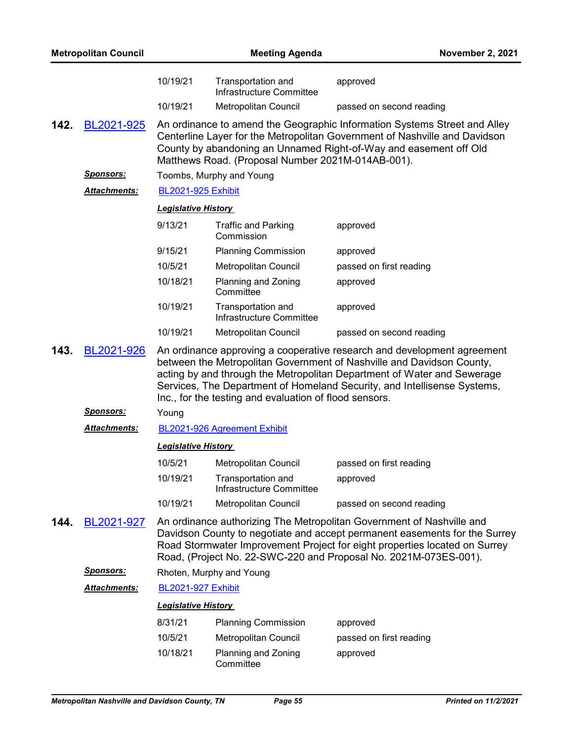| <b>Metropolitan Council</b> |                     |                            | November 2, 2021                                       |                                                                                                                                                                                                                                                                                                         |  |  |
|-----------------------------|---------------------|----------------------------|--------------------------------------------------------|---------------------------------------------------------------------------------------------------------------------------------------------------------------------------------------------------------------------------------------------------------------------------------------------------------|--|--|
|                             |                     | 10/19/21                   | Transportation and<br>Infrastructure Committee         | approved                                                                                                                                                                                                                                                                                                |  |  |
|                             |                     | 10/19/21                   | Metropolitan Council                                   | passed on second reading                                                                                                                                                                                                                                                                                |  |  |
| 142.                        | BL2021-925          |                            | Matthews Road. (Proposal Number 2021M-014AB-001).      | An ordinance to amend the Geographic Information Systems Street and Alley<br>Centerline Layer for the Metropolitan Government of Nashville and Davidson<br>County by abandoning an Unnamed Right-of-Way and easement off Old                                                                            |  |  |
|                             | <b>Sponsors:</b>    |                            | Toombs, Murphy and Young                               |                                                                                                                                                                                                                                                                                                         |  |  |
|                             | Attachments:        |                            | <b>BL2021-925 Exhibit</b>                              |                                                                                                                                                                                                                                                                                                         |  |  |
|                             |                     | <b>Legislative History</b> |                                                        |                                                                                                                                                                                                                                                                                                         |  |  |
|                             |                     | 9/13/21                    | <b>Traffic and Parking</b><br>Commission               | approved                                                                                                                                                                                                                                                                                                |  |  |
|                             |                     | 9/15/21                    | <b>Planning Commission</b>                             | approved                                                                                                                                                                                                                                                                                                |  |  |
|                             |                     | 10/5/21                    | <b>Metropolitan Council</b>                            | passed on first reading                                                                                                                                                                                                                                                                                 |  |  |
|                             |                     | 10/18/21                   | Planning and Zoning<br>Committee                       | approved                                                                                                                                                                                                                                                                                                |  |  |
|                             |                     | 10/19/21                   | Transportation and<br>Infrastructure Committee         | approved                                                                                                                                                                                                                                                                                                |  |  |
|                             |                     | 10/19/21                   | Metropolitan Council                                   | passed on second reading                                                                                                                                                                                                                                                                                |  |  |
| 143.                        | BL2021-926          |                            | Inc., for the testing and evaluation of flood sensors. | An ordinance approving a cooperative research and development agreement<br>between the Metropolitan Government of Nashville and Davidson County,<br>acting by and through the Metropolitan Department of Water and Sewerage<br>Services, The Department of Homeland Security, and Intellisense Systems, |  |  |
|                             | <u>Sponsors:</u>    | Young                      |                                                        |                                                                                                                                                                                                                                                                                                         |  |  |
|                             | <b>Attachments:</b> |                            | BL2021-926 Agreement Exhibit                           |                                                                                                                                                                                                                                                                                                         |  |  |
|                             |                     | <b>Legislative History</b> |                                                        |                                                                                                                                                                                                                                                                                                         |  |  |
|                             |                     | 10/5/21                    | Metropolitan Council                                   | passed on first reading                                                                                                                                                                                                                                                                                 |  |  |
|                             |                     | 10/19/21                   | Transportation and<br>Infrastructure Committee         | approved                                                                                                                                                                                                                                                                                                |  |  |
|                             |                     | 10/19/21                   | Metropolitan Council                                   | passed on second reading                                                                                                                                                                                                                                                                                |  |  |
| 144.                        | BL2021-927          |                            |                                                        | An ordinance authorizing The Metropolitan Government of Nashville and<br>Davidson County to negotiate and accept permanent easements for the Surrey<br>Road Stormwater Improvement Project for eight properties located on Surrey<br>Road, (Project No. 22-SWC-220 and Proposal No. 2021M-073ES-001).   |  |  |
|                             | <u>Sponsors:</u>    |                            | Rhoten, Murphy and Young                               |                                                                                                                                                                                                                                                                                                         |  |  |
|                             | <b>Attachments:</b> | <b>BL2021-927 Exhibit</b>  |                                                        |                                                                                                                                                                                                                                                                                                         |  |  |
|                             |                     | <b>Legislative History</b> |                                                        |                                                                                                                                                                                                                                                                                                         |  |  |
|                             |                     | 8/31/21                    | <b>Planning Commission</b>                             | approved                                                                                                                                                                                                                                                                                                |  |  |
|                             |                     | 10/5/21                    | Metropolitan Council                                   | passed on first reading                                                                                                                                                                                                                                                                                 |  |  |
|                             |                     | 10/18/21                   | Planning and Zoning<br>Committee                       | approved                                                                                                                                                                                                                                                                                                |  |  |